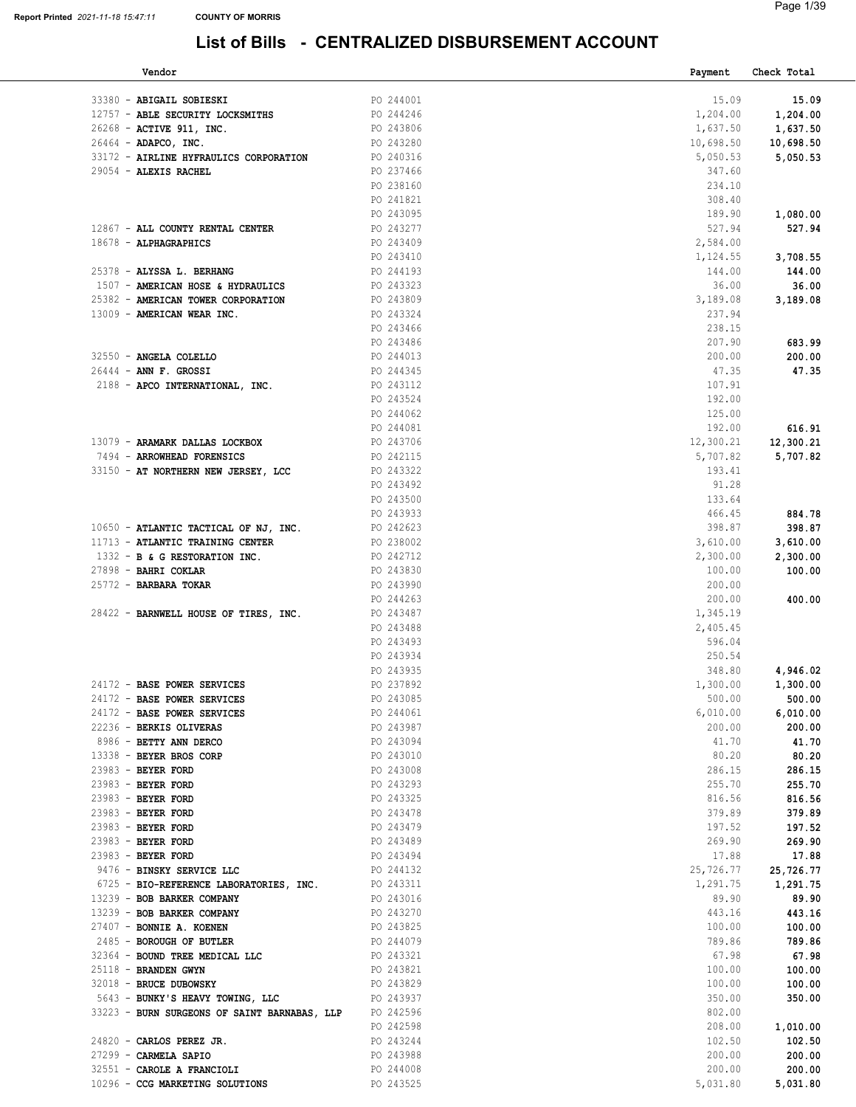| Vendor                                       |           | Payment   | Check Total |
|----------------------------------------------|-----------|-----------|-------------|
|                                              |           |           |             |
| 33380 - ABIGAIL SOBIESKI                     | PO 244001 | 15.09     | 15.09       |
| 12757 - ABLE SECURITY LOCKSMITHS             | PO 244246 | 1,204.00  | 1,204.00    |
| 26268 - ACTIVE 911, INC.                     | PO 243806 | 1,637.50  | 1,637.50    |
| 26464 - ADAPCO, INC.                         | PO 243280 | 10,698.50 | 10,698.50   |
| 33172 - AIRLINE HYFRAULICS CORPORATION       | PO 240316 | 5,050.53  | 5,050.53    |
| 29054 - ALEXIS RACHEL                        | PO 237466 | 347.60    |             |
|                                              | PO 238160 | 234.10    |             |
|                                              | PO 241821 | 308.40    |             |
|                                              | PO 243095 | 189.90    | 1,080.00    |
| 12867 - ALL COUNTY RENTAL CENTER             | PO 243277 | 527.94    | 527.94      |
| 18678 - ALPHAGRAPHICS                        | PO 243409 | 2,584.00  |             |
|                                              | PO 243410 | 1,124.55  | 3,708.55    |
| 25378 - ALYSSA L. BERHANG                    | PO 244193 | 144.00    | 144.00      |
| 1507 - AMERICAN HOSE & HYDRAULICS            | PO 243323 | 36.00     | 36.00       |
| 25382 - AMERICAN TOWER CORPORATION           | PO 243809 | 3,189.08  | 3,189.08    |
| 13009 - AMERICAN WEAR INC.                   | PO 243324 | 237.94    |             |
|                                              | PO 243466 | 238.15    |             |
|                                              |           |           |             |
|                                              | PO 243486 | 207.90    | 683.99      |
| 32550 - ANGELA COLELLO                       | PO 244013 | 200.00    | 200.00      |
| 26444 - ANN F. GROSSI                        | PO 244345 | 47.35     | 47.35       |
| 2188 - APCO INTERNATIONAL, INC.              | PO 243112 | 107.91    |             |
|                                              | PO 243524 | 192.00    |             |
|                                              | PO 244062 | 125.00    |             |
|                                              | PO 244081 | 192.00    | 616.91      |
| 13079 - ARAMARK DALLAS LOCKBOX               | PO 243706 | 12,300.21 | 12,300.21   |
| 7494 - ARROWHEAD FORENSICS                   | PO 242115 | 5,707.82  | 5,707.82    |
| 33150 - AT NORTHERN NEW JERSEY, LCC          | PO 243322 | 193.41    |             |
|                                              | PO 243492 | 91.28     |             |
|                                              | PO 243500 | 133.64    |             |
|                                              | PO 243933 | 466.45    | 884.78      |
| 10650 - ATLANTIC TACTICAL OF NJ, INC.        | PO 242623 | 398.87    | 398.87      |
| 11713 - ATLANTIC TRAINING CENTER             | PO 238002 | 3,610.00  | 3,610.00    |
| 1332 - B & G RESTORATION INC.                | PO 242712 | 2,300.00  | 2,300.00    |
| 27898 - BAHRI COKLAR                         | PO 243830 | 100.00    | 100.00      |
| 25772 - BARBARA TOKAR                        | PO 243990 | 200.00    |             |
|                                              | PO 244263 | 200.00    | 400.00      |
| 28422 - BARNWELL HOUSE OF TIRES, INC.        | PO 243487 | 1,345.19  |             |
|                                              | PO 243488 | 2,405.45  |             |
|                                              | PO 243493 | 596.04    |             |
|                                              | PO 243934 | 250.54    |             |
|                                              | PO 243935 | 348.80    | 4,946.02    |
|                                              |           |           |             |
| 24172 - BASE POWER SERVICES                  | PO 237892 | 1,300.00  | 1,300.00    |
| 24172 - BASE POWER SERVICES                  | PO 243085 | 500.00    | 500.00      |
| 24172 - BASE POWER SERVICES                  | PO 244061 | 6,010.00  | 6,010.00    |
| 22236 - BERKIS OLIVERAS                      | PO 243987 | 200.00    | 200.00      |
| 8986 - BETTY ANN DERCO                       | PO 243094 | 41.70     | 41.70       |
| 13338 - BEYER BROS CORP                      | PO 243010 | 80.20     | 80.20       |
| 23983 - BEYER FORD                           | PO 243008 | 286.15    | 286.15      |
| 23983 - BEYER FORD                           | PO 243293 | 255.70    | 255.70      |
| 23983 - BEYER FORD                           | PO 243325 | 816.56    | 816.56      |
| 23983 - BEYER FORD                           | PO 243478 | 379.89    | 379.89      |
| 23983 - BEYER FORD                           | PO 243479 | 197.52    | 197.52      |
| 23983 - BEYER FORD                           | PO 243489 | 269.90    | 269.90      |
| 23983 - BEYER FORD                           | PO 243494 | 17.88     | 17.88       |
| 9476 - BINSKY SERVICE LLC                    | PO 244132 | 25,726.77 | 25,726.77   |
| 6725 - BIO-REFERENCE LABORATORIES, INC.      | PO 243311 | 1,291.75  | 1,291.75    |
| 13239 - BOB BARKER COMPANY                   | PO 243016 | 89.90     | 89.90       |
| 13239 - BOB BARKER COMPANY                   | PO 243270 | 443.16    | 443.16      |
| 27407 - BONNIE A. KOENEN                     | PO 243825 | 100.00    | 100.00      |
| 2485 - BOROUGH OF BUTLER                     | PO 244079 | 789.86    | 789.86      |
| 32364 - BOUND TREE MEDICAL LLC               | PO 243321 | 67.98     | 67.98       |
| 25118 - BRANDEN GWYN                         | PO 243821 | 100.00    | 100.00      |
| 32018 - BRUCE DUBOWSKY                       | PO 243829 | 100.00    | 100.00      |
| 5643 - BUNKY'S HEAVY TOWING, LLC             | PO 243937 | 350.00    | 350.00      |
| 33223 - BURN SURGEONS OF SAINT BARNABAS, LLP | PO 242596 | 802.00    |             |
|                                              | PO 242598 | 208.00    | 1,010.00    |
|                                              |           |           |             |
| $24820$ - CARLOS PEREZ JR.                   | PO 243244 | 102.50    | 102.50      |
| 27299 - CARMELA SAPIO                        | PO 243988 | 200.00    | 200.00      |
| 32551 - CAROLE A FRANCIOLI                   | PO 244008 | 200.00    | 200.00      |
| 10296 - CCG MARKETING SOLUTIONS              | PO 243525 | 5,031.80  | 5,031.80    |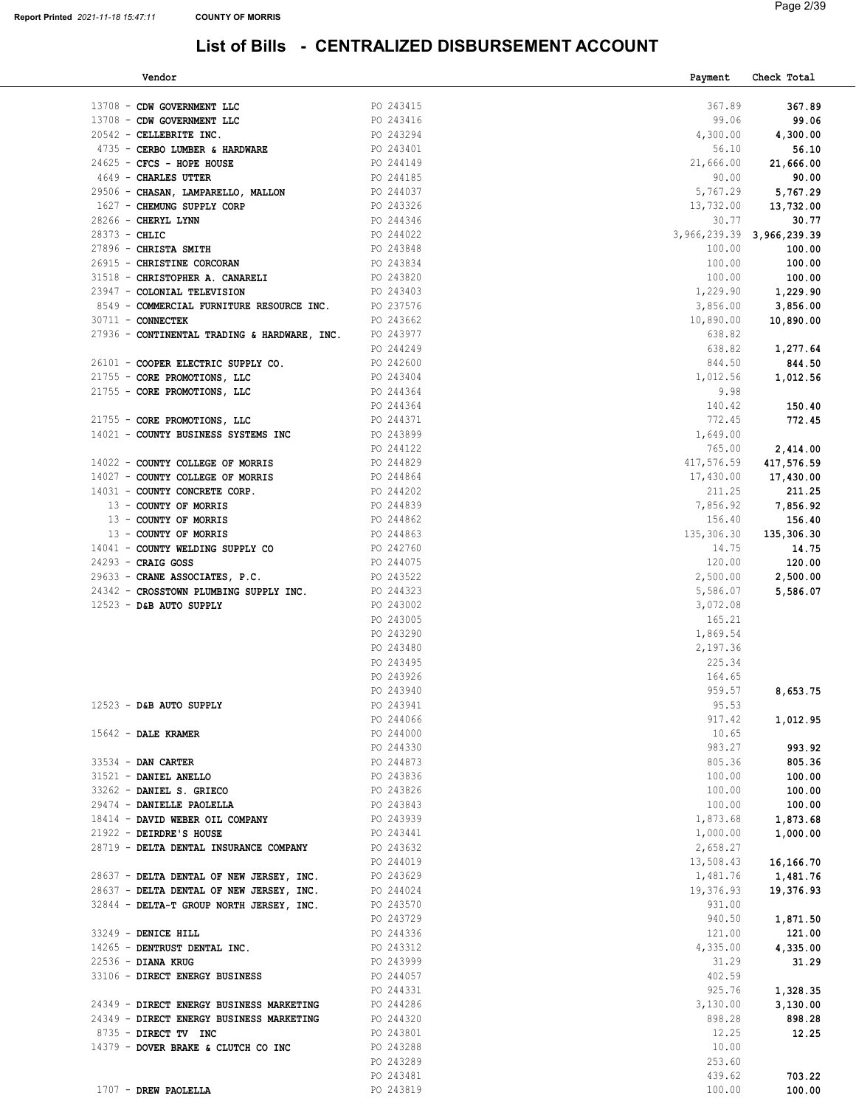| Vendor                                                           |                        | Payment                   | Check Total       |
|------------------------------------------------------------------|------------------------|---------------------------|-------------------|
|                                                                  |                        |                           |                   |
| 13708 - CDW GOVERNMENT LLC                                       | PO 243415              | 367.89                    | 367.89            |
| 13708 - CDW GOVERNMENT LLC                                       | PO 243416              | 99.06                     | 99.06             |
| 20542 - CELLEBRITE INC.                                          | PO 243294              | 4,300.00                  | 4,300.00          |
| 4735 - CERBO LUMBER & HARDWARE                                   | PO 243401              | 56.10                     | 56.10             |
| 24625 - CFCS - HOPE HOUSE                                        | PO 244149              | 21,666.00                 | 21,666.00         |
|                                                                  |                        |                           |                   |
| 4649 - CHARLES UTTER                                             | PO 244185              | 90.00                     | 90.00             |
| 29506 - CHASAN, LAMPARELLO, MALLON<br>1627 - CHEMUNG SUPPLY CORP | PO 244037<br>PO 243326 |                           | 5,767.29 5,767.29 |
| 1627 - CHEMUNG SUPPLY CORP                                       |                        | 13,732.00                 | 13,732.00         |
| 28266 - CHERYL LYNN                                              | PO 244346              | 30.77                     | 30.77             |
| $28373 - CHLIC$                                                  | PO 244022              | 3,966,239.39 3,966,239.39 |                   |
| 27896 - CHRISTA SMITH                                            | PO 243848              | 100.00                    | 100.00            |
|                                                                  |                        |                           |                   |
| 26915 - CHRISTINE CORCORAN                                       | PO 243834              | 100.00                    | 100.00            |
| 31518 - CHRISTOPHER A. CANARELI                                  | PO 243820              | 100.00                    | 100.00            |
| 23947 - COLONIAL TELEVISION                                      | PO 243403              | 1,229.90                  | 1,229.90          |
| 8549 - COMMERCIAL FURNITURE RESOURCE INC. PO 237576              |                        | 3,856.00                  | 3,856.00          |
| $30711 - CONNECTEK$                                              | PO 243662              | 10,890.00                 | 10,890.00         |
| 27936 - CONTINENTAL TRADING & HARDWARE, INC. PO 243977           |                        | 638.82                    |                   |
|                                                                  |                        |                           |                   |
|                                                                  | PO 244249              | 638.82                    | 1,277.64          |
| 26101 - COOPER ELECTRIC SUPPLY CO.                               | PO 242600              | 844.50                    | 844.50            |
| 21755 - CORE PROMOTIONS, LLC                                     | PO 243404<br>PO 244364 | 1,012.56                  | 1,012.56          |
| 21755 - CORE PROMOTIONS, LLC                                     |                        | 9.98                      |                   |
|                                                                  | PO 244364              | 140.42                    | 150.40            |
| 21755 - CORE PROMOTIONS, LLC                                     |                        | 772.45                    | 772.45            |
| 14021 - COUNTY BUSINESS SYSTEMS INC                              | PO 244371<br>PO 243899 | 1,649.00                  |                   |
|                                                                  |                        |                           |                   |
|                                                                  | PO 244122              | 765.00                    | 2,414.00          |
| 14022 - COUNTY COLLEGE OF MORRIS                                 | PO 244829              | 417,576.59                | 417,576.59        |
| 14027 - COUNTY COLLEGE OF MORRIS                                 |                        | 17,430.00                 | 17,430.00         |
| 14031 - COUNTY CONCRETE CORP.                                    | PO 244864<br>PO 244202 | 211.25                    | 211.25            |
| 13 - COUNTY OF MORRIS                                            | PO 244839              | 7,856.92                  | 7,856.92          |
| 13 - COUNTY OF MORRIS                                            |                        | 156.40                    | 156.40            |
| 13 - COUNTY OF MORRIS                                            | PO 244862<br>PO 244863 | 135,306.30                | 135,306.30        |
|                                                                  |                        |                           |                   |
| 14041 - COUNTY WELDING SUPPLY CO PO 242760                       |                        | 14.75                     | 14.75             |
| 24293 - CRAIG GOSS                                               | PO 244075              | 120.00                    | 120.00            |
| 29633 - CRANE ASSOCIATES, P.C.                                   | PO 243522              | 2,500.00                  | 2,500.00          |
| 24342 - CROSSTOWN PLUMBING SUPPLY INC. PO 244323                 |                        | 5,586.07                  | 5,586.07          |
| $12523$ - D&B AUTO SUPPLY                                        | PO 243002              | 3,072.08                  |                   |
|                                                                  | PO 243005              | 165.21                    |                   |
|                                                                  | PO 243290              | 1,869.54                  |                   |
|                                                                  |                        |                           |                   |
|                                                                  | PO 243480              | 2,197.36                  |                   |
|                                                                  | PO 243495              | 225.34                    |                   |
|                                                                  | PO 243926              | 164.65                    |                   |
|                                                                  | PO 243940              | 959.57                    | 8,653.75          |
| $12523 - DB$ AUTO SUPPLY                                         | PO 243941              | 95.53                     |                   |
|                                                                  | PO 244066              | 917.42                    | 1,012.95          |
| $15642$ - DALE KRAMER                                            | PO 244000              | 10.65                     |                   |
|                                                                  | PO 244330              | 983.27                    | 993.92            |
|                                                                  |                        |                           |                   |
| 33534 - DAN CARTER                                               | PO 244873              | 805.36                    | 805.36            |
| 31521 - DANIEL ANELLO                                            | PO 243836              | 100.00                    | 100.00            |
| 33262 - DANIEL S. GRIECO                                         | PO 243826              | 100.00                    | 100.00            |
| 29474 - DANIELLE PAOLELLA                                        | PO 243843              | 100.00                    | 100.00            |
| 18414 - DAVID WEBER OIL COMPANY                                  | PO 243939              | 1,873.68                  | 1,873.68          |
| 21922 - DEIRDRE'S HOUSE                                          | PO 243441              | 1,000.00                  | 1,000.00          |
| 28719 - DELTA DENTAL INSURANCE COMPANY                           | PO 243632              | 2,658.27                  |                   |
|                                                                  |                        |                           |                   |
|                                                                  | PO 244019              | 13,508.43                 | 16,166.70         |
| 28637 - DELTA DENTAL OF NEW JERSEY, INC. PO 243629               |                        | 1,481.76                  | 1,481.76          |
| 28637 - DELTA DENTAL OF NEW JERSEY, INC. PO 244024               |                        | 19,376.93                 | 19,376.93         |
| 32844 - DELTA-T GROUP NORTH JERSEY, INC.                         | PO 243570              | 931.00                    |                   |
|                                                                  | PO 243729              | 940.50                    | 1,871.50          |
| 33249 - DENICE HILL                                              | PO 244336              | 121.00                    | 121.00            |
| 14265 - DENTRUST DENTAL INC.                                     | PO 243312              | 4,335.00                  | 4,335.00          |
| 22536 - DIANA KRUG                                               | PO 243999              | 31.29                     | 31.29             |
|                                                                  |                        |                           |                   |
| 33106 - DIRECT ENERGY BUSINESS                                   | PO 244057              | 402.59                    |                   |
|                                                                  | PO 244331              | 925.76                    | 1,328.35          |
| 24349 - DIRECT ENERGY BUSINESS MARKETING                         | PO 244286              | 3,130.00                  | 3,130.00          |
| 24349 - DIRECT ENERGY BUSINESS MARKETING                         | PO 244320              | 898.28                    | 898.28            |
| 8735 - DIRECT TV INC                                             | PO 243801              | 12.25                     | 12.25             |
| 14379 - DOVER BRAKE & CLUTCH CO INC                              | PO 243288              | 10.00                     |                   |
|                                                                  | PO 243289              | 253.60                    |                   |
|                                                                  |                        |                           |                   |
|                                                                  | PO 243481              | 439.62                    | 703.22            |
| 1707 - DREW PAOLELLA                                             | PO 243819              | 100.00                    | 100.00            |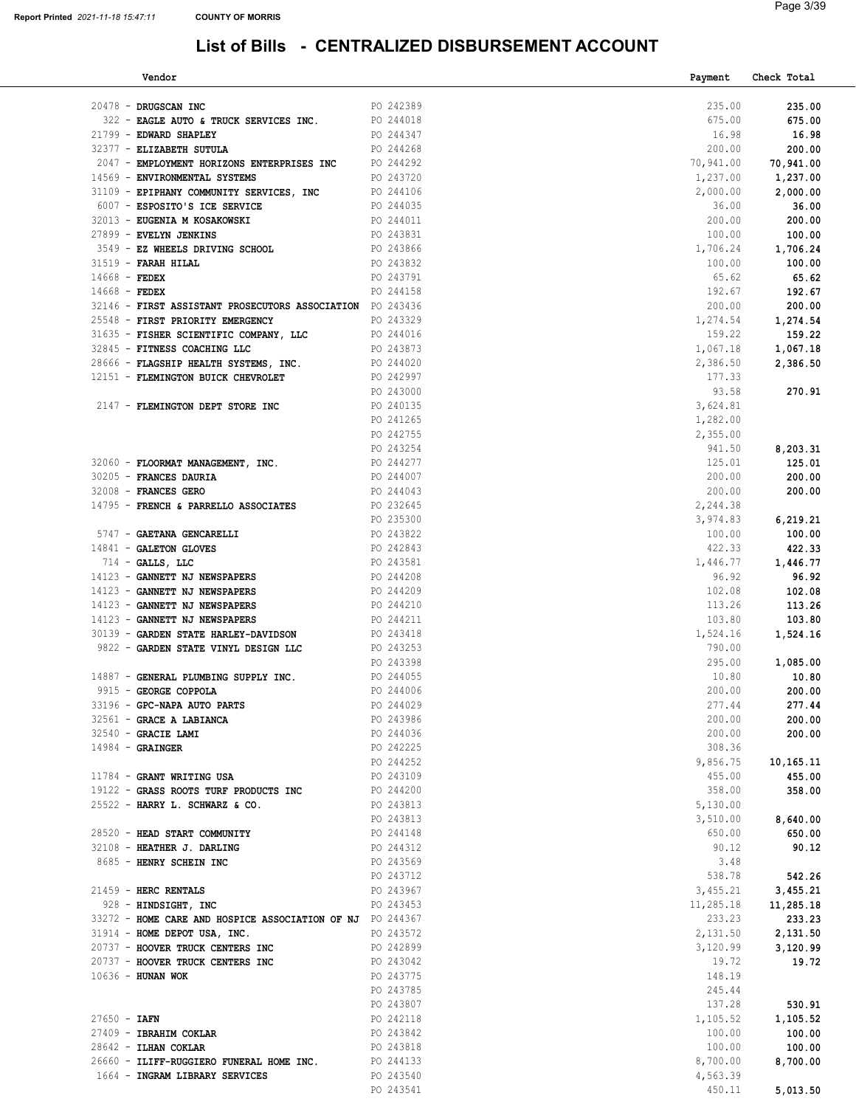| Vendor                                                    |                        |           | Payment   | Check Total |
|-----------------------------------------------------------|------------------------|-----------|-----------|-------------|
|                                                           |                        |           |           |             |
| 20478 - DRUGSCAN INC                                      |                        | PO 242389 | 235.00    | 235.00      |
| 322 - EAGLE AUTO & TRUCK SERVICES INC.                    |                        | PO 244018 | 675.00    | 675.00      |
| 21799 - EDWARD SHAPLEY                                    |                        | PO 244347 | 16.98     | 16.98       |
| 32377 - ELIZABETH SUTULA                                  |                        | PO 244268 | 200.00    | 200.00      |
| 2047 - EMPLOYMENT HORIZONS ENTERPRISES INC $\,$ PO 244292 |                        |           | 70,941.00 | 70,941.00   |
| 14569 - ENVIRONMENTAL SYSTEMS                             |                        | PO 243720 | 1,237.00  | 1,237.00    |
| 31109 - EPIPHANY COMMUNITY SERVICES, INC PO 244106        |                        |           | 2,000.00  | 2,000.00    |
| 6007 - ESPOSITO'S ICE SERVICE                             | PO 244035              |           | 36.00     | 36.00       |
| 32013 - EUGENIA M KOSAKOWSKI                              |                        | PO 244011 | 200.00    | 200.00      |
| 27899 - EVELYN JENKINS                                    |                        | PO 243831 | 100.00    | 100.00      |
|                                                           |                        |           |           |             |
| 3549 - EZ WHEELS DRIVING SCHOOL                           |                        | PO 243866 | 1,706.24  | 1,706.24    |
| 31519 - FARAH HILAL                                       |                        | PO 243832 | 100.00    | 100.00      |
| $14668$ - FEDEX                                           |                        | PO 243791 | 65.62     | 65.62       |
| $14668$ - FEDEX                                           |                        | PO 244158 | 192.67    | 192.67      |
| 32146 - FIRST ASSISTANT PROSECUTORS ASSOCIATION PO 243436 |                        |           | 200.00    | 200.00      |
| 25548 - FIRST PRIORITY EMERGENCY                          |                        | PO 243329 | 1,274.54  | 1,274.54    |
| 31635 - FISHER SCIENTIFIC COMPANY, LLC                    |                        | PO 244016 | 159.22    | 159.22      |
| 32845 - FITNESS COACHING LLC                              |                        | PO 243873 | 1,067.18  | 1,067.18    |
| 28666 - FLAGSHIP HEALTH SYSTEMS, INC.                     |                        | PO 244020 | 2,386.50  | 2,386.50    |
| 12151 - FLEMINGTON BUICK CHEVROLET                        | PO 242997              |           | 177.33    |             |
|                                                           |                        |           | 93.58     |             |
|                                                           | PO 243000              |           |           | 270.91      |
| 2147 - FLEMINGTON DEPT STORE INC                          | PO 240135              |           | 3,624.81  |             |
|                                                           |                        | PO 241265 | 1,282.00  |             |
|                                                           |                        | PO 242755 | 2,355.00  |             |
|                                                           | PO 243254<br>PO 244277 |           | 941.50    | 8,203.31    |
| 32060 - FLOORMAT MANAGEMENT, INC.                         |                        |           | 125.01    | 125.01      |
| 30205 - FRANCES DAURIA                                    | PO 244007              |           | 200.00    | 200.00      |
| 32008 - FRANCES GERO                                      | PO 244043              |           | 200.00    | 200.00      |
| 14795 - FRENCH & PARRELLO ASSOCIATES                      |                        | PO 232645 | 2,244.38  |             |
|                                                           | PO 235300              |           | 3,974.83  | 6,219.21    |
| 5747 - GAETANA GENCARELLI                                 |                        | PO 243822 | 100.00    | 100.00      |
|                                                           |                        |           |           |             |
| 14841 - GALETON GLOVES                                    |                        | PO 242843 | 422.33    | 422.33      |
| $714$ - GALLS, LLC                                        |                        | PO 243581 | 1,446.77  | 1,446.77    |
| 14123 - GANNETT NJ NEWSPAPERS                             |                        | PO 244208 | 96.92     | 96.92       |
| 14123 - GANNETT NJ NEWSPAPERS                             |                        | PO 244209 | 102.08    | 102.08      |
| 14123 - GANNETT NJ NEWSPAPERS                             |                        | PO 244210 | 113.26    | 113.26      |
| 14123 - GANNETT NJ NEWSPAPERS                             |                        | PO 244211 | 103.80    | 103.80      |
| 30139 - GARDEN STATE HARLEY-DAVIDSON                      | PO 243418              |           | 1,524.16  | 1,524.16    |
| 9822 - GARDEN STATE VINYL DESIGN LLC                      |                        | PO 243253 | 790.00    |             |
|                                                           |                        | PO 243398 | 295.00    | 1,085.00    |
| 14887 - GENERAL PLUMBING SUPPLY INC.                      |                        | PO 244055 | 10.80     | 10.80       |
| 9915 - GEORGE COPPOLA                                     |                        | PO 244006 | 200.00    | 200.00      |
| 33196 - GPC-NAPA AUTO PARTS                               |                        | PO 244029 | 277.44    | 277.44      |
| 32561 - GRACE A LABIANCA                                  |                        | PO 243986 | 200.00    |             |
|                                                           |                        |           |           | 200.00      |
| 32540 - GRACIE LAMI                                       |                        | PO 244036 | 200.00    | 200.00      |
| $14984 -$ GRAINGER                                        |                        | PO 242225 | 308.36    |             |
|                                                           |                        | PO 244252 | 9,856.75  | 10,165.11   |
| 11784 - GRANT WRITING USA                                 |                        | PO 243109 | 455.00    | 455.00      |
| 19122 - GRASS ROOTS TURF PRODUCTS INC                     |                        | PO 244200 | 358.00    | 358.00      |
| 25522 - HARRY L. SCHWARZ & CO.                            |                        | PO 243813 | 5,130.00  |             |
|                                                           |                        | PO 243813 | 3,510.00  | 8,640.00    |
| 28520 - HEAD START COMMUNITY                              |                        | PO 244148 | 650.00    | 650.00      |
| 32108 - HEATHER J. DARLING                                |                        | PO 244312 | 90.12     | 90.12       |
| 8685 - HENRY SCHEIN INC                                   |                        | PO 243569 | 3.48      |             |
|                                                           |                        |           |           |             |
|                                                           |                        | PO 243712 | 538.78    | 542.26      |
| 21459 - HERC RENTALS                                      |                        | PO 243967 | 3,455.21  | 3,455.21    |
| 928 - HINDSIGHT, INC                                      |                        | PO 243453 | 11,285.18 | 11,285.18   |
| 33272 - HOME CARE AND HOSPICE ASSOCIATION OF NJ PO 244367 |                        |           | 233.23    | 233.23      |
| 31914 - HOME DEPOT USA, INC.                              |                        | PO 243572 | 2,131.50  | 2,131.50    |
| 20737 - HOOVER TRUCK CENTERS INC                          |                        | PO 242899 | 3,120.99  | 3,120.99    |
| 20737 - HOOVER TRUCK CENTERS INC                          |                        | PO 243042 | 19.72     | 19.72       |
| 10636 - HUNAN WOK                                         |                        | PO 243775 | 148.19    |             |
|                                                           |                        | PO 243785 | 245.44    |             |
|                                                           |                        | PO 243807 | 137.28    | 530.91      |
| $27650 - IAFN$                                            |                        | PO 242118 | 1,105.52  | 1,105.52    |
|                                                           |                        |           |           |             |
| 27409 - IBRAHIM COKLAR                                    |                        | PO 243842 | 100.00    | 100.00      |
| 28642 - ILHAN COKLAR                                      |                        | PO 243818 | 100.00    | 100.00      |
| 26660 - ILIFF-RUGGIERO FUNERAL HOME INC.                  |                        | PO 244133 | 8,700.00  | 8,700.00    |
| 1664 - INGRAM LIBRARY SERVICES                            |                        | PO 243540 | 4,563.39  |             |
|                                                           |                        | PO 243541 | 450.11    | 5,013.50    |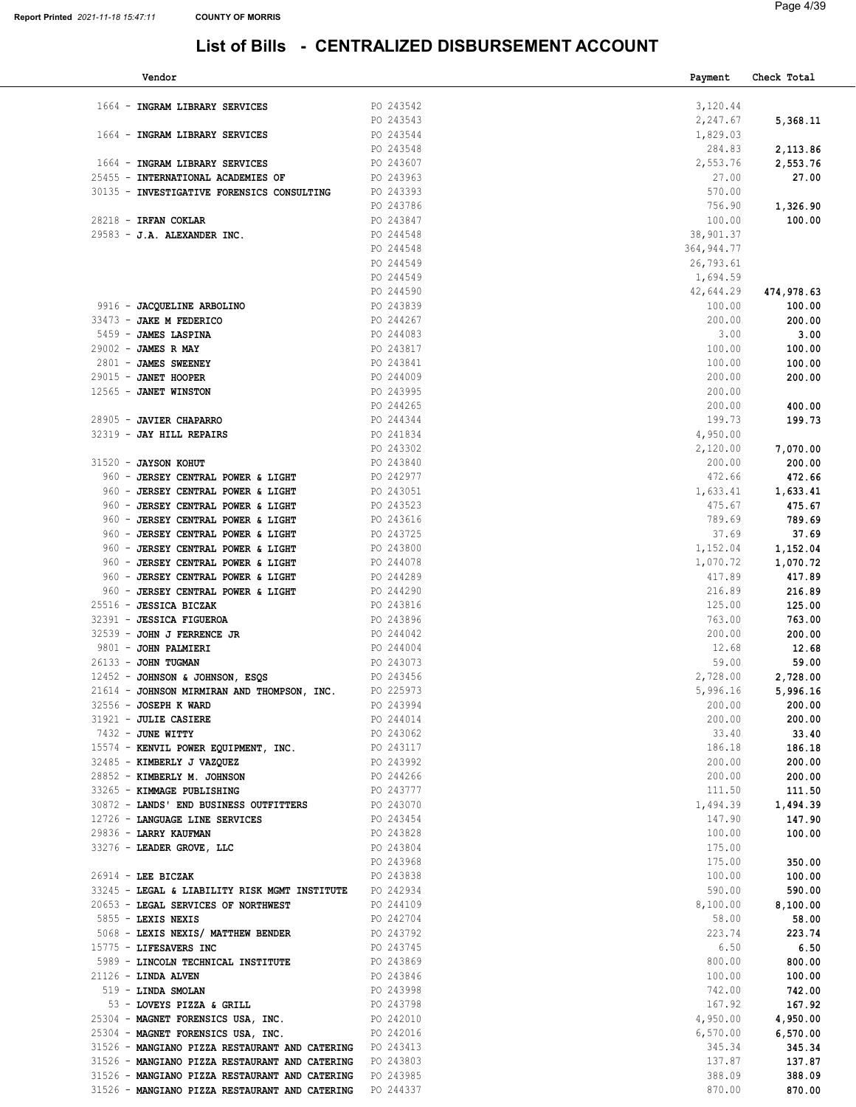| Vendor                                                                                           |                        | Payment            | Check Total        |
|--------------------------------------------------------------------------------------------------|------------------------|--------------------|--------------------|
|                                                                                                  |                        |                    |                    |
| 1664 - INGRAM LIBRARY SERVICES                                                                   | PO 243542              | 3,120.44           |                    |
|                                                                                                  | PO 243543              | 2,247.67           | 5,368.11           |
| 1664 - INGRAM LIBRARY SERVICES                                                                   | PO 243544              | 1,829.03           |                    |
|                                                                                                  | PO 243548              | 284.83             | 2,113.86           |
| 1664 - INGRAM LIBRARY SERVICES                                                                   | PO 243607              | 2,553.76           | 2,553.76           |
| 25455 - INTERNATIONAL ACADEMIES OF                                                               | PO 243963              | 27.00<br>570.00    | 27.00              |
| 30135 - INVESTIGATIVE FORENSICS CONSULTING                                                       | PO 243393<br>PO 243786 | 756.90             |                    |
| 28218 - IRFAN COKLAR                                                                             | PO 243847              | 100.00             | 1,326.90<br>100.00 |
| 29583 - J.A. ALEXANDER INC.                                                                      | PO 244548              | 38,901.37          |                    |
|                                                                                                  | PO 244548              | 364, 944.77        |                    |
|                                                                                                  | PO 244549              | 26,793.61          |                    |
|                                                                                                  | PO 244549              | 1,694.59           |                    |
|                                                                                                  | PO 244590              | 42,644.29          | 474,978.63         |
| 9916 - JACQUELINE ARBOLINO                                                                       | PO 243839              | 100.00             | 100.00             |
| 33473 - JAKE M FEDERICO                                                                          | PO 244267              | 200.00             | 200.00             |
| 5459 - JAMES LASPINA                                                                             | PO 244083              | 3.00               | 3.00               |
| 29002 - JAMES R MAY                                                                              | PO 243817              | 100.00             | 100.00             |
| 2801 - JAMES SWEENEY                                                                             | PO 243841              | 100.00             | 100.00             |
| $29015$ - JANET HOOPER                                                                           | PO 244009              | 200.00             | 200.00             |
| 12565 - JANET WINSTON                                                                            | PO 243995              | 200.00             |                    |
|                                                                                                  | PO 244265              | 200.00             | 400.00             |
| 28905 - JAVIER CHAPARRO                                                                          | PO 244344              | 199.73             | 199.73             |
| 32319 - JAY HILL REPAIRS                                                                         | PO 241834<br>PO 243302 | 4,950.00           |                    |
| 31520 - JAYSON KOHUT                                                                             | PO 243840              | 2,120.00<br>200.00 | 7,070.00<br>200.00 |
| 960 - JERSEY CENTRAL POWER & LIGHT                                                               | PO 242977              | 472.66             | 472.66             |
| 960 - JERSEY CENTRAL POWER & LIGHT                                                               | PO 243051              | 1,633.41           | 1,633.41           |
| 960 - JERSEY CENTRAL POWER & LIGHT                                                               | PO 243523              | 475.67             | 475.67             |
| 960 - JERSEY CENTRAL POWER & LIGHT                                                               | PO 243616              | 789.69             | 789.69             |
| 960 - JERSEY CENTRAL POWER & LIGHT                                                               | PO 243725              | 37.69              | 37.69              |
| 960 - JERSEY CENTRAL POWER & LIGHT                                                               | PO 243800              | 1,152.04           | 1,152.04           |
| 960 - JERSEY CENTRAL POWER & LIGHT                                                               | PO 244078              | 1,070.72           | 1,070.72           |
| 960 - JERSEY CENTRAL POWER & LIGHT                                                               | PO 244289              | 417.89             | 417.89             |
| 960 - JERSEY CENTRAL POWER & LIGHT                                                               | PO 244290              | 216.89             | 216.89             |
| 25516 - JESSICA BICZAK                                                                           | PO 243816<br>PO 243896 | 125.00<br>763.00   | 125.00<br>763.00   |
| 32391 - JESSICA FIGUEROA<br>32539 - JOHN J FERRENCE JR                                           | PO 244042              | 200.00             | 200.00             |
| 9801 - JOHN PALMIERI                                                                             | PO 244004              | 12.68              | 12.68              |
| 26133 - JOHN TUGMAN                                                                              | PO 243073              | 59.00              | 59.00              |
| 12452 - JOHNSON & JOHNSON, ESQS                                                                  | PO 243456              | 2,728.00           | 2,728.00           |
| 21614 - JOHNSON MIRMIRAN AND THOMPSON, INC.                                                      | PO 225973              | 5,996.16           | 5,996.16           |
| $32556 - JOSEPH K WARD$                                                                          | PO 243994              | 200.00             | 200.00             |
| 31921 - JULIE CASIERE                                                                            | PO 244014              | 200.00             | 200.00             |
| 7432 - JUNE WITTY                                                                                | PO 243062              | 33.40              | 33.40              |
| 15574 - KENVIL POWER EQUIPMENT, INC.                                                             | PO 243117<br>PO 243992 | 186.18<br>200.00   | 186.18             |
| 32485 - KIMBERLY J VAZQUEZ<br>28852 - KIMBERLY M. JOHNSON                                        | PO 244266              | 200.00             | 200.00<br>200.00   |
| 33265 - KIMMAGE PUBLISHING                                                                       | PO 243777              | 111.50             | 111.50             |
| 30872 - LANDS' END BUSINESS OUTFITTERS                                                           | PO 243070              | 1,494.39           | 1,494.39           |
| 12726 - LANGUAGE LINE SERVICES                                                                   | PO 243454              | 147.90             | 147.90             |
| 29836 - LARRY KAUFMAN                                                                            | PO 243828              | 100.00             | 100.00             |
| 33276 - LEADER GROVE, LLC                                                                        | PO 243804              | 175.00             |                    |
|                                                                                                  | PO 243968              | 175.00             | 350.00             |
| $26914$ - LEE BICZAK                                                                             | PO 243838              | 100.00             | 100.00             |
| 33245 - LEGAL & LIABILITY RISK MGMT INSTITUTE                                                    | PO 242934              | 590.00             | 590.00             |
| 20653 - LEGAL SERVICES OF NORTHWEST<br>$5855 -$ LEXIS NEXIS                                      | PO 244109<br>PO 242704 | 8,100.00<br>58.00  | 8,100.00           |
| 5068 - LEXIS NEXIS/ MATTHEW BENDER                                                               | PO 243792              | 223.74             | 58.00<br>223.74    |
| 15775 - LIFESAVERS INC                                                                           | PO 243745              | 6.50               | 6.50               |
| 5989 - LINCOLN TECHNICAL INSTITUTE                                                               | PO 243869              | 800.00             | 800.00             |
| $21126$ - LINDA ALVEN                                                                            | PO 243846              | 100.00             | 100.00             |
| 519 - LINDA SMOLAN                                                                               | PO 243998              | 742.00             | 742.00             |
| 53 - LOVEYS PIZZA & GRILL                                                                        | PO 243798              | 167.92             | 167.92             |
| 25304 - MAGNET FORENSICS USA, INC.                                                               | PO 242010              | 4,950.00           | 4,950.00           |
| 25304 - MAGNET FORENSICS USA, INC.                                                               | PO 242016              | 6,570.00           | 6,570.00           |
| 31526 - MANGIANO PIZZA RESTAURANT AND CATERING<br>31526 - MANGIANO PIZZA RESTAURANT AND CATERING | PO 243413<br>PO 243803 | 345.34<br>137.87   | 345.34             |
| 31526 - MANGIANO PIZZA RESTAURANT AND CATERING                                                   | PO 243985              | 388.09             | 137.87<br>388.09   |
| 31526 - MANGIANO PIZZA RESTAURANT AND CATERING                                                   | PO 244337              | 870.00             | 870.00             |
|                                                                                                  |                        |                    |                    |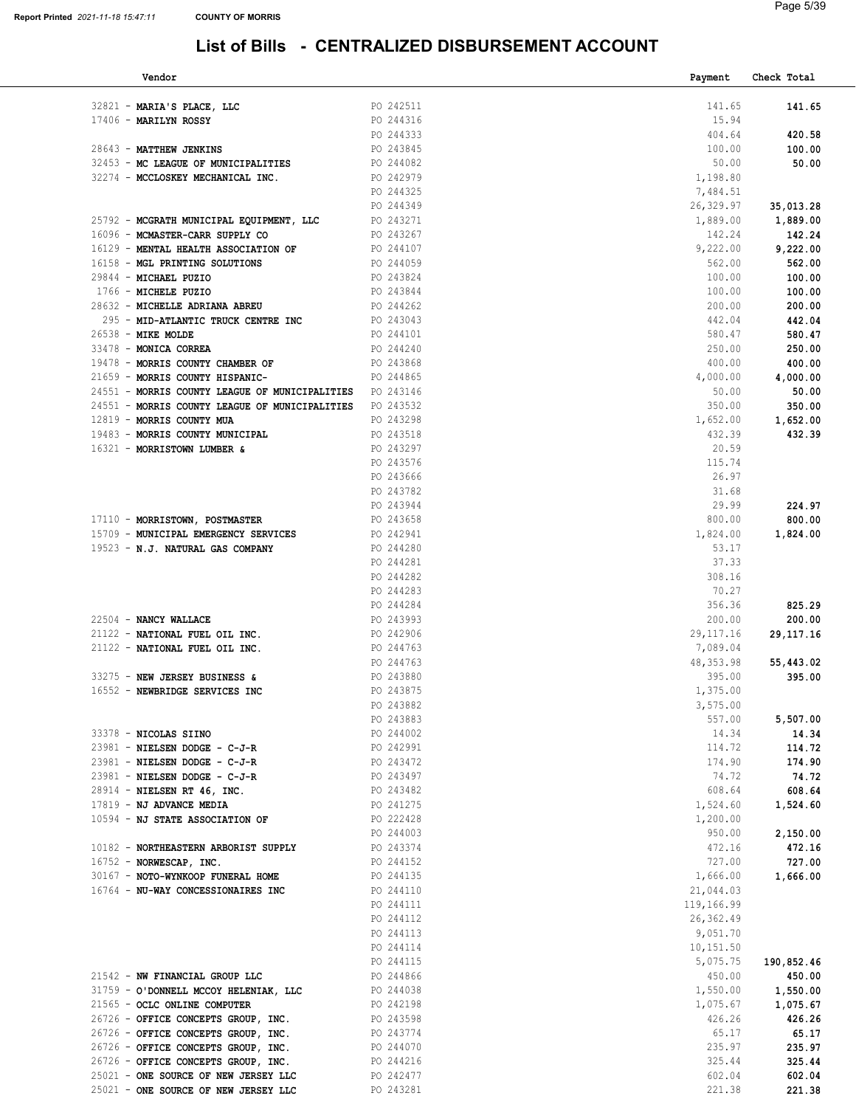| Vendor                                                   |               | Payment     | Check Total |
|----------------------------------------------------------|---------------|-------------|-------------|
|                                                          |               |             |             |
| PO 242511<br>32821 - MARIA'S PLACE, LLC                  |               | 141.65      | 141.65      |
| PO 244316<br>17406 - MARILYN ROSSY                       |               | 15.94       |             |
|                                                          | PO 244333     | 404.64      | 420.58      |
| 28643 - MATTHEW JENKINS                                  | PO 243845     | 100.00      | 100.00      |
| 32453 - MC LEAGUE OF MUNICIPALITIES PO 244082            |               | 50.00       | 50.00       |
| 32274 - MCCLOSKEY MECHANICAL INC. PO 242979              |               | 1,198.80    |             |
|                                                          | PO 244325     | 7,484.51    |             |
|                                                          | PO 244349     | 26,329.97   | 35,013.28   |
| 25792 - MCGRATH MUNICIPAL EQUIPMENT, LLC PO 243271       |               | 1,889.00    | 1,889.00    |
| 16096 - MCMASTER-CARR SUPPLY CO                          | PO 243267     | 142.24      | 142.24      |
|                                                          | PO 244107     | 9,222.00    |             |
| 16129 - MENTAL HEALTH ASSOCIATION OF                     |               |             | 9,222.00    |
| PO 244059<br>16158 - MGL PRINTING SOLUTIONS              |               | 562.00      | 562.00      |
| 29844 - MICHAEL PUZIO                                    | PO 243824     | 100.00      | 100.00      |
| 1766 - MICHELE PUZIO                                     | PO 243844     | 100.00      | 100.00      |
| 28632 - MICHELLE ADRIANA ABREU                           | PO 244262     | 200.00      | 200.00      |
| 295 - MID-ATLANTIC TRUCK CENTRE INC PO 243043            |               | 442.04      | 442.04      |
| 26538 - MIKE MOLDE                                       | PO 244101     | 580.47      | 580.47      |
| 33478 - MONICA CORREA                                    | PO 244240     | 250.00      | 250.00      |
| 19478 - MORRIS COUNTY CHAMBER OF                         | PO 243868     | 400.00      | 400.00      |
| 21659 - MORRIS COUNTY HISPANIC-                          | PO 244865     | 4,000.00    | 4,000.00    |
| 24551 - MORRIS COUNTY LEAGUE OF MUNICIPALITIES PO 243146 |               | 50.00       | 50.00       |
|                                                          |               |             |             |
| 24551 - MORRIS COUNTY LEAGUE OF MUNICIPALITIES PO 243532 |               | 350.00      | 350.00      |
| 12819 - MORRIS COUNTY MUA                                | PO 243298     | 1,652.00    | 1,652.00    |
| 19483 - MORRIS COUNTY MUNICIPAL                          | PO 243518     | 432.39      | 432.39      |
| 16321 - MORRISTOWN LUMBER &                              | PO 243297     | 20.59       |             |
|                                                          | PO 243576     | 115.74      |             |
|                                                          | PO 243666     | 26.97       |             |
|                                                          | PO 243782     | 31.68       |             |
|                                                          | PO 243944     | 29.99       | 224.97      |
| 17110 - MORRISTOWN, POSTMASTER                           | PO 243658     | 800.00      | 800.00      |
| 15709 - MUNICIPAL EMERGENCY SERVICES                     | PO 242941     | 1,824.00    | 1,824.00    |
| PO 244280<br>19523 - N.J. NATURAL GAS COMPANY            |               | 53.17       |             |
|                                                          | PO 244281     | 37.33       |             |
|                                                          |               | 308.16      |             |
|                                                          | PO 244282     |             |             |
|                                                          | PO 244283     | 70.27       |             |
|                                                          | PO 244284     | 356.36      | 825.29      |
| 22504 - NANCY WALLACE                                    | PO 243993     | 200.00      | 200.00      |
| 21122 - NATIONAL FUEL OIL INC.                           | $PQ = 242906$ | 29, 117. 16 | 29, 117. 16 |
| 21122 - NATIONAL FUEL OIL INC.                           | PO 244763     | 7,089.04    |             |
|                                                          | PO 244763     | 48,353.98   | 55,443.02   |
| 33275 - NEW JERSEY BUSINESS &                            | PO 243880     | 395.00      | 395.00      |
| 16552 - NEWBRIDGE SERVICES INC                           | PO 243875     | 1,375.00    |             |
|                                                          | PO 243882     | 3,575.00    |             |
|                                                          | PO 243883     | 557.00      | 5,507.00    |
| 33378 - NICOLAS SIINO                                    | PO 244002     | 14.34       | 14.34       |
| 23981 - NIELSEN DODGE - C-J-R                            | PO 242991     | 114.72      | 114.72      |
|                                                          | PO 243472     | 174.90      |             |
| 23981 - NIELSEN DODGE - C-J-R                            |               |             | 174.90      |
| 23981 - NIELSEN DODGE - C-J-R                            | PO 243497     | 74.72       | 74.72       |
| 28914 - NIELSEN RT 46, INC.                              | PO 243482     | 608.64      | 608.64      |
| 17819 - NJ ADVANCE MEDIA                                 | PO 241275     | 1,524.60    | 1,524.60    |
| 10594 - NJ STATE ASSOCIATION OF                          | PO 222428     | 1,200.00    |             |
|                                                          | PO 244003     | 950.00      | 2,150.00    |
| 10182 - NORTHEASTERN ARBORIST SUPPLY                     | PO 243374     | 472.16      | 472.16      |
| 16752 - NORWESCAP, INC.                                  | PO 244152     | 727.00      | 727.00      |
| 30167 - NOTO-WYNKOOP FUNERAL HOME                        | PO 244135     | 1,666.00    | 1,666.00    |
| 16764 - NU-WAY CONCESSIONAIRES INC                       | PO 244110     | 21,044.03   |             |
|                                                          | PO 244111     | 119,166.99  |             |
|                                                          | PO 244112     | 26,362.49   |             |
|                                                          | PO 244113     | 9,051.70    |             |
|                                                          | PO 244114     | 10,151.50   |             |
|                                                          |               |             |             |
|                                                          | PO 244115     | 5,075.75    | 190,852.46  |
| 21542 - NW FINANCIAL GROUP LLC                           | PO 244866     | 450.00      | 450.00      |
| 31759 - O'DONNELL MCCOY HELENIAK, LLC                    | PO 244038     | 1,550.00    | 1,550.00    |
| 21565 - OCLC ONLINE COMPUTER                             | PO 242198     | 1,075.67    | 1,075.67    |
| 26726 - OFFICE CONCEPTS GROUP, INC.                      | PO 243598     | 426.26      | 426.26      |
| 26726 - OFFICE CONCEPTS GROUP, INC.                      | PO 243774     | 65.17       | 65.17       |
| 26726 - OFFICE CONCEPTS GROUP, INC.                      | PO 244070     | 235.97      | 235.97      |
| 26726 - OFFICE CONCEPTS GROUP, INC.                      | PO 244216     | 325.44      | 325.44      |
| 25021 - ONE SOURCE OF NEW JERSEY LLC                     | PO 242477     | 602.04      | 602.04      |
| 25021 - ONE SOURCE OF NEW JERSEY LLC                     | PO 243281     | 221.38      | 221.38      |
|                                                          |               |             |             |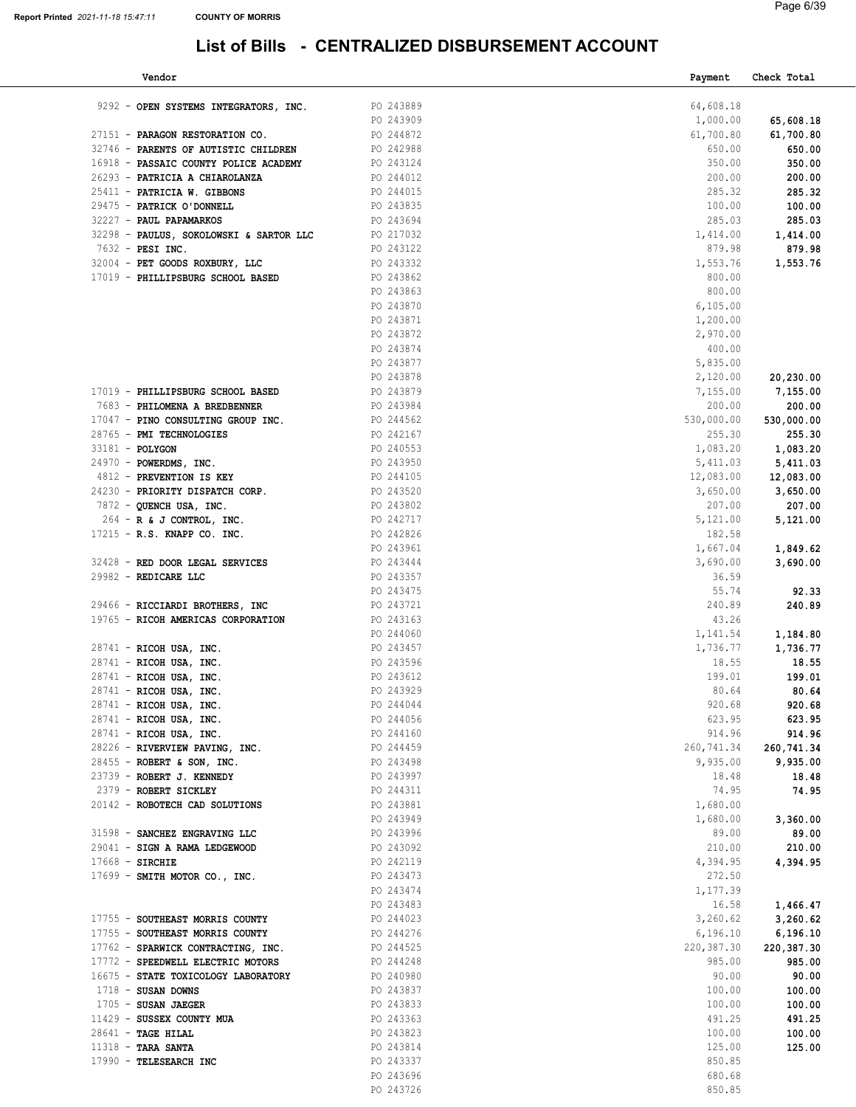|               | Page 6/39 |
|---------------|-----------|
|               |           |
| <b>COUNT:</b> |           |

| Vendor                                  |           | Payment    | Check Total |
|-----------------------------------------|-----------|------------|-------------|
| 9292 - OPEN SYSTEMS INTEGRATORS, INC.   | PO 243889 | 64,608.18  |             |
|                                         | PO 243909 | 1,000.00   | 65,608.18   |
| 27151 - PARAGON RESTORATION CO.         | PO 244872 | 61,700.80  | 61,700.80   |
| 32746 - PARENTS OF AUTISTIC CHILDREN    | PO 242988 | 650.00     | 650.00      |
| 16918 - PASSAIC COUNTY POLICE ACADEMY   | PO 243124 | 350.00     | 350.00      |
| 26293 - PATRICIA A CHIAROLANZA          | PO 244012 | 200.00     |             |
|                                         |           |            | 200.00      |
| 25411 - PATRICIA W. GIBBONS             | PO 244015 | 285.32     | 285.32      |
| 29475 - PATRICK O'DONNELL               | PO 243835 | 100.00     | 100.00      |
| 32227 - PAUL PAPAMARKOS                 | PO 243694 | 285.03     | 285.03      |
| 32298 - PAULUS, SOKOLOWSKI & SARTOR LLC | PO 217032 | 1,414.00   | 1,414.00    |
| 7632 - PESI INC.                        | PO 243122 | 879.98     | 879.98      |
| 32004 - PET GOODS ROXBURY, LLC          | PO 243332 | 1,553.76   | 1,553.76    |
| 17019 - PHILLIPSBURG SCHOOL BASED       | PO 243862 | 800.00     |             |
|                                         | PO 243863 | 800.00     |             |
|                                         | PO 243870 | 6,105.00   |             |
|                                         | PO 243871 | 1,200.00   |             |
|                                         | PO 243872 | 2,970.00   |             |
|                                         | PO 243874 | 400.00     |             |
|                                         | PO 243877 | 5,835.00   |             |
|                                         | PO 243878 | 2,120.00   | 20,230.00   |
| 17019 - PHILLIPSBURG SCHOOL BASED       | PO 243879 | 7,155.00   | 7,155.00    |
| 7683 - PHILOMENA A BREDBENNER           | PO 243984 | 200.00     | 200.00      |
| 17047 - PINO CONSULTING GROUP INC.      | PO 244562 | 530,000.00 | 530,000.00  |
| 28765 - PMI TECHNOLOGIES                | PO 242167 | 255.30     | 255.30      |
| 33181 - POLYGON                         | PO 240553 | 1,083.20   | 1,083.20    |
| 24970 - POWERDMS, INC.                  | PO 243950 | 5,411.03   | 5,411.03    |
| 4812 - PREVENTION IS KEY                | PO 244105 | 12,083.00  | 12,083.00   |
| 24230 - PRIORITY DISPATCH CORP.         | PO 243520 | 3,650.00   | 3,650.00    |
| 7872 - QUENCH USA, INC.                 | PO 243802 | 207.00     | 207.00      |
| $264$ - R & J CONTROL, INC.             | PO 242717 | 5,121.00   | 5,121.00    |
|                                         | PO 242826 | 182.58     |             |
| 17215 - R.S. KNAPP CO. INC.             |           |            |             |
|                                         | PO 243961 | 1,667.04   | 1,849.62    |
| 32428 - RED DOOR LEGAL SERVICES         | PO 243444 | 3,690.00   | 3,690.00    |
| 29982 - REDICARE LLC                    | PO 243357 | 36.59      |             |
|                                         | PO 243475 | 55.74      | 92.33       |
| 29466 - RICCIARDI BROTHERS, INC         | PO 243721 | 240.89     | 240.89      |
| 19765 - RICOH AMERICAS CORPORATION      | PO 243163 | 43.26      |             |
|                                         | PO 244060 | 1,141.54   | 1,184.80    |
| $28741$ - RICOH USA, INC.               | PO 243457 | 1,736.77   | 1,736.77    |
| 28741 - RICOH USA, INC.                 | PO 243596 | 18.55      | 18.55       |
| 28741 - RICOH USA, INC.                 | PO 243612 | 199.01     | 199.01      |
| 28741 - RICOH USA, INC.                 | PO 243929 | 80.64      | 80.64       |
| 28741 - RICOH USA, INC.                 | PO 244044 | 920.68     | 920.68      |
| 28741 - RICOH USA, INC.                 | PO 244056 | 623.95     | 623.95      |
| 28741 - RICOH USA, INC.                 | PO 244160 | 914.96     | 914.96      |
| 28226 - RIVERVIEW PAVING, INC.          | PO 244459 | 260,741.34 | 260,741.34  |
| 28455 - ROBERT & SON, INC.              | PO 243498 | 9,935.00   | 9,935.00    |
| 23739 - ROBERT J. KENNEDY               | PO 243997 | 18.48      | 18.48       |
| 2379 - ROBERT SICKLEY                   | PO 244311 | 74.95      | 74.95       |
| 20142 - ROBOTECH CAD SOLUTIONS          | PO 243881 | 1,680.00   |             |
|                                         | PO 243949 | 1,680.00   | 3,360.00    |
| 31598 - SANCHEZ ENGRAVING LLC           | PO 243996 | 89.00      | 89.00       |
| 29041 - SIGN A RAMA LEDGEWOOD           | PO 243092 | 210.00     | 210.00      |
| $17668$ - SIRCHIE                       | PO 242119 | 4,394.95   | 4,394.95    |
| 17699 - SMITH MOTOR CO., INC.           | PO 243473 | 272.50     |             |
|                                         | PO 243474 | 1,177.39   |             |
|                                         | PO 243483 | 16.58      | 1,466.47    |
| 17755 - SOUTHEAST MORRIS COUNTY         | PO 244023 | 3,260.62   | 3,260.62    |
| 17755 - SOUTHEAST MORRIS COUNTY         | PO 244276 | 6,196.10   | 6,196.10    |
| 17762 - SPARWICK CONTRACTING, INC.      | PO 244525 | 220,387.30 | 220,387.30  |
| 17772 - SPEEDWELL ELECTRIC MOTORS       | PO 244248 | 985.00     | 985.00      |
| 16675 - STATE TOXICOLOGY LABORATORY     | PO 240980 | 90.00      | 90.00       |
| $1718$ - SUSAN DOWNS                    | PO 243837 | 100.00     | 100.00      |
| $1705$ - SUSAN JAEGER                   | PO 243833 | 100.00     | 100.00      |
| 11429 - SUSSEX COUNTY MUA               | PO 243363 | 491.25     | 491.25      |
| $28641$ - TAGE HILAL                    | PO 243823 | 100.00     | 100.00      |
| $11318$ - TARA SANTA                    | PO 243814 | 125.00     | 125.00      |
| 17990 - TELESEARCH INC                  | PO 243337 | 850.85     |             |
|                                         | PO 243696 | 680.68     |             |
|                                         | PO 243726 | 850.85     |             |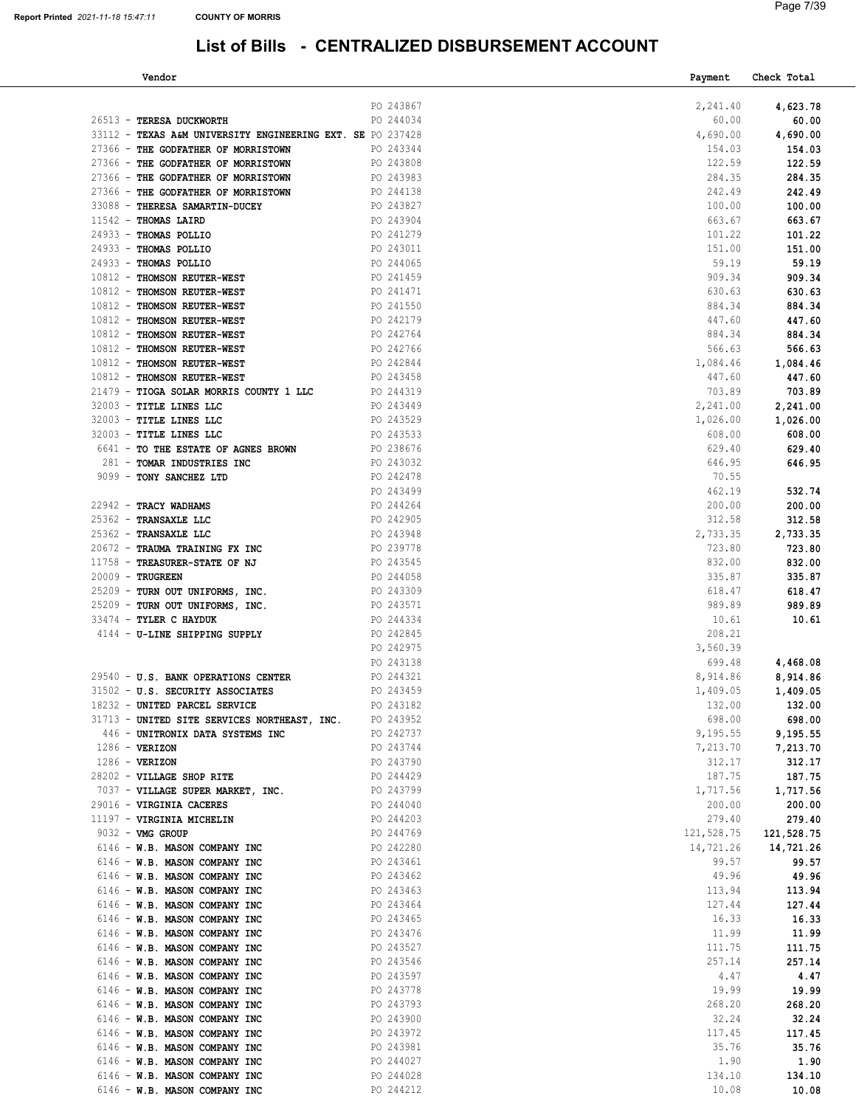| Vendor                                                     |           | Payment    | Check Total |
|------------------------------------------------------------|-----------|------------|-------------|
|                                                            |           |            |             |
|                                                            | PO 243867 | 2,241.40   | 4,623.78    |
| 26513 - TERESA DUCKWORTH                                   | PO 244034 | 60.00      | 60.00       |
| 33112 - TEXAS A&M UNIVERSITY ENGINEERING EXT. SE PO 237428 |           | 4,690.00   | 4,690.00    |
| 27366 - THE GODFATHER OF MORRISTOWN                        | PO 243344 | 154.03     | 154.03      |
| 27366 - THE GODFATHER OF MORRISTOWN                        | PO 243808 | 122.59     | 122.59      |
| 27366 - THE GODFATHER OF MORRISTOWN                        | PO 243983 | 284.35     | 284.35      |
| 27366 - THE GODFATHER OF MORRISTOWN                        | PO 244138 | 242.49     | 242.49      |
| 33088 - THERESA SAMARTIN-DUCEY                             | PO 243827 | 100.00     | 100.00      |
| $11542$ - THOMAS LAIRD                                     | PO 243904 | 663.67     | 663.67      |
| 24933 - THOMAS POLLIO                                      | PO 241279 | 101.22     | 101.22      |
| 24933 - THOMAS POLLIO                                      | PO 243011 | 151.00     | 151.00      |
| 24933 - THOMAS POLLIO                                      | PO 244065 | 59.19      | 59.19       |
| 10812 - THOMSON REUTER-WEST                                | PO 241459 | 909.34     | 909.34      |
| 10812 - THOMSON REUTER-WEST                                | PO 241471 | 630.63     | 630.63      |
| 10812 - THOMSON REUTER-WEST                                | PO 241550 | 884.34     | 884.34      |
| 10812 - THOMSON REUTER-WEST                                | PO 242179 | 447.60     | 447.60      |
| 10812 - THOMSON REUTER-WEST                                | PO 242764 | 884.34     | 884.34      |
| 10812 - THOMSON REUTER-WEST                                | PO 242766 | 566.63     | 566.63      |
| 10812 - THOMSON REUTER-WEST                                | PO 242844 | 1,084.46   | 1,084.46    |
| 10812 - THOMSON REUTER-WEST                                | PO 243458 | 447.60     | 447.60      |
| 21479 - TIOGA SOLAR MORRIS COUNTY 1 LLC                    | PO 244319 | 703.89     | 703.89      |
| 32003 - TITLE LINES LLC                                    | PO 243449 | 2,241.00   | 2,241.00    |
| 32003 - TITLE LINES LLC                                    | PO 243529 | 1,026.00   | 1,026.00    |
| 32003 - TITLE LINES LLC                                    | PO 243533 | 608.00     | 608.00      |
| 6641 - TO THE ESTATE OF AGNES BROWN                        | PO 238676 | 629.40     | 629.40      |
| 281 - TOMAR INDUSTRIES INC                                 | PO 243032 | 646.95     | 646.95      |
| 9099 - TONY SANCHEZ LTD                                    | PO 242478 | 70.55      |             |
|                                                            | PO 243499 | 462.19     | 532.74      |
| 22942 - TRACY WADHAMS                                      | PO 244264 | 200.00     | 200.00      |
| 25362 - TRANSAXLE LLC                                      | PO 242905 | 312.58     | 312.58      |
| 25362 - TRANSAXLE LLC                                      | PO 243948 | 2,733.35   | 2,733.35    |
| 20672 - TRAUMA TRAINING FX INC                             | PO 239778 | 723.80     | 723.80      |
| 11758 - TREASURER-STATE OF NJ                              | PO 243545 | 832.00     | 832.00      |
| $20009$ - TRUGREEN                                         | PO 244058 | 335.87     | 335.87      |
| 25209 - TURN OUT UNIFORMS, INC.                            | PO 243309 | 618.47     | 618.47      |
| 25209 - TURN OUT UNIFORMS, INC.                            | PO 243571 | 989.89     | 989.89      |
| 33474 - TYLER C HAYDUK                                     | PO 244334 | 10.61      | 10.61       |
| 4144 - U-LINE SHIPPING SUPPLY                              | PO 242845 | 208.21     |             |
|                                                            | PO 242975 | 3,560.39   |             |
|                                                            | PO 243138 | 699.48     | 4,468.08    |
| 29540 - U.S. BANK OPERATIONS CENTER                        | PO 244321 | 8,914.86   | 8,914.86    |
| 31502 - U.S. SECURITY ASSOCIATES                           | PO 243459 | 1,409.05   | 1,409.05    |
| 18232 - UNITED PARCEL SERVICE                              | PO 243182 | 132.00     | 132.00      |
| 31713 - UNITED SITE SERVICES NORTHEAST, INC. PO 243952     |           | 698.00     | 698.00      |
| 446 - UNITRONIX DATA SYSTEMS INC                           | PO 242737 | 9,195.55   | 9,195.55    |
| $1286$ - VERIZON                                           | PO 243744 | 7,213.70   | 7,213.70    |
| $1286 - VERIZON$                                           | PO 243790 | 312.17     | 312.17      |
| 28202 - VILLAGE SHOP RITE                                  | PO 244429 | 187.75     | 187.75      |
| 7037 - VILLAGE SUPER MARKET, INC.                          | PO 243799 | 1,717.56   | 1,717.56    |
| 29016 - VIRGINIA CACERES                                   | PO 244040 | 200.00     | 200.00      |
| 11197 - VIRGINIA MICHELIN                                  | PO 244203 | 279.40     | 279.40      |
| 9032 - VMG GROUP                                           | PO 244769 | 121,528.75 | 121,528.75  |
| 6146 - W.B. MASON COMPANY INC                              | PO 242280 | 14,721.26  | 14,721.26   |
| 6146 - W.B. MASON COMPANY INC                              | PO 243461 | 99.57      | 99.57       |
| 6146 - W.B. MASON COMPANY INC                              | PO 243462 | 49.96      | 49.96       |
| 6146 - W.B. MASON COMPANY INC                              | PO 243463 | 113.94     | 113.94      |
| 6146 - W.B. MASON COMPANY INC                              | PO 243464 | 127.44     | 127.44      |
| 6146 - W.B. MASON COMPANY INC                              | PO 243465 | 16.33      | 16.33       |
| 6146 - W.B. MASON COMPANY INC                              | PO 243476 | 11.99      | 11.99       |
| 6146 - W.B. MASON COMPANY INC                              | PO 243527 | 111.75     | 111.75      |
| 6146 - W.B. MASON COMPANY INC                              | PO 243546 | 257.14     | 257.14      |
| 6146 - W.B. MASON COMPANY INC                              | PO 243597 | 4.47       | 4.47        |
| 6146 - W.B. MASON COMPANY INC                              | PO 243778 | 19.99      | 19.99       |
|                                                            | PO 243793 | 268.20     |             |
| 6146 - W.B. MASON COMPANY INC                              | PO 243900 | 32.24      | 268.20      |
| 6146 - W.B. MASON COMPANY INC                              | PO 243972 | 117.45     | 32.24       |
| 6146 - W.B. MASON COMPANY INC                              |           |            | 117.45      |
| 6146 - W.B. MASON COMPANY INC                              | PO 243981 | 35.76      | 35.76       |
| 6146 - W.B. MASON COMPANY INC                              | PO 244027 | 1.90       | 1.90        |
| 6146 - W.B. MASON COMPANY INC                              | PO 244028 | 134.10     | 134.10      |
| 6146 - W.B. MASON COMPANY INC                              | PO 244212 | 10.08      | 10.08       |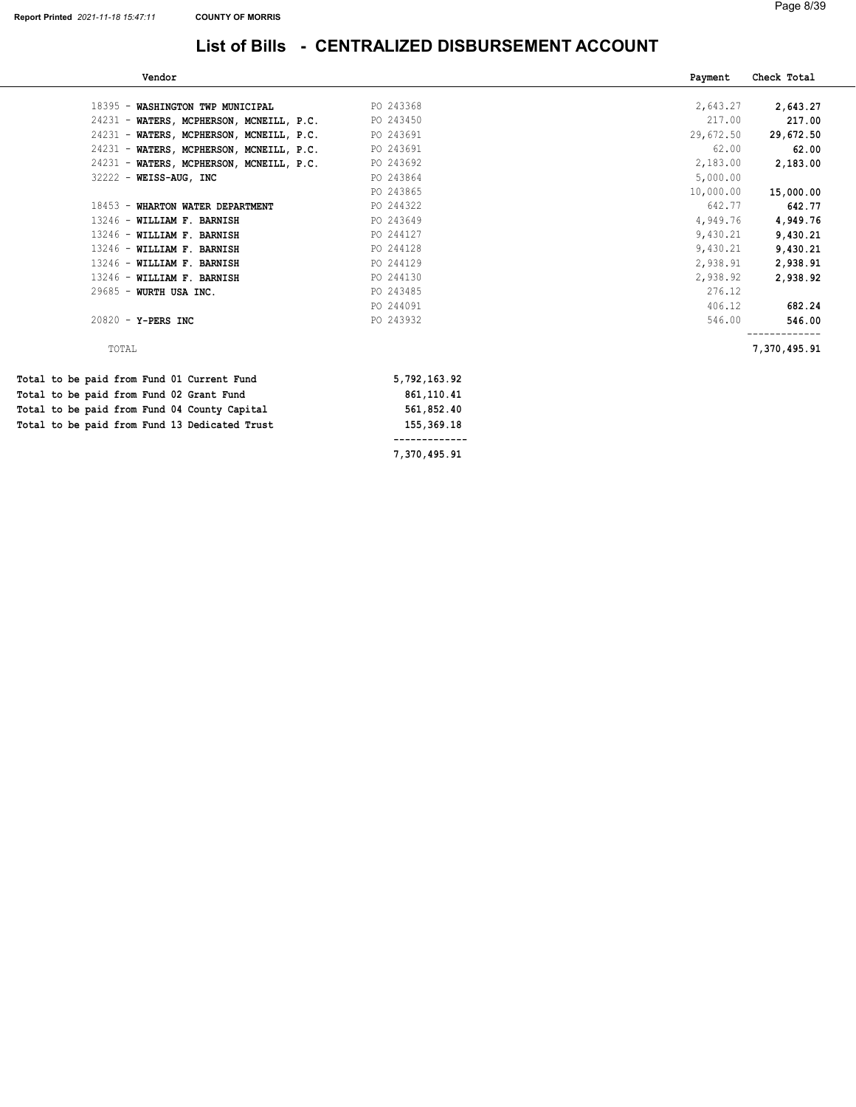| Vendor                                        |              | Payment   | Check Total  |
|-----------------------------------------------|--------------|-----------|--------------|
| 18395 - WASHINGTON TWP MUNICIPAL              | PO 243368    | 2,643.27  | 2,643.27     |
| 24231 - WATERS, MCPHERSON, MCNEILL, P.C.      | PO 243450    | 217.00    | 217.00       |
| 24231 - WATERS, MCPHERSON, MCNEILL, P.C.      | PO 243691    | 29,672.50 | 29,672.50    |
| 24231 - WATERS, MCPHERSON, MCNEILL, P.C.      | PO 243691    | 62.00     | 62.00        |
| 24231 - WATERS, MCPHERSON, MCNEILL, P.C.      | PO 243692    | 2,183.00  | 2,183.00     |
| $32222 - W E I S S - A U G$ , INC             | PO 243864    | 5,000.00  |              |
|                                               | PO 243865    | 10,000.00 | 15,000.00    |
| 18453 - WHARTON WATER DEPARTMENT              | PO 244322    | 642.77    | 642.77       |
| 13246 - WILLIAM F. BARNISH                    | PO 243649    | 4,949.76  | 4,949.76     |
| 13246 - WILLIAM F. BARNISH                    | PO 244127    | 9,430.21  | 9,430.21     |
| 13246 - WILLIAM F. BARNISH                    | PO 244128    | 9,430.21  | 9,430.21     |
| 13246 - WILLIAM F. BARNISH                    | PO 244129    | 2,938.91  | 2,938.91     |
| 13246 - WILLIAM F. BARNISH                    | PO 244130    | 2,938.92  | 2,938.92     |
| 29685 - WURTH USA INC.                        | PO 243485    | 276.12    |              |
|                                               | PO 244091    | 406.12    | 682.24       |
| $20820 - Y - PERS INC$                        | PO 243932    | 546.00    | 546.00       |
| TOTAL                                         |              |           | 7,370,495.91 |
| Total to be paid from Fund 01 Current Fund    | 5,792,163.92 |           |              |
| Total to be paid from Fund 02 Grant Fund      | 861,110.41   |           |              |
| Total to be paid from Fund 04 County Capital  | 561,852.40   |           |              |
| Total to be paid from Fund 13 Dedicated Trust | 155,369.18   |           |              |
|                                               |              |           |              |

7,370,495.91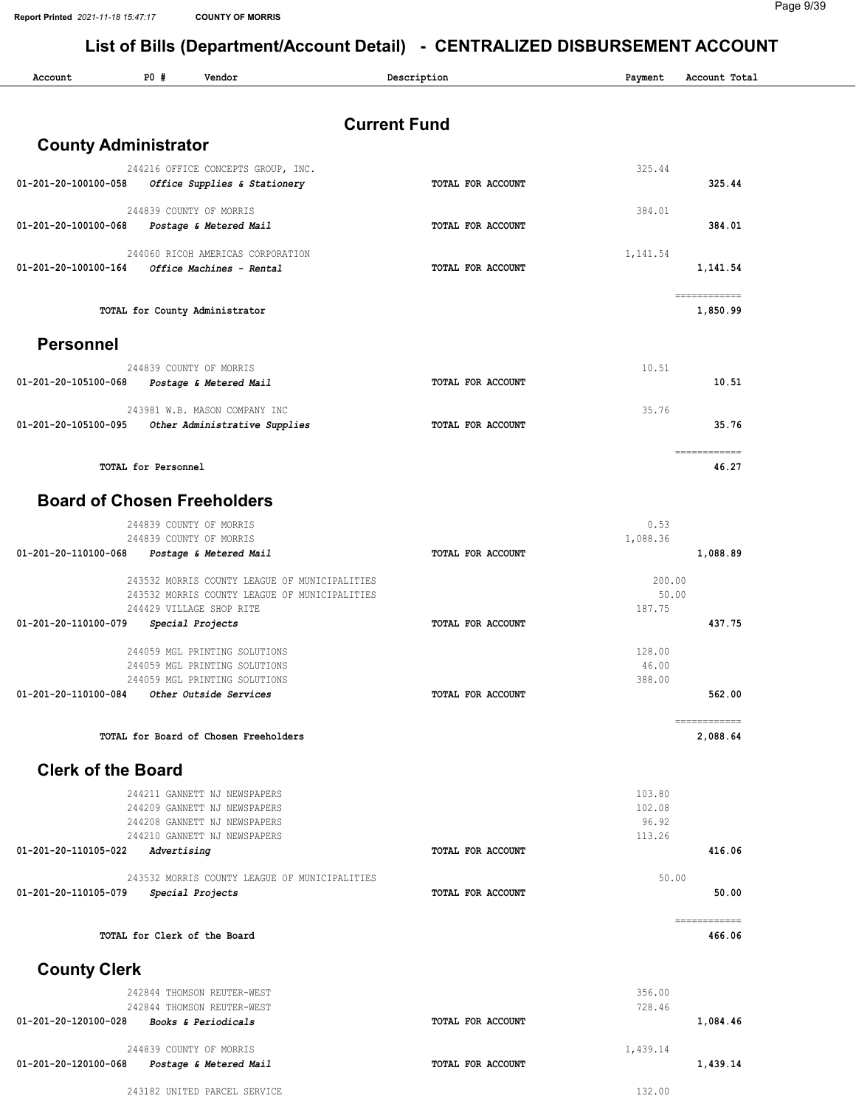Report Printed 2021-11-18 15:47:17 COUNTY OF MORRIS

| Account                     | P0#<br>Vendor                                                             | Description         | Payment          | Account Total            |
|-----------------------------|---------------------------------------------------------------------------|---------------------|------------------|--------------------------|
|                             |                                                                           | <b>Current Fund</b> |                  |                          |
| <b>County Administrator</b> |                                                                           |                     |                  |                          |
|                             | 244216 OFFICE CONCEPTS GROUP, INC.                                        |                     | 325.44           |                          |
| 01-201-20-100100-058        | Office Supplies & Stationery                                              | TOTAL FOR ACCOUNT   |                  | 325.44                   |
|                             | 244839 COUNTY OF MORRIS                                                   |                     | 384.01           |                          |
| 01-201-20-100100-068        | Postage & Metered Mail                                                    | TOTAL FOR ACCOUNT   |                  | 384.01                   |
|                             | 244060 RICOH AMERICAS CORPORATION                                         |                     | 1,141.54         |                          |
| 01-201-20-100100-164        | Office Machines - Rental                                                  | TOTAL FOR ACCOUNT   |                  | 1,141.54                 |
|                             | TOTAL for County Administrator                                            |                     |                  | ------------<br>1,850.99 |
| <b>Personnel</b>            |                                                                           |                     |                  |                          |
|                             | 244839 COUNTY OF MORRIS                                                   |                     | 10.51            |                          |
| 01-201-20-105100-068        | Postage & Metered Mail                                                    | TOTAL FOR ACCOUNT   |                  | 10.51                    |
|                             | 243981 W.B. MASON COMPANY INC                                             |                     | 35.76            |                          |
| 01-201-20-105100-095        | Other Administrative Supplies                                             | TOTAL FOR ACCOUNT   |                  | 35.76                    |
|                             | <b>TOTAL for Personnel</b>                                                |                     |                  | ============<br>46.27    |
|                             |                                                                           |                     |                  |                          |
|                             | <b>Board of Chosen Freeholders</b>                                        |                     |                  |                          |
|                             | 244839 COUNTY OF MORRIS<br>244839 COUNTY OF MORRIS                        |                     | 0.53<br>1,088.36 |                          |
| 01-201-20-110100-068        | Postage & Metered Mail                                                    | TOTAL FOR ACCOUNT   |                  | 1,088.89                 |
|                             | 243532 MORRIS COUNTY LEAGUE OF MUNICIPALITIES                             |                     | 200.00           |                          |
|                             | 243532 MORRIS COUNTY LEAGUE OF MUNICIPALITIES<br>244429 VILLAGE SHOP RITE |                     | 50.00<br>187.75  |                          |
| 01-201-20-110100-079        | Special Projects                                                          | TOTAL FOR ACCOUNT   |                  | 437.75                   |
|                             | 244059 MGL PRINTING SOLUTIONS                                             |                     | 128.00           |                          |
|                             | 244059 MGL PRINTING SOLUTIONS                                             |                     | 46.00            |                          |
| 01-201-20-110100-084        | 244059 MGL PRINTING SOLUTIONS<br>Other Outside Services                   | TOTAL FOR ACCOUNT   | 388.00           | 562.00                   |
|                             |                                                                           |                     |                  | ============             |
|                             | TOTAL for Board of Chosen Freeholders                                     |                     |                  | 2,088.64                 |
| <b>Clerk of the Board</b>   |                                                                           |                     |                  |                          |
|                             | 244211 GANNETT NJ NEWSPAPERS                                              |                     | 103.80           |                          |
|                             | 244209 GANNETT NJ NEWSPAPERS<br>244208 GANNETT NJ NEWSPAPERS              |                     | 102.08<br>96.92  |                          |
|                             | 244210 GANNETT NJ NEWSPAPERS                                              |                     | 113.26           |                          |
| 01-201-20-110105-022        | Advertising                                                               | TOTAL FOR ACCOUNT   |                  | 416.06                   |
|                             | 243532 MORRIS COUNTY LEAGUE OF MUNICIPALITIES                             |                     | 50.00            |                          |
| 01-201-20-110105-079        | Special Projects                                                          | TOTAL FOR ACCOUNT   |                  | 50.00                    |
|                             | TOTAL for Clerk of the Board                                              |                     |                  | ------------<br>466.06   |
| <b>County Clerk</b>         |                                                                           |                     |                  |                          |
|                             | 242844 THOMSON REUTER-WEST                                                |                     | 356.00           |                          |
| 01-201-20-120100-028        | 242844 THOMSON REUTER-WEST<br>Books & Periodicals                         | TOTAL FOR ACCOUNT   | 728.46           | 1,084.46                 |
|                             |                                                                           |                     |                  |                          |
| 01-201-20-120100-068        | 244839 COUNTY OF MORRIS<br>Postage & Metered Mail                         | TOTAL FOR ACCOUNT   | 1,439.14         | 1,439.14                 |
|                             | 243182 UNITED PARCEL SERVICE                                              |                     | 132.00           |                          |
|                             |                                                                           |                     |                  |                          |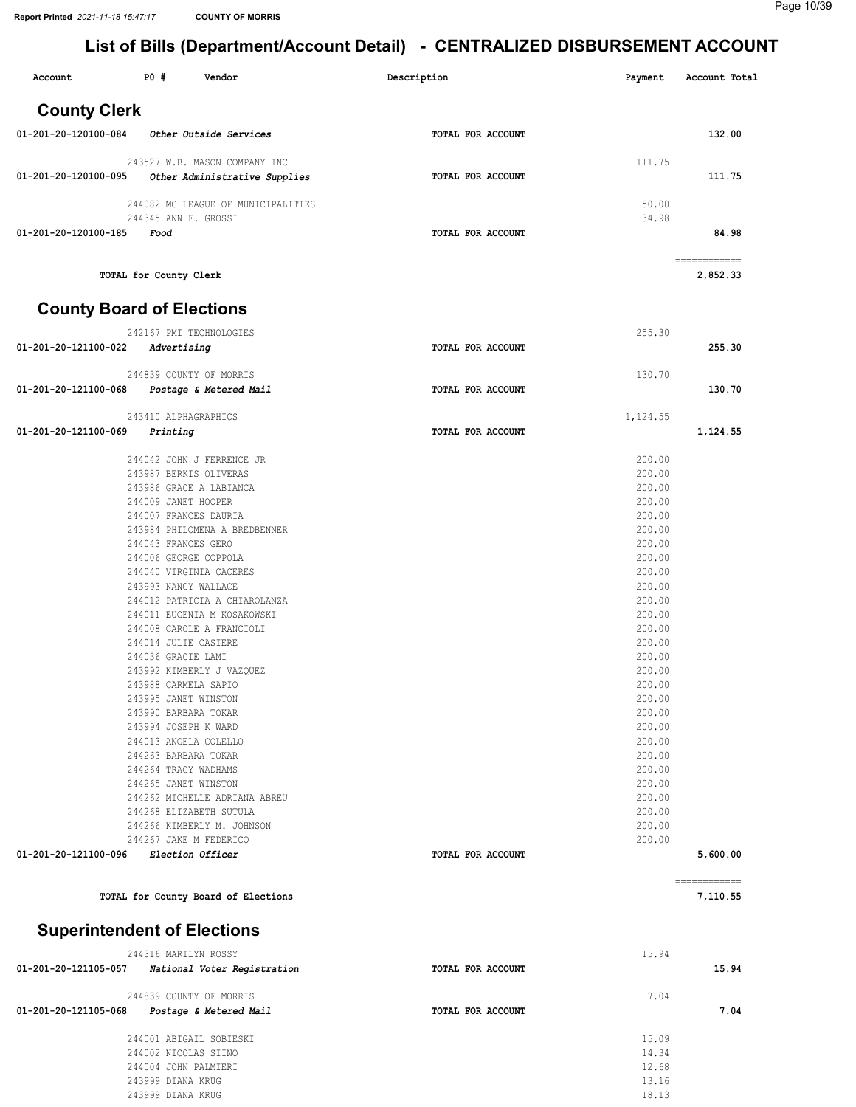| Account                            | P0#                                           | Vendor                                                   | Description       | Payment          | Account Total                                                                                                                                                                                                                                                                                                                                                                                                                                                                              |
|------------------------------------|-----------------------------------------------|----------------------------------------------------------|-------------------|------------------|--------------------------------------------------------------------------------------------------------------------------------------------------------------------------------------------------------------------------------------------------------------------------------------------------------------------------------------------------------------------------------------------------------------------------------------------------------------------------------------------|
| <b>County Clerk</b>                |                                               |                                                          |                   |                  |                                                                                                                                                                                                                                                                                                                                                                                                                                                                                            |
| 01-201-20-120100-084               |                                               | Other Outside Services                                   | TOTAL FOR ACCOUNT |                  | 132.00                                                                                                                                                                                                                                                                                                                                                                                                                                                                                     |
|                                    |                                               | 243527 W.B. MASON COMPANY INC                            |                   | 111.75           |                                                                                                                                                                                                                                                                                                                                                                                                                                                                                            |
| 01-201-20-120100-095               |                                               | Other Administrative Supplies                            | TOTAL FOR ACCOUNT |                  | 111.75                                                                                                                                                                                                                                                                                                                                                                                                                                                                                     |
|                                    |                                               | 244082 MC LEAGUE OF MUNICIPALITIES                       |                   | 50.00            |                                                                                                                                                                                                                                                                                                                                                                                                                                                                                            |
| 01-201-20-120100-185               | 244345 ANN F. GROSSI<br>Food                  |                                                          | TOTAL FOR ACCOUNT | 34.98            | 84.98                                                                                                                                                                                                                                                                                                                                                                                                                                                                                      |
|                                    |                                               |                                                          |                   |                  | $\begin{minipage}{0.9\linewidth} \begin{tabular}{l} \multicolumn{2}{l}{} & \multicolumn{2}{l}{} & \multicolumn{2}{l}{} \\ \multicolumn{2}{l}{} & \multicolumn{2}{l}{} & \multicolumn{2}{l}{} \\ \multicolumn{2}{l}{} & \multicolumn{2}{l}{} & \multicolumn{2}{l}{} \\ \multicolumn{2}{l}{} & \multicolumn{2}{l}{} & \multicolumn{2}{l}{} \\ \multicolumn{2}{l}{} & \multicolumn{2}{l}{} & \multicolumn{2}{l}{} \\ \multicolumn{2}{l}{} & \multicolumn{2}{l}{} & \multicolumn{2}{l}{} \\ \$ |
|                                    | TOTAL for County Clerk                        |                                                          |                   |                  | 2,852.33                                                                                                                                                                                                                                                                                                                                                                                                                                                                                   |
| <b>County Board of Elections</b>   |                                               |                                                          |                   |                  |                                                                                                                                                                                                                                                                                                                                                                                                                                                                                            |
|                                    |                                               | 242167 PMI TECHNOLOGIES                                  |                   | 255.30           |                                                                                                                                                                                                                                                                                                                                                                                                                                                                                            |
| 01-201-20-121100-022               | Advertising                                   |                                                          | TOTAL FOR ACCOUNT |                  | 255.30                                                                                                                                                                                                                                                                                                                                                                                                                                                                                     |
|                                    |                                               | 244839 COUNTY OF MORRIS                                  |                   | 130.70           |                                                                                                                                                                                                                                                                                                                                                                                                                                                                                            |
| 01-201-20-121100-068               |                                               | Postage & Metered Mail                                   | TOTAL FOR ACCOUNT |                  | 130.70                                                                                                                                                                                                                                                                                                                                                                                                                                                                                     |
|                                    | 243410 ALPHAGRAPHICS                          |                                                          |                   | 1,124.55         |                                                                                                                                                                                                                                                                                                                                                                                                                                                                                            |
| 01-201-20-121100-069               | Printing                                      |                                                          | TOTAL FOR ACCOUNT |                  | 1,124.55                                                                                                                                                                                                                                                                                                                                                                                                                                                                                   |
|                                    |                                               | 244042 JOHN J FERRENCE JR                                |                   | 200.00           |                                                                                                                                                                                                                                                                                                                                                                                                                                                                                            |
|                                    |                                               | 243987 BERKIS OLIVERAS                                   |                   | 200.00           |                                                                                                                                                                                                                                                                                                                                                                                                                                                                                            |
|                                    |                                               | 243986 GRACE A LABIANCA                                  |                   | 200.00           |                                                                                                                                                                                                                                                                                                                                                                                                                                                                                            |
|                                    | 244009 JANET HOOPER                           |                                                          |                   | 200.00<br>200.00 |                                                                                                                                                                                                                                                                                                                                                                                                                                                                                            |
|                                    | 244007 FRANCES DAURIA                         | 243984 PHILOMENA A BREDBENNER                            |                   | 200.00           |                                                                                                                                                                                                                                                                                                                                                                                                                                                                                            |
|                                    | 244043 FRANCES GERO                           |                                                          |                   | 200.00           |                                                                                                                                                                                                                                                                                                                                                                                                                                                                                            |
|                                    | 244006 GEORGE COPPOLA                         |                                                          |                   | 200.00           |                                                                                                                                                                                                                                                                                                                                                                                                                                                                                            |
|                                    |                                               | 244040 VIRGINIA CACERES                                  |                   | 200.00           |                                                                                                                                                                                                                                                                                                                                                                                                                                                                                            |
|                                    | 243993 NANCY WALLACE                          |                                                          |                   | 200.00           |                                                                                                                                                                                                                                                                                                                                                                                                                                                                                            |
|                                    |                                               | 244012 PATRICIA A CHIAROLANZA                            |                   | 200.00           |                                                                                                                                                                                                                                                                                                                                                                                                                                                                                            |
|                                    |                                               | 244011 EUGENIA M KOSAKOWSKI<br>244008 CAROLE A FRANCIOLI |                   | 200.00<br>200.00 |                                                                                                                                                                                                                                                                                                                                                                                                                                                                                            |
|                                    | 244014 JULIE CASIERE                          |                                                          |                   | 200.00           |                                                                                                                                                                                                                                                                                                                                                                                                                                                                                            |
|                                    | 244036 GRACIE LAMI                            |                                                          |                   | 200.00           |                                                                                                                                                                                                                                                                                                                                                                                                                                                                                            |
|                                    |                                               | 243992 KIMBERLY J VAZQUEZ                                |                   | 200.00           |                                                                                                                                                                                                                                                                                                                                                                                                                                                                                            |
|                                    | 243988 CARMELA SAPIO                          |                                                          |                   | 200.00           |                                                                                                                                                                                                                                                                                                                                                                                                                                                                                            |
|                                    | 243995 JANET WINSTON                          |                                                          |                   | 200.00           |                                                                                                                                                                                                                                                                                                                                                                                                                                                                                            |
|                                    | 243990 BARBARA TOKAR                          |                                                          |                   | 200.00           |                                                                                                                                                                                                                                                                                                                                                                                                                                                                                            |
|                                    | 243994 JOSEPH K WARD<br>244013 ANGELA COLELLO |                                                          |                   | 200.00<br>200.00 |                                                                                                                                                                                                                                                                                                                                                                                                                                                                                            |
|                                    | 244263 BARBARA TOKAR                          |                                                          |                   | 200.00           |                                                                                                                                                                                                                                                                                                                                                                                                                                                                                            |
|                                    | 244264 TRACY WADHAMS                          |                                                          |                   | 200.00           |                                                                                                                                                                                                                                                                                                                                                                                                                                                                                            |
|                                    | 244265 JANET WINSTON                          |                                                          |                   | 200.00           |                                                                                                                                                                                                                                                                                                                                                                                                                                                                                            |
|                                    |                                               | 244262 MICHELLE ADRIANA ABREU                            |                   | 200.00           |                                                                                                                                                                                                                                                                                                                                                                                                                                                                                            |
|                                    |                                               | 244268 ELIZABETH SUTULA<br>244266 KIMBERLY M. JOHNSON    |                   | 200.00<br>200.00 |                                                                                                                                                                                                                                                                                                                                                                                                                                                                                            |
|                                    |                                               | 244267 JAKE M FEDERICO                                   |                   | 200.00           |                                                                                                                                                                                                                                                                                                                                                                                                                                                                                            |
| 01-201-20-121100-096               | <i>Election Officer</i>                       |                                                          | TOTAL FOR ACCOUNT |                  | 5,600.00                                                                                                                                                                                                                                                                                                                                                                                                                                                                                   |
|                                    |                                               | TOTAL for County Board of Elections                      |                   |                  | ------------<br>7,110.55                                                                                                                                                                                                                                                                                                                                                                                                                                                                   |
|                                    |                                               |                                                          |                   |                  |                                                                                                                                                                                                                                                                                                                                                                                                                                                                                            |
| <b>Superintendent of Elections</b> |                                               |                                                          |                   |                  |                                                                                                                                                                                                                                                                                                                                                                                                                                                                                            |
|                                    | 244316 MARILYN ROSSY                          |                                                          |                   | 15.94            |                                                                                                                                                                                                                                                                                                                                                                                                                                                                                            |
| 01-201-20-121105-057               |                                               | National Voter Registration                              | TOTAL FOR ACCOUNT |                  | 15.94                                                                                                                                                                                                                                                                                                                                                                                                                                                                                      |
| 01-201-20-121105-068               |                                               | 244839 COUNTY OF MORRIS<br>Postage & Metered Mail        | TOTAL FOR ACCOUNT | 7.04             | 7.04                                                                                                                                                                                                                                                                                                                                                                                                                                                                                       |
|                                    |                                               |                                                          |                   |                  |                                                                                                                                                                                                                                                                                                                                                                                                                                                                                            |
|                                    |                                               | 244001 ABIGAIL SOBIESKI                                  |                   | 15.09            |                                                                                                                                                                                                                                                                                                                                                                                                                                                                                            |
|                                    | 244002 NICOLAS SIINO                          |                                                          |                   | 14.34            |                                                                                                                                                                                                                                                                                                                                                                                                                                                                                            |
|                                    | 244004 JOHN PALMIERI<br>243999 DIANA KRUG     |                                                          |                   | 12.68<br>13.16   |                                                                                                                                                                                                                                                                                                                                                                                                                                                                                            |
|                                    |                                               |                                                          |                   |                  |                                                                                                                                                                                                                                                                                                                                                                                                                                                                                            |

243999 DIANA KRUG 18.13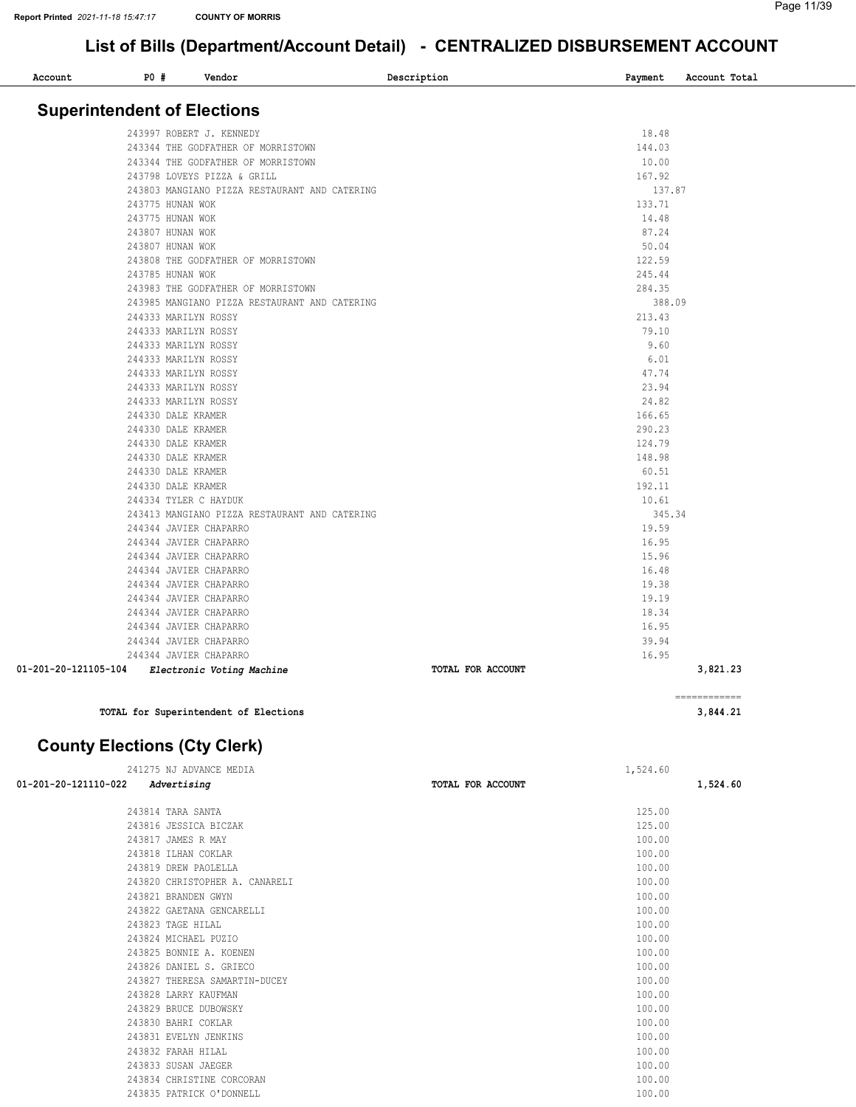| Account              | P0#                                | Vendor                                        | Description       | Payment | Account Total |
|----------------------|------------------------------------|-----------------------------------------------|-------------------|---------|---------------|
|                      | <b>Superintendent of Elections</b> |                                               |                   |         |               |
|                      |                                    |                                               |                   |         |               |
|                      |                                    | 243997 ROBERT J. KENNEDY                      |                   | 18.48   |               |
|                      |                                    | 243344 THE GODFATHER OF MORRISTOWN            |                   | 144.03  |               |
|                      |                                    | 243344 THE GODFATHER OF MORRISTOWN            |                   | 10.00   |               |
|                      |                                    | 243798 LOVEYS PIZZA & GRILL                   |                   | 167.92  |               |
|                      |                                    | 243803 MANGIANO PIZZA RESTAURANT AND CATERING |                   | 137.87  |               |
|                      | 243775 HUNAN WOK                   |                                               |                   | 133.71  |               |
|                      | 243775 HUNAN WOK                   |                                               |                   | 14.48   |               |
|                      | 243807 HUNAN WOK                   |                                               |                   | 87.24   |               |
|                      | 243807 HUNAN WOK                   |                                               |                   | 50.04   |               |
|                      |                                    | 243808 THE GODFATHER OF MORRISTOWN            |                   | 122.59  |               |
|                      | 243785 HUNAN WOK                   |                                               |                   | 245.44  |               |
|                      |                                    | 243983 THE GODFATHER OF MORRISTOWN            |                   | 284.35  |               |
|                      |                                    | 243985 MANGIANO PIZZA RESTAURANT AND CATERING |                   | 388.09  |               |
|                      | 244333 MARILYN ROSSY               |                                               |                   | 213.43  |               |
|                      | 244333 MARILYN ROSSY               |                                               |                   | 79.10   |               |
|                      | 244333 MARILYN ROSSY               |                                               |                   | 9.60    |               |
|                      | 244333 MARILYN ROSSY               |                                               |                   | 6.01    |               |
|                      | 244333 MARILYN ROSSY               |                                               |                   | 47.74   |               |
|                      | 244333 MARILYN ROSSY               |                                               |                   | 23.94   |               |
|                      | 244333 MARILYN ROSSY               |                                               |                   | 24.82   |               |
|                      | 244330 DALE KRAMER                 |                                               |                   | 166.65  |               |
|                      | 244330 DALE KRAMER                 |                                               |                   | 290.23  |               |
|                      | 244330 DALE KRAMER                 |                                               |                   | 124.79  |               |
|                      | 244330 DALE KRAMER                 |                                               |                   | 148.98  |               |
|                      | 244330 DALE KRAMER                 |                                               |                   | 60.51   |               |
|                      | 244330 DALE KRAMER                 |                                               |                   | 192.11  |               |
|                      | 244334 TYLER C HAYDUK              |                                               |                   | 10.61   |               |
|                      |                                    | 243413 MANGIANO PIZZA RESTAURANT AND CATERING |                   | 345.34  |               |
|                      |                                    | 244344 JAVIER CHAPARRO                        |                   | 19.59   |               |
|                      |                                    | 244344 JAVIER CHAPARRO                        |                   | 16.95   |               |
|                      |                                    | 244344 JAVIER CHAPARRO                        |                   | 15.96   |               |
|                      |                                    | 244344 JAVIER CHAPARRO                        |                   | 16.48   |               |
|                      |                                    | 244344 JAVIER CHAPARRO                        |                   | 19.38   |               |
|                      |                                    | 244344 JAVIER CHAPARRO                        |                   | 19.19   |               |
|                      |                                    | 244344 JAVIER CHAPARRO                        |                   | 18.34   |               |
|                      |                                    | 244344 JAVIER CHAPARRO                        |                   | 16.95   |               |
|                      |                                    | 244344 JAVIER CHAPARRO                        |                   | 39.94   |               |
|                      |                                    | 244344 JAVIER CHAPARRO                        |                   | 16.95   |               |
| 01-201-20-121105-104 |                                    | Electronic Voting Machine                     | TOTAL FOR ACCOUNT |         | 3,821.23      |

TOTAL for Superintendent of Elections 3,844.21

County Elections (Cty Clerk)

| 241275 NJ ADVANCE MEDIA             |                   | 1,524.60 |  |
|-------------------------------------|-------------------|----------|--|
| 01-201-20-121110-022<br>Advertising | TOTAL FOR ACCOUNT | 1,524.60 |  |
| 243814 TARA SANTA                   |                   | 125.00   |  |
| 243816 JESSICA BICZAK               |                   | 125.00   |  |
| 243817 JAMES R MAY                  |                   | 100.00   |  |
| 243818 ILHAN COKLAR                 |                   | 100.00   |  |
| 243819 DREW PAOLELLA                |                   | 100.00   |  |
| 243820 CHRISTOPHER A. CANARELI      |                   | 100.00   |  |
| 243821 BRANDEN GWYN                 |                   | 100.00   |  |
| 243822 GAETANA GENCARELLI           |                   | 100.00   |  |
| 243823 TAGE HILAL                   |                   | 100.00   |  |
| 243824 MICHAEL PUZIO                |                   | 100.00   |  |
| 243825 BONNIE A. KOENEN             |                   | 100.00   |  |
| 243826 DANIEL S. GRIECO             |                   | 100.00   |  |
| 243827 THERESA SAMARTIN-DUCEY       |                   | 100.00   |  |
| 243828 LARRY KAUFMAN                |                   | 100.00   |  |
| 243829 BRUCE DUBOWSKY               |                   | 100.00   |  |
| 243830 BAHRI COKLAR                 |                   | 100.00   |  |
| 243831 EVELYN JENKINS               |                   | 100.00   |  |
| 243832 FARAH HILAL                  |                   | 100.00   |  |
| 243833 SUSAN JAEGER                 |                   | 100.00   |  |
| 243834 CHRISTINE CORCORAN           |                   | 100.00   |  |
| 243835 PATRICK O'DONNELL            |                   | 100.00   |  |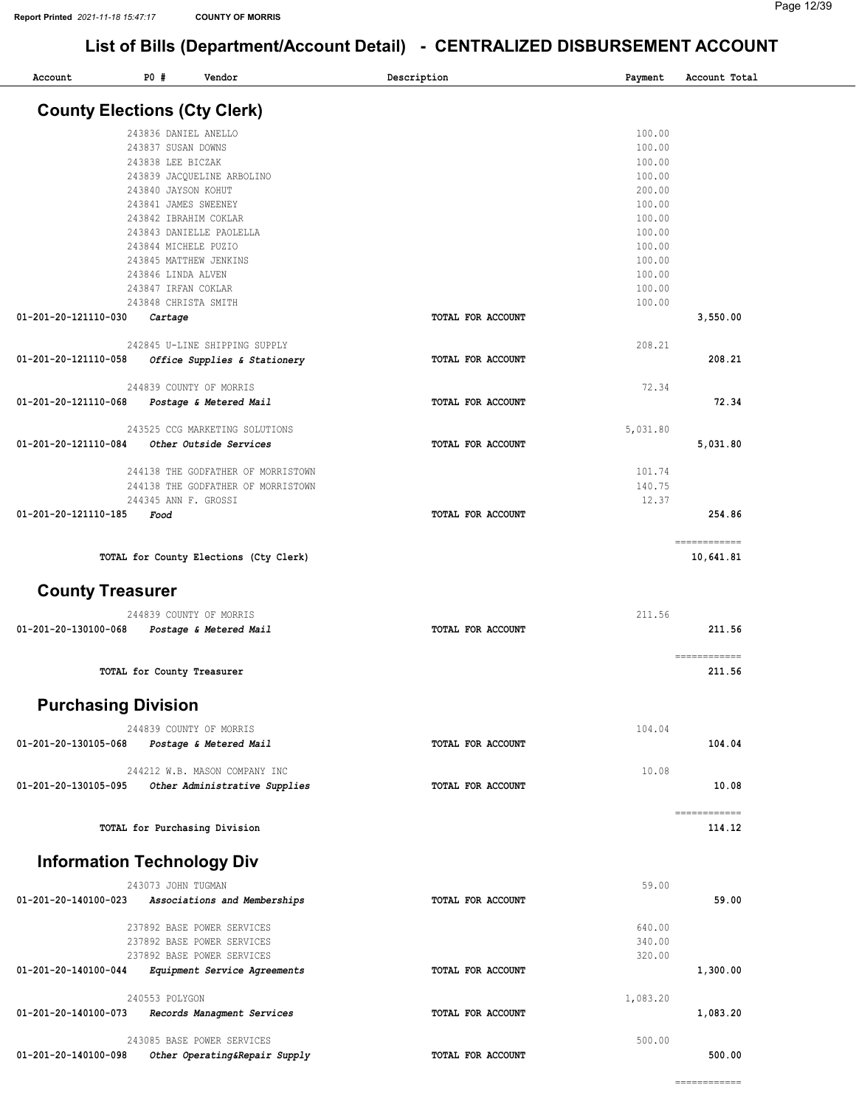| Account                             | P0#                                                                                                                                                                                                          | Vendor                                                                                                                 | Description       | Payment                                                                                                              | Account Total             |
|-------------------------------------|--------------------------------------------------------------------------------------------------------------------------------------------------------------------------------------------------------------|------------------------------------------------------------------------------------------------------------------------|-------------------|----------------------------------------------------------------------------------------------------------------------|---------------------------|
| <b>County Elections (Cty Clerk)</b> |                                                                                                                                                                                                              |                                                                                                                        |                   |                                                                                                                      |                           |
|                                     | 243836 DANIEL ANELLO<br>243837 SUSAN DOWNS<br>243838 LEE BICZAK<br>243840 JAYSON KOHUT<br>243841 JAMES SWEENEY<br>243842 IBRAHIM COKLAR<br>243844 MICHELE PUZIO<br>243846 LINDA ALVEN<br>243847 IRFAN COKLAR | 243839 JACQUELINE ARBOLINO<br>243843 DANIELLE PAOLELLA<br>243845 MATTHEW JENKINS                                       |                   | 100.00<br>100.00<br>100.00<br>100.00<br>200.00<br>100.00<br>100.00<br>100.00<br>100.00<br>100.00<br>100.00<br>100.00 |                           |
| 01-201-20-121110-030                | 243848 CHRISTA SMITH<br>Cartage                                                                                                                                                                              |                                                                                                                        | TOTAL FOR ACCOUNT | 100.00                                                                                                               | 3,550.00                  |
| 01-201-20-121110-058                |                                                                                                                                                                                                              | 242845 U-LINE SHIPPING SUPPLY<br>Office Supplies & Stationery                                                          | TOTAL FOR ACCOUNT | 208.21                                                                                                               | 208.21                    |
| 01-201-20-121110-068                |                                                                                                                                                                                                              | 244839 COUNTY OF MORRIS<br>Postage & Metered Mail                                                                      | TOTAL FOR ACCOUNT | 72.34                                                                                                                | 72.34                     |
| 01-201-20-121110-084                |                                                                                                                                                                                                              | 243525 CCG MARKETING SOLUTIONS<br>Other Outside Services                                                               | TOTAL FOR ACCOUNT | 5,031.80                                                                                                             | 5,031.80                  |
| 01-201-20-121110-185                | 244345 ANN F. GROSSI<br>Food                                                                                                                                                                                 | 244138 THE GODFATHER OF MORRISTOWN<br>244138 THE GODFATHER OF MORRISTOWN                                               | TOTAL FOR ACCOUNT | 101.74<br>140.75<br>12.37                                                                                            | 254.86                    |
|                                     |                                                                                                                                                                                                              | TOTAL for County Elections (Cty Clerk)                                                                                 |                   |                                                                                                                      | ============<br>10,641.81 |
| <b>County Treasurer</b>             |                                                                                                                                                                                                              |                                                                                                                        |                   |                                                                                                                      |                           |
| 01-201-20-130100-068                |                                                                                                                                                                                                              | 244839 COUNTY OF MORRIS<br>Postage & Metered Mail                                                                      | TOTAL FOR ACCOUNT | 211.56                                                                                                               | 211.56                    |
|                                     | TOTAL for County Treasurer                                                                                                                                                                                   |                                                                                                                        |                   |                                                                                                                      | ============<br>211.56    |
| <b>Purchasing Division</b>          |                                                                                                                                                                                                              |                                                                                                                        |                   |                                                                                                                      |                           |
| 01-201-20-130105-068                |                                                                                                                                                                                                              | 244839 COUNTY OF MORRIS<br>Postage & Metered Mail                                                                      | TOTAL FOR ACCOUNT | 104.04                                                                                                               | 104.04                    |
| 01-201-20-130105-095                |                                                                                                                                                                                                              | 244212 W.B. MASON COMPANY INC<br>Other Administrative Supplies                                                         | TOTAL FOR ACCOUNT | 10.08                                                                                                                | 10.08                     |
|                                     |                                                                                                                                                                                                              | TOTAL for Purchasing Division                                                                                          |                   |                                                                                                                      | ------------<br>114.12    |
| <b>Information Technology Div</b>   |                                                                                                                                                                                                              |                                                                                                                        |                   |                                                                                                                      |                           |
| 01-201-20-140100-023                | 243073 JOHN TUGMAN                                                                                                                                                                                           | Associations and Memberships                                                                                           | TOTAL FOR ACCOUNT | 59.00                                                                                                                | 59.00                     |
| 01-201-20-140100-044                |                                                                                                                                                                                                              | 237892 BASE POWER SERVICES<br>237892 BASE POWER SERVICES<br>237892 BASE POWER SERVICES<br>Equipment Service Agreements | TOTAL FOR ACCOUNT | 640.00<br>340.00<br>320.00                                                                                           | 1,300.00                  |
| 01-201-20-140100-073                | 240553 POLYGON                                                                                                                                                                                               | Records Managment Services                                                                                             | TOTAL FOR ACCOUNT | 1,083.20                                                                                                             | 1,083.20                  |
| 01-201-20-140100-098                |                                                                                                                                                                                                              | 243085 BASE POWER SERVICES<br>Other Operating&Repair Supply                                                            | TOTAL FOR ACCOUNT | 500.00                                                                                                               | 500.00                    |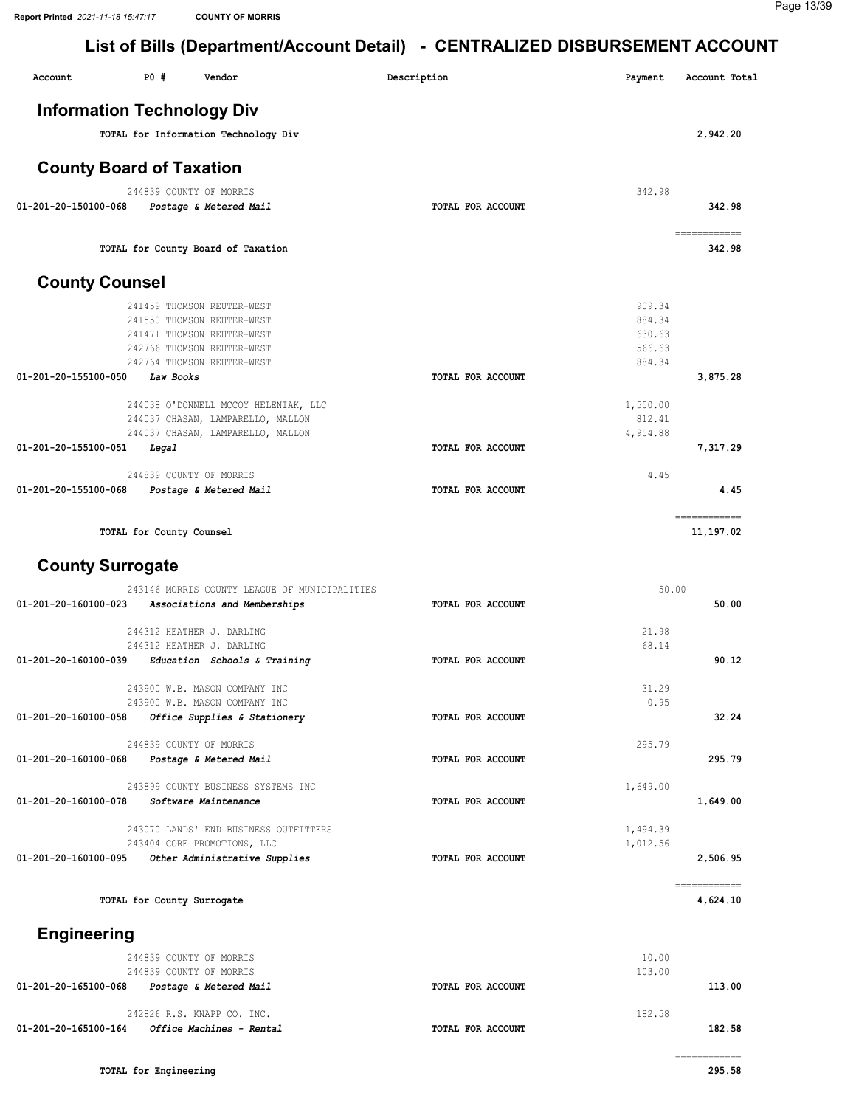| Account                        | P0 #<br>Vendor                                                 | Description       | Payment          | Account Total          |
|--------------------------------|----------------------------------------------------------------|-------------------|------------------|------------------------|
|                                | <b>Information Technology Div</b>                              |                   |                  |                        |
|                                | TOTAL for Information Technology Div                           |                   |                  | 2,942.20               |
|                                | <b>County Board of Taxation</b>                                |                   |                  |                        |
|                                | 244839 COUNTY OF MORRIS                                        |                   | 342.98           |                        |
| 01-201-20-150100-068           | Postage & Metered Mail                                         | TOTAL FOR ACCOUNT |                  | 342.98                 |
|                                | TOTAL for County Board of Taxation                             |                   |                  | ============<br>342.98 |
| <b>County Counsel</b>          |                                                                |                   |                  |                        |
|                                | 241459 THOMSON REUTER-WEST                                     |                   | 909.34           |                        |
|                                | 241550 THOMSON REUTER-WEST<br>241471 THOMSON REUTER-WEST       |                   | 884.34<br>630.63 |                        |
|                                | 242766 THOMSON REUTER-WEST                                     |                   | 566.63           |                        |
|                                | 242764 THOMSON REUTER-WEST                                     |                   | 884.34           |                        |
| 01-201-20-155100-050           | Law Books                                                      | TOTAL FOR ACCOUNT |                  | 3,875.28               |
|                                | 244038 O'DONNELL MCCOY HELENIAK, LLC                           |                   | 1,550.00         |                        |
|                                | 244037 CHASAN, LAMPARELLO, MALLON                              |                   | 812.41           |                        |
|                                | 244037 CHASAN, LAMPARELLO, MALLON                              |                   | 4,954.88         |                        |
| 01-201-20-155100-051           | Legal                                                          | TOTAL FOR ACCOUNT |                  | 7,317.29               |
| 01-201-20-155100-068           | 244839 COUNTY OF MORRIS<br>Postage & Metered Mail              | TOTAL FOR ACCOUNT | 4.45             | 4.45                   |
|                                |                                                                |                   |                  | ============           |
|                                | TOTAL for County Counsel                                       |                   |                  | 11,197.02              |
|                                |                                                                |                   |                  |                        |
| <b>County Surrogate</b>        |                                                                |                   |                  |                        |
|                                | 243146 MORRIS COUNTY LEAGUE OF MUNICIPALITIES                  |                   | 50.00            |                        |
| 01-201-20-160100-023           | Associations and Memberships                                   | TOTAL FOR ACCOUNT |                  | 50.00                  |
|                                | 244312 HEATHER J. DARLING                                      |                   | 21.98            |                        |
| $01 - 201 - 20 - 160100 - 039$ | 244312 HEATHER J. DARLING<br>Education Schools & Training      | TOTAL FOR ACCOUNT | 68.14            | 90.12                  |
|                                |                                                                |                   |                  |                        |
|                                | 243900 W.B. MASON COMPANY INC<br>243900 W.B. MASON COMPANY INC |                   | 31.29<br>0.95    |                        |
| 01-201-20-160100-058           | Office Supplies & Stationery                                   | TOTAL FOR ACCOUNT |                  | 32.24                  |
|                                | 244839 COUNTY OF MORRIS                                        |                   | 295.79           |                        |
| 01-201-20-160100-068           | Postage & Metered Mail                                         | TOTAL FOR ACCOUNT |                  | 295.79                 |
|                                |                                                                |                   |                  |                        |
| 01-201-20-160100-078           | 243899 COUNTY BUSINESS SYSTEMS INC<br>Software Maintenance     | TOTAL FOR ACCOUNT | 1,649.00         | 1,649.00               |
|                                | 243070 LANDS' END BUSINESS OUTFITTERS                          |                   | 1,494.39         |                        |
|                                | 243404 CORE PROMOTIONS, LLC                                    |                   | 1,012.56         |                        |
| 01-201-20-160100-095           | Other Administrative Supplies                                  | TOTAL FOR ACCOUNT |                  | 2,506.95               |
|                                |                                                                |                   |                  | ============           |
|                                | TOTAL for County Surrogate                                     |                   |                  | 4,624.10               |
| <b>Engineering</b>             |                                                                |                   |                  |                        |
|                                | 244839 COUNTY OF MORRIS                                        |                   | 10.00            |                        |
|                                | 244839 COUNTY OF MORRIS                                        |                   | 103.00           |                        |
| 01-201-20-165100-068           | Postage & Metered Mail                                         | TOTAL FOR ACCOUNT |                  | 113.00                 |
|                                | 242826 R.S. KNAPP CO. INC.                                     |                   | 182.58           |                        |
| 01-201-20-165100-164           | Office Machines - Rental                                       | TOTAL FOR ACCOUNT |                  | 182.58                 |
|                                |                                                                |                   |                  | ============           |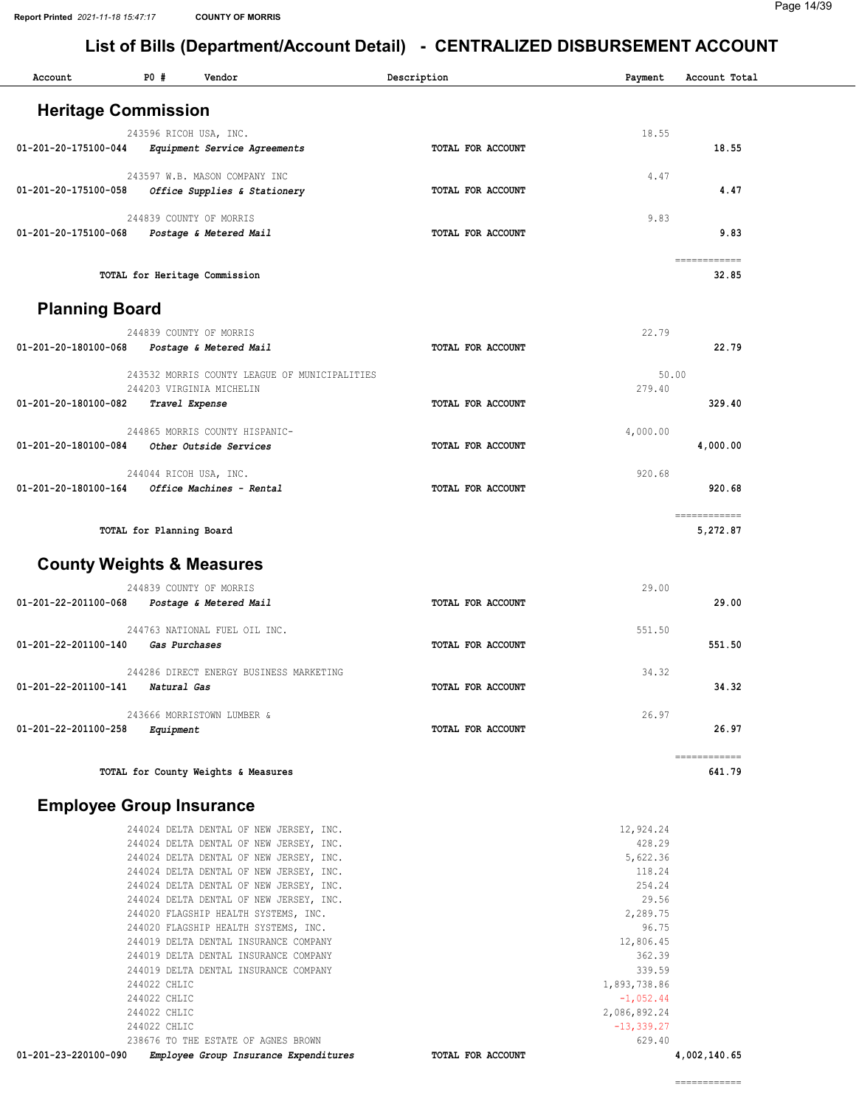| Account                              | <b>PO #</b>                                                  | Vendor                                                                                                                                                                                                                                                                                                                                                                                                                                                                    | Description       | Payment                                                                                                                                                                            | Account Total            |
|--------------------------------------|--------------------------------------------------------------|---------------------------------------------------------------------------------------------------------------------------------------------------------------------------------------------------------------------------------------------------------------------------------------------------------------------------------------------------------------------------------------------------------------------------------------------------------------------------|-------------------|------------------------------------------------------------------------------------------------------------------------------------------------------------------------------------|--------------------------|
| <b>Heritage Commission</b>           |                                                              |                                                                                                                                                                                                                                                                                                                                                                                                                                                                           |                   |                                                                                                                                                                                    |                          |
| 01-201-20-175100-044                 | 243596 RICOH USA, INC.                                       | Equipment Service Agreements                                                                                                                                                                                                                                                                                                                                                                                                                                              | TOTAL FOR ACCOUNT | 18.55                                                                                                                                                                              | 18.55                    |
| 01-201-20-175100-058                 |                                                              | 243597 W.B. MASON COMPANY INC<br>Office Supplies & Stationery                                                                                                                                                                                                                                                                                                                                                                                                             | TOTAL FOR ACCOUNT | 4.47                                                                                                                                                                               | 4.47                     |
| 01-201-20-175100-068                 |                                                              | 244839 COUNTY OF MORRIS<br>Postage & Metered Mail                                                                                                                                                                                                                                                                                                                                                                                                                         | TOTAL FOR ACCOUNT | 9.83                                                                                                                                                                               | 9.83                     |
|                                      |                                                              | TOTAL for Heritage Commission                                                                                                                                                                                                                                                                                                                                                                                                                                             |                   |                                                                                                                                                                                    | ============<br>32.85    |
| <b>Planning Board</b>                |                                                              |                                                                                                                                                                                                                                                                                                                                                                                                                                                                           |                   |                                                                                                                                                                                    |                          |
| 01-201-20-180100-068                 |                                                              | 244839 COUNTY OF MORRIS<br>Postage & Metered Mail                                                                                                                                                                                                                                                                                                                                                                                                                         | TOTAL FOR ACCOUNT | 22.79                                                                                                                                                                              | 22.79                    |
| 01-201-20-180100-082                 | Travel Expense                                               | 243532 MORRIS COUNTY LEAGUE OF MUNICIPALITIES<br>244203 VIRGINIA MICHELIN                                                                                                                                                                                                                                                                                                                                                                                                 | TOTAL FOR ACCOUNT | 50.00<br>279.40                                                                                                                                                                    | 329.40                   |
|                                      |                                                              | 244865 MORRIS COUNTY HISPANIC-                                                                                                                                                                                                                                                                                                                                                                                                                                            |                   | 4,000.00                                                                                                                                                                           |                          |
| 01-201-20-180100-084                 | 244044 RICOH USA, INC.                                       | Other Outside Services                                                                                                                                                                                                                                                                                                                                                                                                                                                    | TOTAL FOR ACCOUNT | 920.68                                                                                                                                                                             | 4,000.00                 |
| 01-201-20-180100-164                 |                                                              | Office Machines - Rental                                                                                                                                                                                                                                                                                                                                                                                                                                                  | TOTAL FOR ACCOUNT |                                                                                                                                                                                    | 920.68                   |
|                                      | TOTAL for Planning Board                                     |                                                                                                                                                                                                                                                                                                                                                                                                                                                                           |                   |                                                                                                                                                                                    | ============<br>5,272.87 |
| <b>County Weights &amp; Measures</b> |                                                              |                                                                                                                                                                                                                                                                                                                                                                                                                                                                           |                   |                                                                                                                                                                                    |                          |
| 01-201-22-201100-068                 |                                                              | 244839 COUNTY OF MORRIS<br>Postage & Metered Mail                                                                                                                                                                                                                                                                                                                                                                                                                         | TOTAL FOR ACCOUNT | 29.00                                                                                                                                                                              | 29.00                    |
| 01-201-22-201100-140                 | Gas Purchases                                                | 244763 NATIONAL FUEL OIL INC.                                                                                                                                                                                                                                                                                                                                                                                                                                             | TOTAL FOR ACCOUNT | 551.50                                                                                                                                                                             | 551.50                   |
| 01-201-22-201100-141 Natural Gas     |                                                              | 244286 DIRECT ENERGY BUSINESS MARKETING                                                                                                                                                                                                                                                                                                                                                                                                                                   | TOTAL FOR ACCOUNT | 34.32                                                                                                                                                                              | 34.32                    |
| 01-201-22-201100-258                 | Equipment                                                    | 243666 MORRISTOWN LUMBER &                                                                                                                                                                                                                                                                                                                                                                                                                                                | TOTAL FOR ACCOUNT | 26.97                                                                                                                                                                              | 26.97                    |
|                                      |                                                              | TOTAL for County Weights & Measures                                                                                                                                                                                                                                                                                                                                                                                                                                       |                   |                                                                                                                                                                                    | ============<br>641.79   |
| <b>Employee Group Insurance</b>      |                                                              |                                                                                                                                                                                                                                                                                                                                                                                                                                                                           |                   |                                                                                                                                                                                    |                          |
|                                      | 244022 CHLIC<br>244022 CHLIC<br>244022 CHLIC<br>244022 CHLIC | 244024 DELTA DENTAL OF NEW JERSEY, INC.<br>244024 DELTA DENTAL OF NEW JERSEY, INC.<br>244024 DELTA DENTAL OF NEW JERSEY, INC.<br>244024 DELTA DENTAL OF NEW JERSEY, INC.<br>244024 DELTA DENTAL OF NEW JERSEY, INC.<br>244024 DELTA DENTAL OF NEW JERSEY, INC.<br>244020 FLAGSHIP HEALTH SYSTEMS, INC.<br>244020 FLAGSHIP HEALTH SYSTEMS, INC.<br>244019 DELTA DENTAL INSURANCE COMPANY<br>244019 DELTA DENTAL INSURANCE COMPANY<br>244019 DELTA DENTAL INSURANCE COMPANY |                   | 12,924.24<br>428.29<br>5,622.36<br>118.24<br>254.24<br>29.56<br>2,289.75<br>96.75<br>12,806.45<br>362.39<br>339.59<br>1,893,738.86<br>$-1,052.44$<br>2,086,892.24<br>$-13, 339.27$ |                          |
| 01-201-23-220100-090                 |                                                              | 238676 TO THE ESTATE OF AGNES BROWN<br>Employee Group Insurance Expenditures                                                                                                                                                                                                                                                                                                                                                                                              | TOTAL FOR ACCOUNT | 629.40                                                                                                                                                                             | 4,002,140.65             |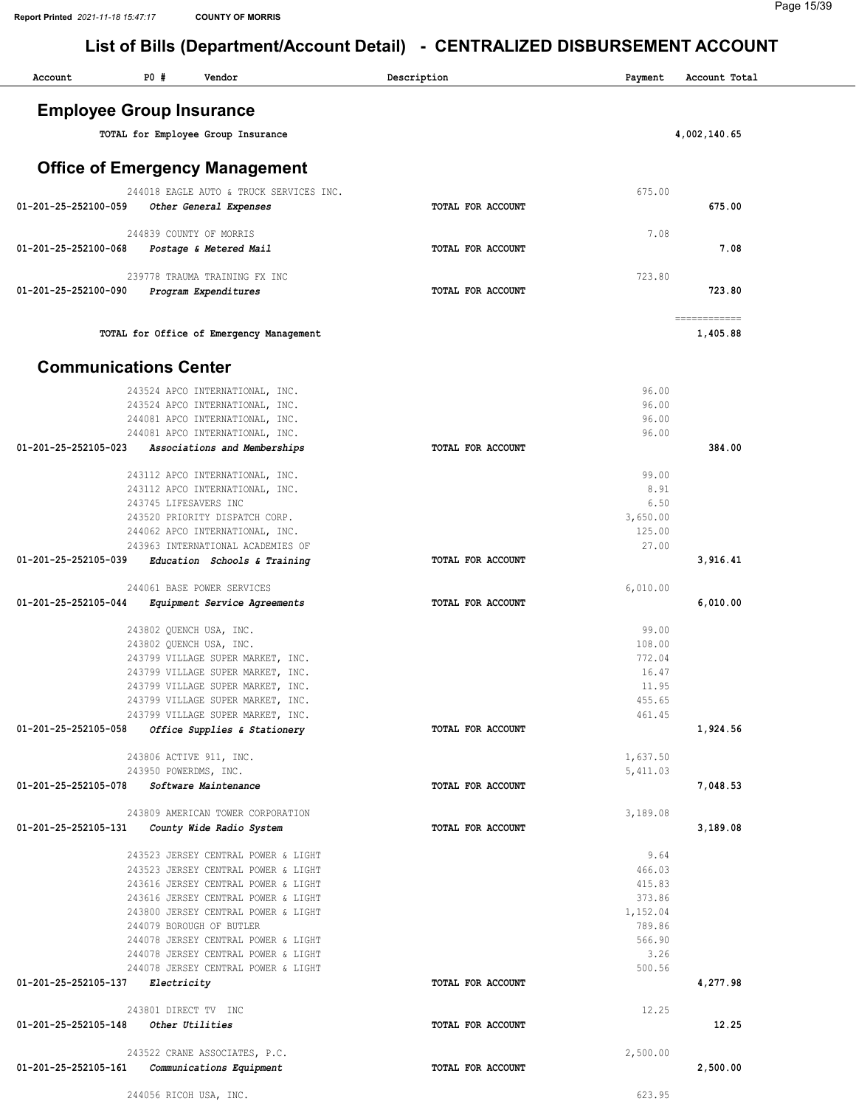| Account              | <b>PO #</b><br>Vendor                                                      | Description       | Payment              | Account Total |
|----------------------|----------------------------------------------------------------------------|-------------------|----------------------|---------------|
|                      | <b>Employee Group Insurance</b>                                            |                   |                      |               |
|                      | TOTAL for Employee Group Insurance                                         |                   |                      | 4,002,140.65  |
|                      |                                                                            |                   |                      |               |
|                      | <b>Office of Emergency Management</b>                                      |                   |                      |               |
|                      | 244018 EAGLE AUTO & TRUCK SERVICES INC.                                    |                   | 675.00               |               |
| 01-201-25-252100-059 | Other General Expenses                                                     | TOTAL FOR ACCOUNT |                      | 675.00        |
|                      | 244839 COUNTY OF MORRIS                                                    |                   | 7.08                 |               |
| 01-201-25-252100-068 | Postage & Metered Mail                                                     | TOTAL FOR ACCOUNT |                      | 7.08          |
|                      |                                                                            |                   |                      |               |
| 01-201-25-252100-090 | 239778 TRAUMA TRAINING FX INC                                              | TOTAL FOR ACCOUNT | 723.80               | 723.80        |
|                      | Program Expenditures                                                       |                   |                      |               |
|                      |                                                                            |                   |                      | ============  |
|                      | TOTAL for Office of Emergency Management                                   |                   |                      | 1,405.88      |
|                      | <b>Communications Center</b>                                               |                   |                      |               |
|                      | 243524 APCO INTERNATIONAL, INC.                                            |                   | 96.00                |               |
|                      | 243524 APCO INTERNATIONAL, INC.                                            |                   | 96.00                |               |
|                      | 244081 APCO INTERNATIONAL, INC.                                            |                   | 96.00<br>96.00       |               |
| 01-201-25-252105-023 | 244081 APCO INTERNATIONAL, INC.<br>Associations and Memberships            | TOTAL FOR ACCOUNT |                      | 384.00        |
|                      |                                                                            |                   |                      |               |
|                      | 243112 APCO INTERNATIONAL, INC.                                            |                   | 99.00<br>8.91        |               |
|                      | 243112 APCO INTERNATIONAL, INC.<br>243745 LIFESAVERS INC                   |                   | 6.50                 |               |
|                      | 243520 PRIORITY DISPATCH CORP.                                             |                   | 3,650.00             |               |
|                      | 244062 APCO INTERNATIONAL, INC.                                            |                   | 125.00<br>27.00      |               |
| 01-201-25-252105-039 | 243963 INTERNATIONAL ACADEMIES OF<br>Education Schools & Training          | TOTAL FOR ACCOUNT |                      | 3,916.41      |
|                      |                                                                            |                   |                      |               |
|                      | 244061 BASE POWER SERVICES                                                 |                   | 6,010.00             |               |
| 01-201-25-252105-044 | Equipment Service Agreements                                               | TOTAL FOR ACCOUNT |                      | 6,010.00      |
|                      | 243802 QUENCH USA, INC.                                                    |                   | 99.00                |               |
|                      | 243802 QUENCH USA, INC.                                                    |                   | 108.00<br>772.04     |               |
|                      | 243799 VILLAGE SUPER MARKET, INC.<br>243799 VILLAGE SUPER MARKET, INC.     |                   | 16.47                |               |
|                      | 243799 VILLAGE SUPER MARKET, INC.                                          |                   | 11.95                |               |
|                      | 243799 VILLAGE SUPER MARKET, INC.<br>243799 VILLAGE SUPER MARKET, INC.     |                   | 455.65<br>461.45     |               |
| 01-201-25-252105-058 | Office Supplies & Stationery                                               | TOTAL FOR ACCOUNT |                      | 1,924.56      |
|                      |                                                                            |                   |                      |               |
|                      | 243806 ACTIVE 911, INC.<br>243950 POWERDMS, INC.                           |                   | 1,637.50<br>5,411.03 |               |
| 01-201-25-252105-078 | Software Maintenance                                                       | TOTAL FOR ACCOUNT |                      | 7,048.53      |
|                      |                                                                            |                   |                      |               |
| 01-201-25-252105-131 | 243809 AMERICAN TOWER CORPORATION<br>County Wide Radio System              | TOTAL FOR ACCOUNT | 3,189.08             | 3,189.08      |
|                      |                                                                            |                   |                      |               |
|                      | 243523 JERSEY CENTRAL POWER & LIGHT                                        |                   | 9.64                 |               |
|                      | 243523 JERSEY CENTRAL POWER & LIGHT<br>243616 JERSEY CENTRAL POWER & LIGHT |                   | 466.03<br>415.83     |               |
|                      | 243616 JERSEY CENTRAL POWER & LIGHT                                        |                   | 373.86               |               |
|                      | 243800 JERSEY CENTRAL POWER & LIGHT                                        |                   | 1,152.04             |               |
|                      | 244079 BOROUGH OF BUTLER                                                   |                   | 789.86               |               |
|                      | 244078 JERSEY CENTRAL POWER & LIGHT<br>244078 JERSEY CENTRAL POWER & LIGHT |                   | 566.90<br>3.26       |               |
|                      | 244078 JERSEY CENTRAL POWER & LIGHT                                        |                   | 500.56               |               |
| 01-201-25-252105-137 | Electricity                                                                | TOTAL FOR ACCOUNT |                      | 4,277.98      |
|                      | 243801 DIRECT TV INC                                                       |                   | 12.25                |               |
| 01-201-25-252105-148 | Other Utilities                                                            | TOTAL FOR ACCOUNT |                      | 12.25         |
|                      | 243522 CRANE ASSOCIATES, P.C.                                              |                   | 2,500.00             |               |
| 01-201-25-252105-161 | Communications Equipment                                                   | TOTAL FOR ACCOUNT |                      | 2,500.00      |
|                      | 244056 RICOH USA, INC.                                                     |                   | 623.95               |               |
|                      |                                                                            |                   |                      |               |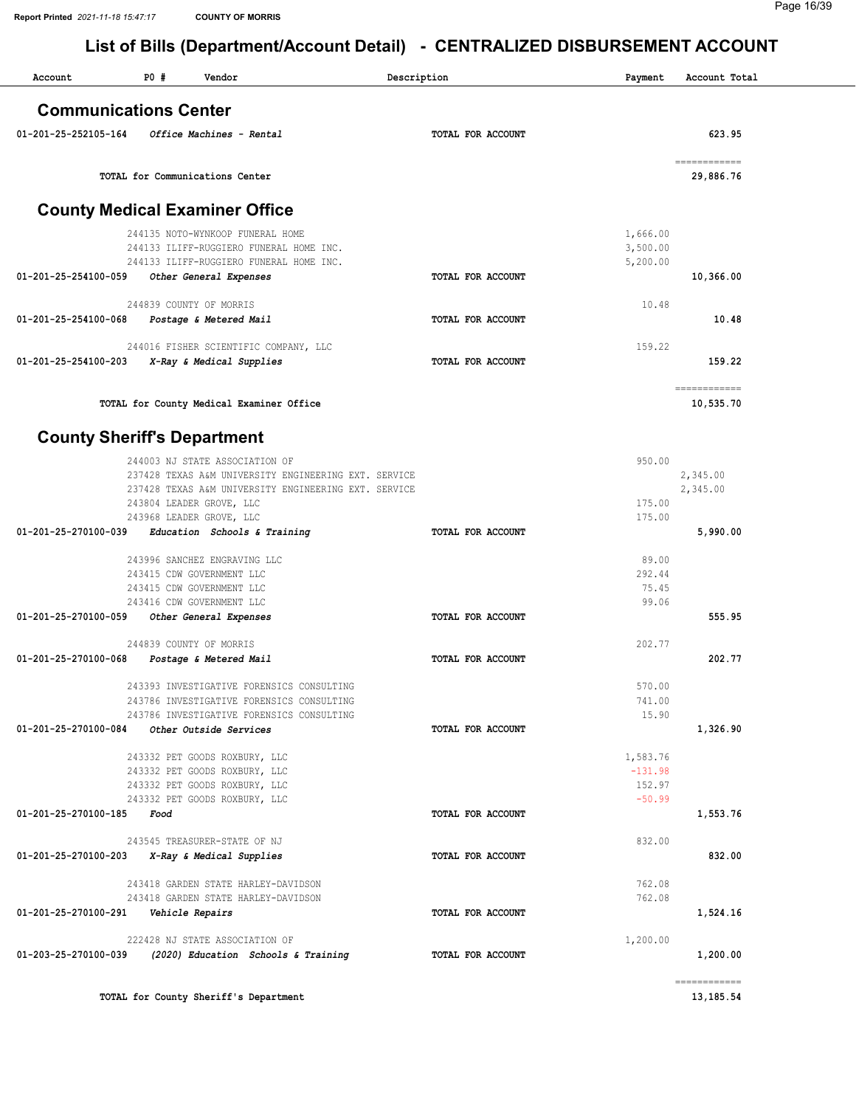| Account                            | <b>PO #</b> | Vendor                                                              | Description              | Payment              | Account Total              |
|------------------------------------|-------------|---------------------------------------------------------------------|--------------------------|----------------------|----------------------------|
| <b>Communications Center</b>       |             |                                                                     |                          |                      |                            |
| 01-201-25-252105-164               |             | Office Machines - Rental                                            | TOTAL FOR ACCOUNT        |                      | 623.95                     |
|                                    |             | TOTAL for Communications Center                                     |                          |                      | ============<br>29,886.76  |
|                                    |             | <b>County Medical Examiner Office</b>                               |                          |                      |                            |
|                                    |             | 244135 NOTO-WYNKOOP FUNERAL HOME                                    |                          |                      |                            |
|                                    |             | 244133 ILIFF-RUGGIERO FUNERAL HOME INC.                             |                          | 1,666.00<br>3,500.00 |                            |
|                                    |             | 244133 ILIFF-RUGGIERO FUNERAL HOME INC.                             |                          | 5,200.00             |                            |
| 01-201-25-254100-059               |             | Other General Expenses                                              | TOTAL FOR ACCOUNT        |                      | 10,366.00                  |
|                                    |             | 244839 COUNTY OF MORRIS                                             |                          | 10.48                |                            |
| 01-201-25-254100-068               |             | Postage & Metered Mail                                              | TOTAL FOR ACCOUNT        |                      | 10.48                      |
|                                    |             |                                                                     |                          |                      |                            |
|                                    |             | 244016 FISHER SCIENTIFIC COMPANY, LLC                               | <b>TOTAL FOR ACCOUNT</b> | 159.22               |                            |
| 01-201-25-254100-203               |             | X-Ray & Medical Supplies                                            |                          |                      | 159.22                     |
|                                    |             | TOTAL for County Medical Examiner Office                            |                          |                      | ============<br>10,535.70  |
| <b>County Sheriff's Department</b> |             |                                                                     |                          |                      |                            |
|                                    |             | 244003 NJ STATE ASSOCIATION OF                                      |                          | 950.00               |                            |
|                                    |             | 237428 TEXAS A&M UNIVERSITY ENGINEERING EXT. SERVICE                |                          |                      | 2,345.00                   |
|                                    |             | 237428 TEXAS A&M UNIVERSITY ENGINEERING EXT. SERVICE                |                          |                      | 2,345.00                   |
|                                    |             | 243804 LEADER GROVE, LLC<br>243968 LEADER GROVE, LLC                |                          | 175.00<br>175.00     |                            |
| 01-201-25-270100-039               |             | Education Schools & Training                                        | TOTAL FOR ACCOUNT        |                      | 5,990.00                   |
|                                    |             | 243996 SANCHEZ ENGRAVING LLC                                        |                          | 89.00                |                            |
|                                    |             | 243415 CDW GOVERNMENT LLC                                           |                          | 292.44               |                            |
|                                    |             | 243415 CDW GOVERNMENT LLC                                           |                          | 75.45                |                            |
|                                    |             | 243416 CDW GOVERNMENT LLC                                           |                          | 99.06                |                            |
| 01-201-25-270100-059               |             | Other General Expenses                                              | TOTAL FOR ACCOUNT        |                      | 555.95                     |
|                                    |             | 244839 COUNTY OF MORRIS                                             |                          | 202.77               |                            |
| 01-201-25-270100-068               |             | Postage & Metered Mail                                              | TOTAL FOR ACCOUNT        |                      | 202.77                     |
|                                    |             | 243393 INVESTIGATIVE FORENSICS CONSULTING                           |                          | 570.00               |                            |
|                                    |             | 243786 INVESTIGATIVE FORENSICS CONSULTING                           |                          | 741.00               |                            |
| 01-201-25-270100-084               |             | 243786 INVESTIGATIVE FORENSICS CONSULTING<br>Other Outside Services | TOTAL FOR ACCOUNT        | 15.90                | 1,326.90                   |
|                                    |             |                                                                     |                          |                      |                            |
|                                    |             | 243332 PET GOODS ROXBURY, LLC                                       |                          | 1,583.76             |                            |
|                                    |             | 243332 PET GOODS ROXBURY, LLC                                       |                          | $-131.98$            |                            |
|                                    |             | 243332 PET GOODS ROXBURY, LLC<br>243332 PET GOODS ROXBURY, LLC      |                          | 152.97<br>$-50.99$   |                            |
| 01-201-25-270100-185               | Food        |                                                                     | TOTAL FOR ACCOUNT        |                      | 1,553.76                   |
|                                    |             | 243545 TREASURER-STATE OF NJ                                        |                          | 832.00               |                            |
| 01-201-25-270100-203               |             | X-Ray & Medical Supplies                                            | TOTAL FOR ACCOUNT        |                      | 832.00                     |
|                                    |             | 243418 GARDEN STATE HARLEY-DAVIDSON                                 |                          | 762.08               |                            |
|                                    |             | 243418 GARDEN STATE HARLEY-DAVIDSON                                 |                          | 762.08               |                            |
| 01-201-25-270100-291               |             | Vehicle Repairs                                                     | TOTAL FOR ACCOUNT        |                      | 1,524.16                   |
|                                    |             | 222428 NJ STATE ASSOCIATION OF                                      |                          | 1,200.00             |                            |
| 01-203-25-270100-039               |             | (2020) Education Schools & Training                                 | TOTAL FOR ACCOUNT        |                      | 1,200.00                   |
|                                    |             | TOTAL for County Sheriff's Department                               |                          |                      | ------------<br>13, 185.54 |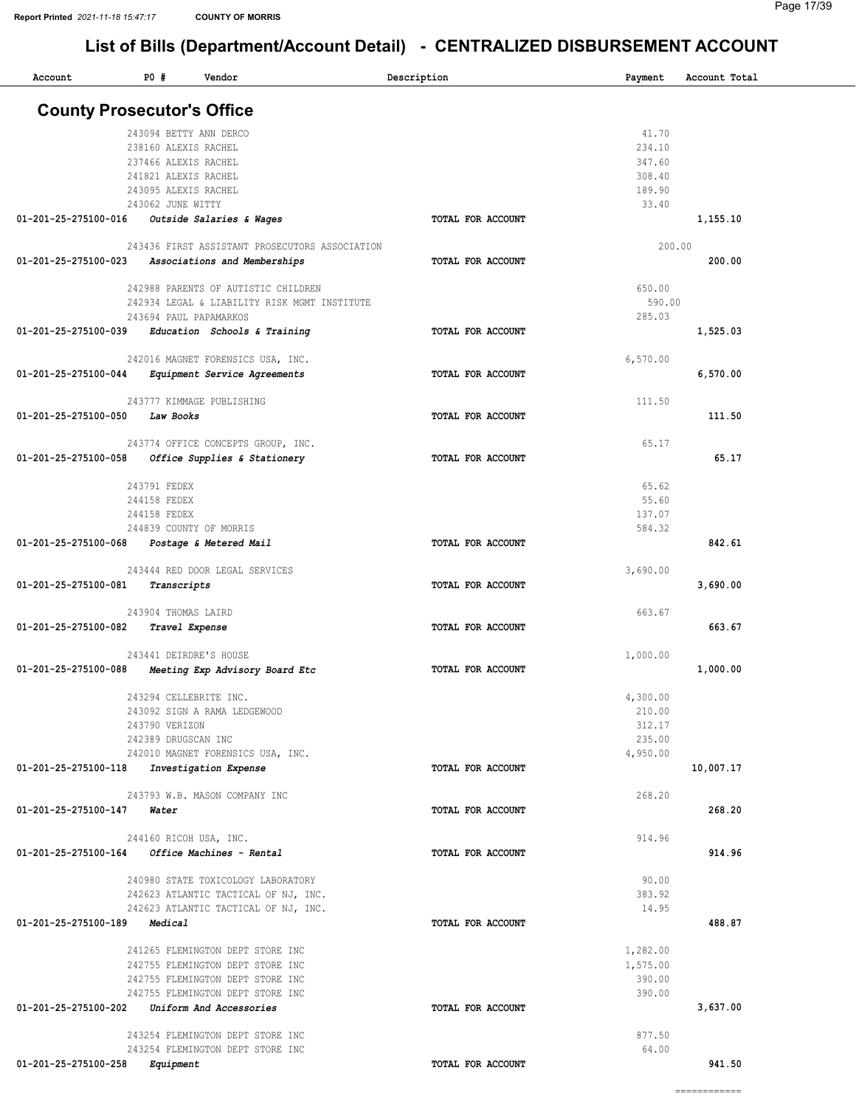# List of Bills (Department/Account Detail) - CENTRALIZED DISBURSEMENT ACCOUNT

| Account                                      | P0#                  | Vendor                                            | Description       | Payment  | Account Total |  |
|----------------------------------------------|----------------------|---------------------------------------------------|-------------------|----------|---------------|--|
| <b>County Prosecutor's Office</b>            |                      |                                                   |                   |          |               |  |
|                                              |                      | 243094 BETTY ANN DERCO                            |                   | 41.70    |               |  |
|                                              | 238160 ALEXIS RACHEL |                                                   |                   | 234.10   |               |  |
|                                              | 237466 ALEXIS RACHEL |                                                   |                   | 347.60   |               |  |
|                                              | 241821 ALEXIS RACHEL |                                                   |                   | 308.40   |               |  |
|                                              | 243095 ALEXIS RACHEL |                                                   |                   | 189.90   |               |  |
|                                              | 243062 JUNE WITTY    |                                                   |                   | 33.40    |               |  |
| 01-201-25-275100-016                         |                      | Outside Salaries & Wages                          | TOTAL FOR ACCOUNT |          | 1,155.10      |  |
|                                              |                      | 243436 FIRST ASSISTANT PROSECUTORS ASSOCIATION    |                   |          | 200.00        |  |
| 01-201-25-275100-023                         |                      | Associations and Memberships                      | TOTAL FOR ACCOUNT |          | 200.00        |  |
|                                              |                      | 242988 PARENTS OF AUTISTIC CHILDREN               |                   | 650.00   |               |  |
|                                              |                      | 242934 LEGAL & LIABILITY RISK MGMT INSTITUTE      |                   | 590.00   |               |  |
|                                              |                      | 243694 PAUL PAPAMARKOS                            |                   | 285.03   |               |  |
| 01-201-25-275100-039                         |                      | Education Schools & Training                      | TOTAL FOR ACCOUNT |          | 1,525.03      |  |
|                                              |                      | 242016 MAGNET FORENSICS USA, INC.                 |                   | 6,570.00 |               |  |
| 01-201-25-275100-044                         |                      | Equipment Service Agreements                      | TOTAL FOR ACCOUNT |          | 6,570.00      |  |
|                                              |                      |                                                   |                   |          |               |  |
|                                              |                      | 243777 KIMMAGE PUBLISHING                         |                   | 111.50   |               |  |
| 01-201-25-275100-050                         | Law Books            |                                                   | TOTAL FOR ACCOUNT |          | 111.50        |  |
|                                              |                      | 243774 OFFICE CONCEPTS GROUP, INC.                |                   | 65.17    |               |  |
| 01-201-25-275100-058                         |                      | Office Supplies & Stationery                      | TOTAL FOR ACCOUNT |          | 65.17         |  |
|                                              |                      |                                                   |                   |          |               |  |
|                                              | 243791 FEDEX         |                                                   |                   | 65.62    |               |  |
|                                              | 244158 FEDEX         |                                                   |                   | 55.60    |               |  |
|                                              | 244158 FEDEX         |                                                   |                   | 137.07   |               |  |
| 01-201-25-275100-068                         |                      | 244839 COUNTY OF MORRIS<br>Postage & Metered Mail | TOTAL FOR ACCOUNT | 584.32   | 842.61        |  |
|                                              |                      |                                                   |                   |          |               |  |
|                                              |                      | 243444 RED DOOR LEGAL SERVICES                    |                   | 3,690.00 |               |  |
| 01-201-25-275100-081                         | Transcripts          |                                                   | TOTAL FOR ACCOUNT |          | 3,690.00      |  |
|                                              | 243904 THOMAS LAIRD  |                                                   |                   | 663.67   |               |  |
| 01-201-25-275100-082                         |                      | Travel Expense                                    | TOTAL FOR ACCOUNT |          | 663.67        |  |
|                                              |                      |                                                   |                   |          |               |  |
|                                              |                      | 243441 DEIRDRE'S HOUSE                            |                   | 1,000.00 |               |  |
| 01-201-25-275100-088                         |                      | Meeting Exp Advisory Board Etc                    | TOTAL FOR ACCOUNT |          | 1,000.00      |  |
|                                              |                      | 243294 CELLEBRITE INC.                            |                   | 4,300.00 |               |  |
|                                              |                      | 243092 SIGN A RAMA LEDGEWOOD                      |                   | 210.00   |               |  |
|                                              | 243790 VERIZON       |                                                   |                   | 312.17   |               |  |
|                                              | 242389 DRUGSCAN INC  |                                                   |                   | 235.00   |               |  |
|                                              |                      | 242010 MAGNET FORENSICS USA, INC.                 |                   | 4,950.00 |               |  |
| 01-201-25-275100-118 Investigation Expense   |                      |                                                   | TOTAL FOR ACCOUNT |          | 10,007.17     |  |
|                                              |                      | 243793 W.B. MASON COMPANY INC                     |                   | 268.20   |               |  |
| $01 - 201 - 25 - 275100 - 147$ Water         |                      |                                                   | TOTAL FOR ACCOUNT |          | 268.20        |  |
|                                              |                      |                                                   |                   |          |               |  |
|                                              |                      | 244160 RICOH USA, INC.                            |                   | 914.96   |               |  |
|                                              |                      | 01-201-25-275100-164 Office Machines - Rental     | TOTAL FOR ACCOUNT |          | 914.96        |  |
|                                              |                      | 240980 STATE TOXICOLOGY LABORATORY                |                   | 90.00    |               |  |
|                                              |                      | 242623 ATLANTIC TACTICAL OF NJ, INC.              |                   | 383.92   |               |  |
|                                              |                      | 242623 ATLANTIC TACTICAL OF NJ, INC.              |                   | 14.95    |               |  |
| 01-201-25-275100-189 Medical                 |                      |                                                   | TOTAL FOR ACCOUNT |          | 488.87        |  |
|                                              |                      | 241265 FLEMINGTON DEPT STORE INC                  |                   | 1,282.00 |               |  |
|                                              |                      | 242755 FLEMINGTON DEPT STORE INC                  |                   | 1,575.00 |               |  |
|                                              |                      | 242755 FLEMINGTON DEPT STORE INC                  |                   | 390.00   |               |  |
|                                              |                      | 242755 FLEMINGTON DEPT STORE INC                  |                   | 390.00   |               |  |
| 01-201-25-275100-202 Uniform And Accessories |                      |                                                   | TOTAL FOR ACCOUNT |          | 3,637.00      |  |
|                                              |                      |                                                   |                   |          |               |  |
|                                              |                      | 243254 FLEMINGTON DEPT STORE INC                  |                   | 877.50   |               |  |
| 01-201-25-275100-258                         |                      | 243254 FLEMINGTON DEPT STORE INC                  | TOTAL FOR ACCOUNT | 64.00    | 941.50        |  |
|                                              | Equipment            |                                                   |                   |          |               |  |

============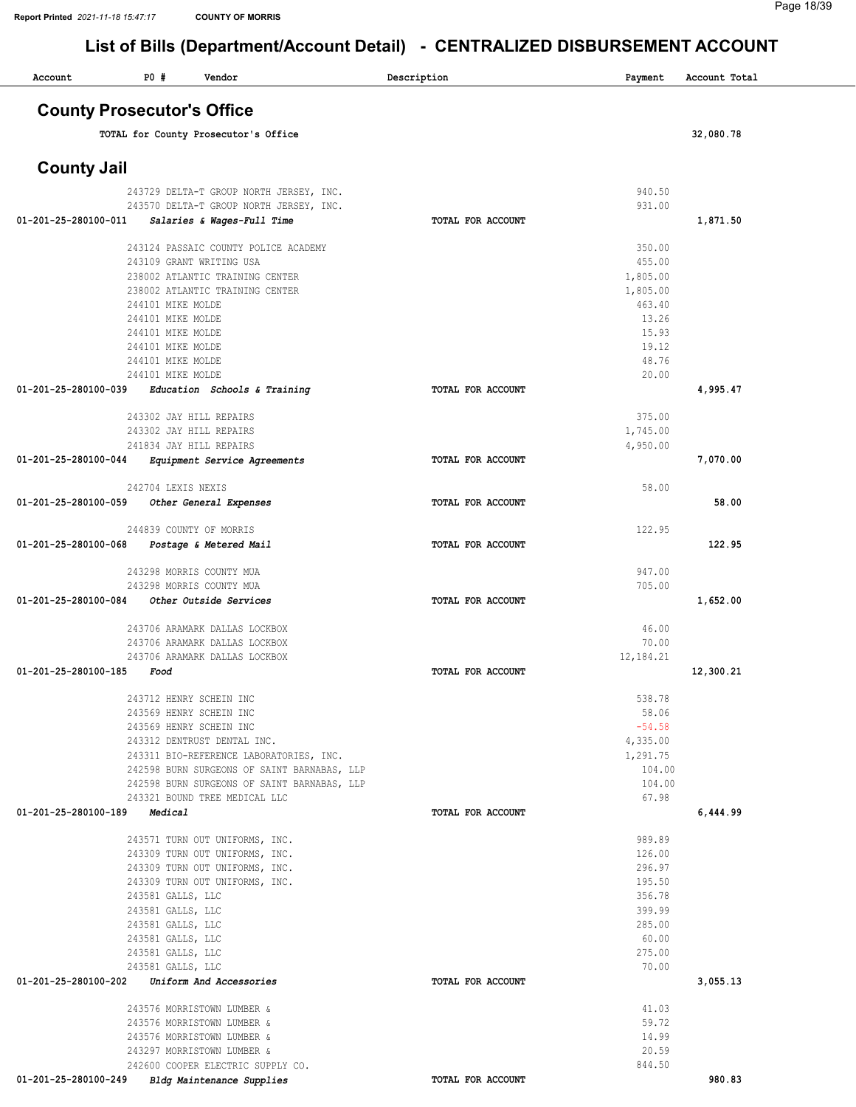| Account              | P0 #<br>Vendor                                                        | Description       | Payment            | Account Total |
|----------------------|-----------------------------------------------------------------------|-------------------|--------------------|---------------|
|                      | <b>County Prosecutor's Office</b>                                     |                   |                    |               |
|                      | TOTAL for County Prosecutor's Office                                  |                   |                    | 32,080.78     |
| <b>County Jail</b>   |                                                                       |                   |                    |               |
|                      | 243729 DELTA-T GROUP NORTH JERSEY, INC.                               |                   | 940.50             |               |
| 01-201-25-280100-011 | 243570 DELTA-T GROUP NORTH JERSEY, INC.<br>Salaries & Wages-Full Time | TOTAL FOR ACCOUNT | 931.00             | 1,871.50      |
|                      |                                                                       |                   |                    |               |
|                      | 243124 PASSAIC COUNTY POLICE ACADEMY                                  |                   | 350.00             |               |
|                      | 243109 GRANT WRITING USA<br>238002 ATLANTIC TRAINING CENTER           |                   | 455.00<br>1,805.00 |               |
|                      | 238002 ATLANTIC TRAINING CENTER                                       |                   | 1,805.00           |               |
|                      | 244101 MIKE MOLDE                                                     |                   | 463.40             |               |
|                      | 244101 MIKE MOLDE                                                     |                   | 13.26              |               |
|                      | 244101 MIKE MOLDE<br>244101 MIKE MOLDE                                |                   | 15.93<br>19.12     |               |
|                      | 244101 MIKE MOLDE                                                     |                   | 48.76              |               |
|                      | 244101 MIKE MOLDE                                                     |                   | 20.00              |               |
| 01-201-25-280100-039 | Education Schools & Training                                          | TOTAL FOR ACCOUNT |                    | 4,995.47      |
|                      | 243302 JAY HILL REPAIRS                                               |                   | 375.00             |               |
|                      | 243302 JAY HILL REPAIRS                                               |                   | 1,745.00           |               |
|                      | 241834 JAY HILL REPAIRS                                               |                   | 4,950.00           |               |
| 01-201-25-280100-044 | Equipment Service Agreements                                          | TOTAL FOR ACCOUNT |                    | 7,070.00      |
|                      | 242704 LEXIS NEXIS                                                    |                   | 58.00              |               |
| 01-201-25-280100-059 | Other General Expenses                                                | TOTAL FOR ACCOUNT |                    | 58.00         |
|                      | 244839 COUNTY OF MORRIS                                               |                   | 122.95             |               |
| 01-201-25-280100-068 | Postage & Metered Mail                                                | TOTAL FOR ACCOUNT |                    | 122.95        |
|                      | 243298 MORRIS COUNTY MUA                                              |                   | 947.00             |               |
|                      | 243298 MORRIS COUNTY MUA                                              |                   | 705.00             |               |
| 01-201-25-280100-084 | Other Outside Services                                                | TOTAL FOR ACCOUNT |                    | 1,652.00      |
|                      | 243706 ARAMARK DALLAS LOCKBOX                                         |                   | 46.00              |               |
|                      | 243706 ARAMARK DALLAS LOCKBOX                                         |                   | 70.00              |               |
| 01-201-25-280100-185 | 243706 ARAMARK DALLAS LOCKBOX<br>Food                                 | TOTAL FOR ACCOUNT | 12,184.21          | 12,300.21     |
|                      |                                                                       |                   |                    |               |
|                      | 243712 HENRY SCHEIN INC                                               |                   | 538.78             |               |
|                      | 243569 HENRY SCHEIN INC                                               |                   | 58.06<br>$-54.58$  |               |
|                      | 243569 HENRY SCHEIN INC<br>243312 DENTRUST DENTAL INC.                |                   | 4,335.00           |               |
|                      | 243311 BIO-REFERENCE LABORATORIES, INC.                               |                   | 1,291.75           |               |
|                      | 242598 BURN SURGEONS OF SAINT BARNABAS, LLP                           |                   | 104.00             |               |
|                      | 242598 BURN SURGEONS OF SAINT BARNABAS, LLP                           |                   | 104.00             |               |
| 01-201-25-280100-189 | 243321 BOUND TREE MEDICAL LLC<br>Medical                              | TOTAL FOR ACCOUNT | 67.98              | 6,444.99      |
|                      |                                                                       |                   |                    |               |
|                      | 243571 TURN OUT UNIFORMS, INC.                                        |                   | 989.89             |               |
|                      | 243309 TURN OUT UNIFORMS, INC.                                        |                   | 126.00             |               |
|                      | 243309 TURN OUT UNIFORMS, INC.<br>243309 TURN OUT UNIFORMS, INC.      |                   | 296.97<br>195.50   |               |
|                      | 243581 GALLS, LLC                                                     |                   | 356.78             |               |
|                      | 243581 GALLS, LLC                                                     |                   | 399.99             |               |
|                      | 243581 GALLS, LLC                                                     |                   | 285.00             |               |
|                      | 243581 GALLS, LLC                                                     |                   | 60.00              |               |
|                      | 243581 GALLS, LLC<br>243581 GALLS, LLC                                |                   | 275.00<br>70.00    |               |
| 01-201-25-280100-202 | Uniform And Accessories                                               | TOTAL FOR ACCOUNT |                    | 3,055.13      |
|                      |                                                                       |                   |                    |               |
|                      | 243576 MORRISTOWN LUMBER &                                            |                   | 41.03              |               |
|                      | 243576 MORRISTOWN LUMBER &                                            |                   | 59.72              |               |
|                      | 243576 MORRISTOWN LUMBER &<br>243297 MORRISTOWN LUMBER &              |                   | 14.99<br>20.59     |               |
|                      | 242600 COOPER ELECTRIC SUPPLY CO.                                     |                   | 844.50             |               |
| 01-201-25-280100-249 | Bldg Maintenance Supplies                                             | TOTAL FOR ACCOUNT |                    | 980.83        |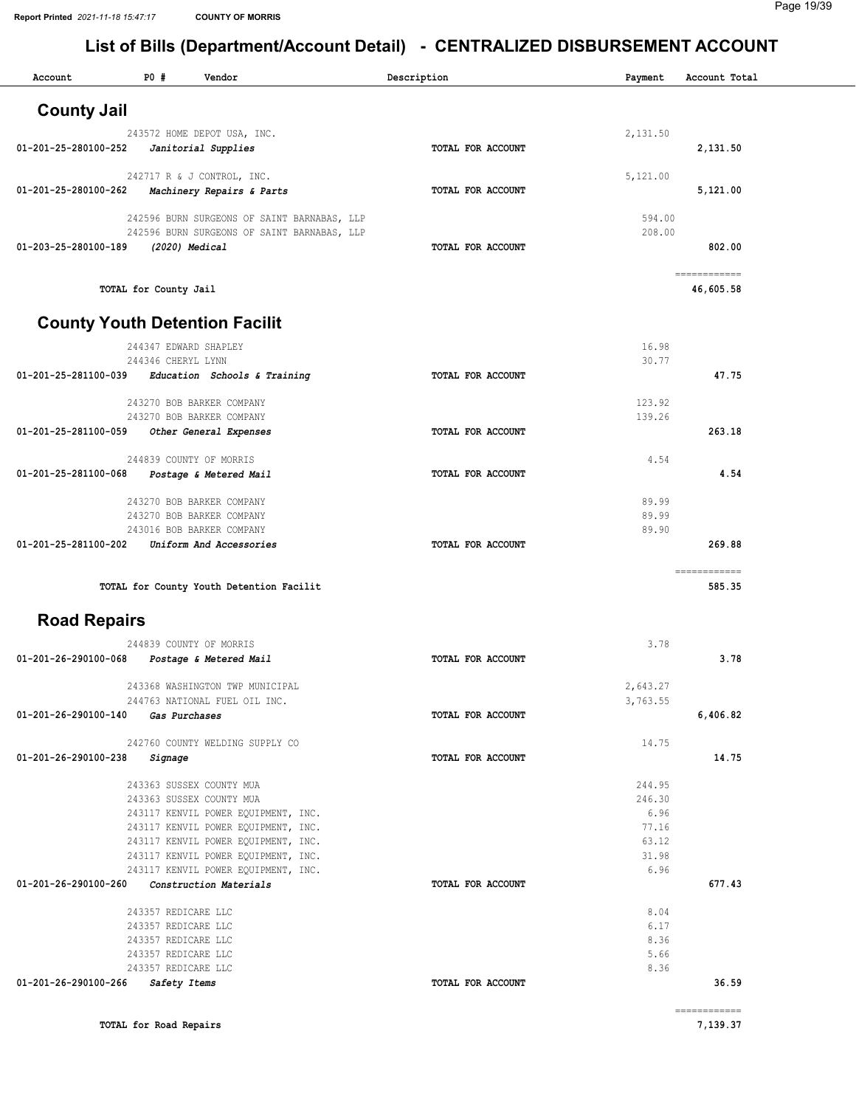#### Page 19/39

| Account              | <b>PO #</b>                         | Vendor                                                                                     | Description       | Payment          | Account Total             |
|----------------------|-------------------------------------|--------------------------------------------------------------------------------------------|-------------------|------------------|---------------------------|
| <b>County Jail</b>   |                                     |                                                                                            |                   |                  |                           |
|                      |                                     | 243572 HOME DEPOT USA, INC.                                                                |                   | 2,131.50         |                           |
| 01-201-25-280100-252 |                                     | Janitorial Supplies                                                                        | TOTAL FOR ACCOUNT |                  | 2,131.50                  |
|                      |                                     | 242717 R & J CONTROL, INC.                                                                 |                   | 5,121.00         |                           |
| 01-201-25-280100-262 |                                     | Machinery Repairs & Parts                                                                  | TOTAL FOR ACCOUNT |                  | 5,121.00                  |
|                      |                                     |                                                                                            |                   |                  |                           |
|                      |                                     | 242596 BURN SURGEONS OF SAINT BARNABAS, LLP<br>242596 BURN SURGEONS OF SAINT BARNABAS, LLP |                   | 594.00<br>208.00 |                           |
| 01-203-25-280100-189 |                                     | (2020) Medical                                                                             | TOTAL FOR ACCOUNT |                  | 802.00                    |
|                      |                                     |                                                                                            |                   |                  |                           |
|                      | TOTAL for County Jail               |                                                                                            |                   |                  | ============<br>46,605.58 |
|                      |                                     | <b>County Youth Detention Facilit</b>                                                      |                   |                  |                           |
|                      |                                     | 244347 EDWARD SHAPLEY                                                                      |                   | 16.98            |                           |
|                      | 244346 CHERYL LYNN                  |                                                                                            |                   | 30.77            |                           |
|                      |                                     | 01-201-25-281100-039 Education Schools & Training                                          | TOTAL FOR ACCOUNT |                  | 47.75                     |
|                      |                                     | 243270 BOB BARKER COMPANY                                                                  |                   | 123.92           |                           |
|                      |                                     | 243270 BOB BARKER COMPANY                                                                  |                   | 139.26           |                           |
| 01-201-25-281100-059 |                                     | Other General Expenses                                                                     | TOTAL FOR ACCOUNT |                  | 263.18                    |
|                      |                                     | 244839 COUNTY OF MORRIS                                                                    |                   | 4.54             |                           |
| 01-201-25-281100-068 |                                     | Postage & Metered Mail                                                                     | TOTAL FOR ACCOUNT |                  | 4.54                      |
|                      |                                     |                                                                                            |                   |                  |                           |
|                      |                                     | 243270 BOB BARKER COMPANY<br>243270 BOB BARKER COMPANY                                     |                   | 89.99<br>89.99   |                           |
|                      |                                     | 243016 BOB BARKER COMPANY                                                                  |                   | 89.90            |                           |
| 01-201-25-281100-202 |                                     | Uniform And Accessories                                                                    | TOTAL FOR ACCOUNT |                  | 269.88                    |
|                      |                                     |                                                                                            |                   |                  | ============              |
|                      |                                     | TOTAL for County Youth Detention Facilit                                                   |                   |                  | 585.35                    |
| <b>Road Repairs</b>  |                                     |                                                                                            |                   |                  |                           |
|                      |                                     | 244839 COUNTY OF MORRIS                                                                    |                   | 3.78             |                           |
| 01-201-26-290100-068 |                                     | Postage & Metered Mail                                                                     | TOTAL FOR ACCOUNT |                  | 3.78                      |
|                      |                                     | 243368 WASHINGTON TWP MUNICIPAL                                                            |                   | 2,643.27         |                           |
|                      |                                     | 244763 NATIONAL FUEL OIL INC.                                                              |                   | 3,763.55         |                           |
| 01-201-26-290100-140 |                                     | Gas Purchases                                                                              | TOTAL FOR ACCOUNT |                  | 6,406.82                  |
|                      |                                     | 242760 COUNTY WELDING SUPPLY CO                                                            |                   | 14.75            |                           |
| 01-201-26-290100-238 | Signage                             |                                                                                            | TOTAL FOR ACCOUNT |                  | 14.75                     |
|                      |                                     | 243363 SUSSEX COUNTY MUA                                                                   |                   | 244.95           |                           |
|                      |                                     | 243363 SUSSEX COUNTY MUA                                                                   |                   | 246.30           |                           |
|                      |                                     | 243117 KENVIL POWER EQUIPMENT, INC.                                                        |                   | 6.96             |                           |
|                      |                                     | 243117 KENVIL POWER EQUIPMENT, INC.                                                        |                   | 77.16            |                           |
|                      |                                     | 243117 KENVIL POWER EQUIPMENT, INC.<br>243117 KENVIL POWER EQUIPMENT, INC.                 |                   | 63.12<br>31.98   |                           |
|                      |                                     | 243117 KENVIL POWER EQUIPMENT, INC.                                                        |                   | 6.96             |                           |
| 01-201-26-290100-260 |                                     | Construction Materials                                                                     | TOTAL FOR ACCOUNT |                  | 677.43                    |
|                      | 243357 REDICARE LLC                 |                                                                                            |                   | 8.04             |                           |
|                      | 243357 REDICARE LLC                 |                                                                                            |                   | 6.17             |                           |
|                      | 243357 REDICARE LLC                 |                                                                                            |                   | 8.36             |                           |
|                      | 243357 REDICARE LLC                 |                                                                                            |                   | 5.66             |                           |
| 01-201-26-290100-266 | 243357 REDICARE LLC<br>Safety Items |                                                                                            | TOTAL FOR ACCOUNT | 8.36             | 36.59                     |
|                      |                                     |                                                                                            |                   |                  |                           |
|                      |                                     |                                                                                            |                   |                  | ============              |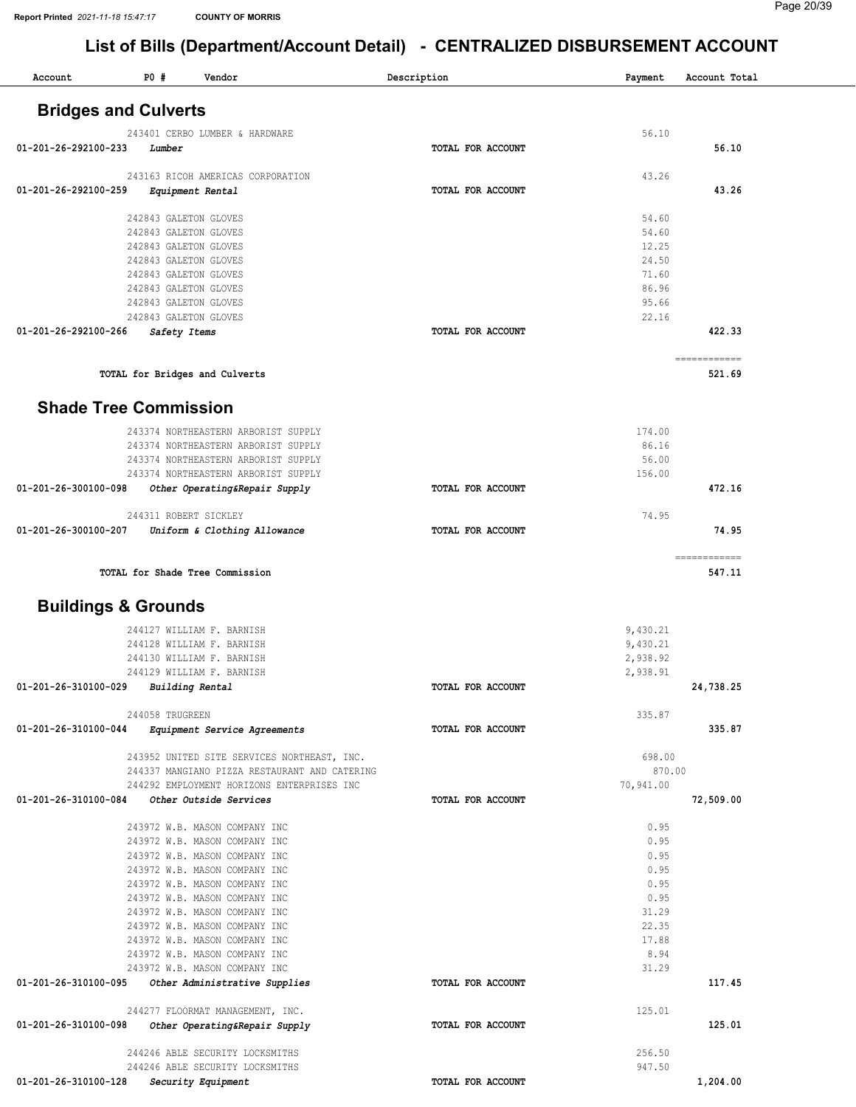| Account                                            | <b>PO #</b>                                    | Vendor                                                         | Description       | Payment        | Account Total          |
|----------------------------------------------------|------------------------------------------------|----------------------------------------------------------------|-------------------|----------------|------------------------|
| <b>Bridges and Culverts</b>                        |                                                |                                                                |                   |                |                        |
|                                                    |                                                | 243401 CERBO LUMBER & HARDWARE                                 |                   | 56.10          |                        |
| 01-201-26-292100-233                               | Lumber                                         |                                                                | TOTAL FOR ACCOUNT |                | 56.10                  |
|                                                    |                                                |                                                                |                   | 43.26          |                        |
| 01-201-26-292100-259                               |                                                | 243163 RICOH AMERICAS CORPORATION                              | TOTAL FOR ACCOUNT |                | 43.26                  |
|                                                    |                                                | <i>Equipment Rental</i>                                        |                   |                |                        |
|                                                    | 242843 GALETON GLOVES                          |                                                                |                   | 54.60          |                        |
|                                                    | 242843 GALETON GLOVES                          |                                                                |                   | 54.60          |                        |
|                                                    | 242843 GALETON GLOVES                          |                                                                |                   | 12.25          |                        |
|                                                    | 242843 GALETON GLOVES                          |                                                                |                   | 24.50          |                        |
|                                                    | 242843 GALETON GLOVES                          |                                                                |                   | 71.60          |                        |
|                                                    | 242843 GALETON GLOVES<br>242843 GALETON GLOVES |                                                                |                   | 86.96<br>95.66 |                        |
|                                                    | 242843 GALETON GLOVES                          |                                                                |                   | 22.16          |                        |
| 01-201-26-292100-266                               | Safety Items                                   |                                                                | TOTAL FOR ACCOUNT |                | 422.33                 |
|                                                    |                                                |                                                                |                   |                |                        |
|                                                    |                                                | TOTAL for Bridges and Culverts                                 |                   |                | ============<br>521.69 |
| <b>Shade Tree Commission</b>                       |                                                |                                                                |                   |                |                        |
|                                                    |                                                | 243374 NORTHEASTERN ARBORIST SUPPLY                            |                   | 174.00         |                        |
|                                                    |                                                | 243374 NORTHEASTERN ARBORIST SUPPLY                            |                   | 86.16          |                        |
|                                                    |                                                | 243374 NORTHEASTERN ARBORIST SUPPLY                            |                   | 56.00          |                        |
|                                                    |                                                | 243374 NORTHEASTERN ARBORIST SUPPLY                            |                   | 156.00         |                        |
| 01-201-26-300100-098                               |                                                | Other Operating&Repair Supply                                  | TOTAL FOR ACCOUNT |                | 472.16                 |
|                                                    | 244311 ROBERT SICKLEY                          |                                                                |                   | 74.95          |                        |
| 01-201-26-300100-207                               |                                                | Uniform & Clothing Allowance                                   | TOTAL FOR ACCOUNT |                | 74.95                  |
|                                                    |                                                |                                                                |                   |                | ------------           |
|                                                    |                                                | TOTAL for Shade Tree Commission                                |                   |                | 547.11                 |
| <b>Buildings &amp; Grounds</b>                     |                                                |                                                                |                   |                |                        |
|                                                    |                                                | 244127 WILLIAM F. BARNISH                                      |                   | 9,430.21       |                        |
|                                                    |                                                | 244128 WILLIAM F. BARNISH                                      |                   | 9,430.21       |                        |
|                                                    |                                                | 244130 WILLIAM F. BARNISH                                      |                   | 2,938.92       |                        |
|                                                    |                                                | 244129 WILLIAM F. BARNISH                                      |                   | 2,938.91       |                        |
| 01-201-26-310100-029 Building Rental               |                                                |                                                                | TOTAL FOR ACCOUNT |                | 24,738.25              |
|                                                    | 244058 TRUGREEN                                |                                                                |                   | 335.87         |                        |
| 01-201-26-310100-044                               |                                                | <i>Equipment Service Agreements</i>                            | TOTAL FOR ACCOUNT |                | 335.87                 |
|                                                    |                                                |                                                                |                   |                |                        |
|                                                    |                                                | 243952 UNITED SITE SERVICES NORTHEAST, INC.                    |                   | 698.00         |                        |
|                                                    |                                                | 244337 MANGIANO PIZZA RESTAURANT AND CATERING                  |                   | 870.00         |                        |
|                                                    |                                                | 244292 EMPLOYMENT HORIZONS ENTERPRISES INC                     |                   | 70,941.00      |                        |
| 01-201-26-310100-084                               |                                                | Other Outside Services                                         | TOTAL FOR ACCOUNT |                | 72,509.00              |
|                                                    |                                                | 243972 W.B. MASON COMPANY INC                                  |                   | 0.95           |                        |
|                                                    |                                                | 243972 W.B. MASON COMPANY INC                                  |                   | 0.95           |                        |
|                                                    |                                                | 243972 W.B. MASON COMPANY INC                                  |                   | 0.95           |                        |
|                                                    |                                                | 243972 W.B. MASON COMPANY INC                                  |                   | 0.95           |                        |
|                                                    |                                                | 243972 W.B. MASON COMPANY INC                                  |                   | 0.95           |                        |
|                                                    |                                                | 243972 W.B. MASON COMPANY INC                                  |                   | 0.95           |                        |
|                                                    |                                                | 243972 W.B. MASON COMPANY INC                                  |                   | 31.29          |                        |
|                                                    |                                                | 243972 W.B. MASON COMPANY INC<br>243972 W.B. MASON COMPANY INC |                   | 22.35<br>17.88 |                        |
|                                                    |                                                | 243972 W.B. MASON COMPANY INC                                  |                   | 8.94           |                        |
|                                                    |                                                | 243972 W.B. MASON COMPANY INC                                  |                   | 31.29          |                        |
| 01-201-26-310100-095 Other Administrative Supplies |                                                |                                                                | TOTAL FOR ACCOUNT |                | 117.45                 |
|                                                    |                                                | 244277 FLOORMAT MANAGEMENT, INC.                               |                   | 125.01         |                        |
| 01-201-26-310100-098                               |                                                | Other Operating&Repair Supply                                  | TOTAL FOR ACCOUNT |                | 125.01                 |
|                                                    |                                                | 244246 ABLE SECURITY LOCKSMITHS                                |                   | 256.50         |                        |
|                                                    |                                                | 244246 ABLE SECURITY LOCKSMITHS                                |                   | 947.50         |                        |
| 01-201-26-310100-128 Security Equipment            |                                                |                                                                | TOTAL FOR ACCOUNT |                | 1,204.00               |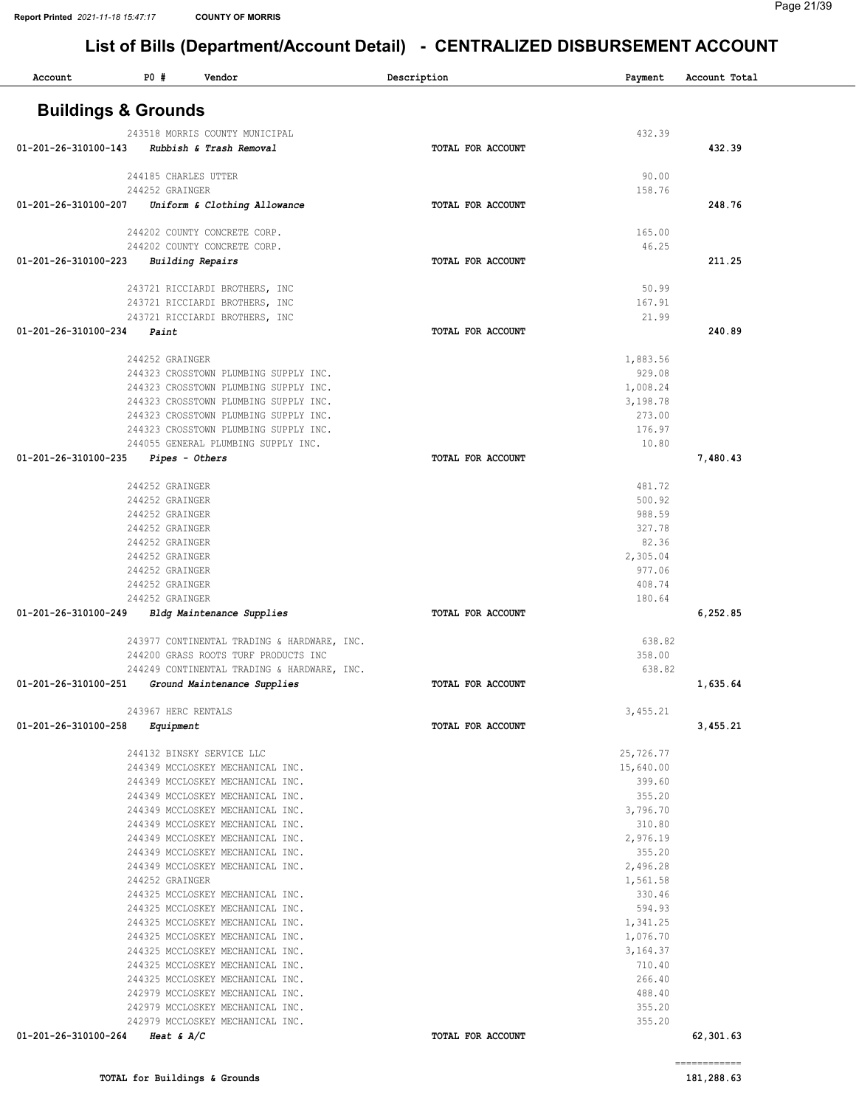| <b>Buildings &amp; Grounds</b><br>432.39<br>243518 MORRIS COUNTY MUNICIPAL<br>432.39<br>01-201-26-310100-143<br>Rubbish & Trash Removal<br>TOTAL FOR ACCOUNT<br>244185 CHARLES UTTER<br>90.00<br>244252 GRAINGER<br>158.76<br>Uniform & Clothing Allowance<br>248.76<br>01-201-26-310100-207<br>TOTAL FOR ACCOUNT<br>244202 COUNTY CONCRETE CORP.<br>165.00<br>244202 COUNTY CONCRETE CORP.<br>46.25<br>211.25<br>01-201-26-310100-223<br><b>Building Repairs</b><br>TOTAL FOR ACCOUNT<br>50.99<br>243721 RICCIARDI BROTHERS, INC<br>167.91<br>243721 RICCIARDI BROTHERS, INC<br>21.99<br>243721 RICCIARDI BROTHERS, INC<br>01-201-26-310100-234<br>240.89<br>Paint<br>TOTAL FOR ACCOUNT<br>244252 GRAINGER<br>1,883.56<br>929.08<br>244323 CROSSTOWN PLUMBING SUPPLY INC.<br>244323 CROSSTOWN PLUMBING SUPPLY INC.<br>1,008.24<br>3,198.78<br>244323 CROSSTOWN PLUMBING SUPPLY INC.<br>244323 CROSSTOWN PLUMBING SUPPLY INC.<br>273.00<br>244323 CROSSTOWN PLUMBING SUPPLY INC.<br>176.97<br>244055 GENERAL PLUMBING SUPPLY INC.<br>10.80<br>01-201-26-310100-235<br>Pipes - Others<br>7,480.43<br>TOTAL FOR ACCOUNT<br>244252 GRAINGER<br>481.72<br>500.92<br>244252 GRAINGER<br>988.59<br>244252 GRAINGER<br>327.78<br>244252 GRAINGER<br>82.36<br>244252 GRAINGER<br>2,305.04<br>244252 GRAINGER<br>977.06<br>244252 GRAINGER<br>408.74<br>244252 GRAINGER<br>244252 GRAINGER<br>180.64<br>01-201-26-310100-249<br>TOTAL FOR ACCOUNT<br>6,252.85<br>Bldg Maintenance Supplies<br>638.82<br>243977 CONTINENTAL TRADING & HARDWARE, INC.<br>358.00<br>244200 GRASS ROOTS TURF PRODUCTS INC<br>638.82<br>244249 CONTINENTAL TRADING & HARDWARE, INC.<br>01-201-26-310100-251<br>Ground Maintenance Supplies<br>TOTAL FOR ACCOUNT<br>1,635.64<br>243967 HERC RENTALS<br>3,455.21<br>01-201-26-310100-258<br>3,455.21<br>TOTAL FOR ACCOUNT<br>Equipment<br>244132 BINSKY SERVICE LLC<br>25,726.77<br>244349 MCCLOSKEY MECHANICAL INC.<br>15,640.00<br>244349 MCCLOSKEY MECHANICAL INC.<br>399.60<br>244349 MCCLOSKEY MECHANICAL INC.<br>355.20<br>244349 MCCLOSKEY MECHANICAL INC.<br>3,796.70<br>244349 MCCLOSKEY MECHANICAL INC.<br>310.80<br>244349 MCCLOSKEY MECHANICAL INC.<br>2,976.19<br>355.20<br>244349 MCCLOSKEY MECHANICAL INC.<br>2,496.28<br>244349 MCCLOSKEY MECHANICAL INC.<br>244252 GRAINGER<br>1,561.58<br>244325 MCCLOSKEY MECHANICAL INC.<br>330.46<br>594.93<br>244325 MCCLOSKEY MECHANICAL INC.<br>244325 MCCLOSKEY MECHANICAL INC.<br>1,341.25<br>244325 MCCLOSKEY MECHANICAL INC.<br>1,076.70<br>244325 MCCLOSKEY MECHANICAL INC.<br>3,164.37<br>244325 MCCLOSKEY MECHANICAL INC.<br>710.40<br>266.40<br>244325 MCCLOSKEY MECHANICAL INC.<br>242979 MCCLOSKEY MECHANICAL INC.<br>488.40<br>355.20<br>242979 MCCLOSKEY MECHANICAL INC.<br>355.20<br>242979 MCCLOSKEY MECHANICAL INC.<br>01-201-26-310100-264<br>62,301.63<br>Heat & $A/C$<br>TOTAL FOR ACCOUNT | Account | <b>PO #</b> | Vendor | Description | Payment | Account Total |
|--------------------------------------------------------------------------------------------------------------------------------------------------------------------------------------------------------------------------------------------------------------------------------------------------------------------------------------------------------------------------------------------------------------------------------------------------------------------------------------------------------------------------------------------------------------------------------------------------------------------------------------------------------------------------------------------------------------------------------------------------------------------------------------------------------------------------------------------------------------------------------------------------------------------------------------------------------------------------------------------------------------------------------------------------------------------------------------------------------------------------------------------------------------------------------------------------------------------------------------------------------------------------------------------------------------------------------------------------------------------------------------------------------------------------------------------------------------------------------------------------------------------------------------------------------------------------------------------------------------------------------------------------------------------------------------------------------------------------------------------------------------------------------------------------------------------------------------------------------------------------------------------------------------------------------------------------------------------------------------------------------------------------------------------------------------------------------------------------------------------------------------------------------------------------------------------------------------------------------------------------------------------------------------------------------------------------------------------------------------------------------------------------------------------------------------------------------------------------------------------------------------------------------------------------------------------------------------------------------------------------------------------------------------------------------------------------------------------------------------------------------------------------------------------------------------------------------------------------------------------------------------|---------|-------------|--------|-------------|---------|---------------|
|                                                                                                                                                                                                                                                                                                                                                                                                                                                                                                                                                                                                                                                                                                                                                                                                                                                                                                                                                                                                                                                                                                                                                                                                                                                                                                                                                                                                                                                                                                                                                                                                                                                                                                                                                                                                                                                                                                                                                                                                                                                                                                                                                                                                                                                                                                                                                                                                                                                                                                                                                                                                                                                                                                                                                                                                                                                                                      |         |             |        |             |         |               |
|                                                                                                                                                                                                                                                                                                                                                                                                                                                                                                                                                                                                                                                                                                                                                                                                                                                                                                                                                                                                                                                                                                                                                                                                                                                                                                                                                                                                                                                                                                                                                                                                                                                                                                                                                                                                                                                                                                                                                                                                                                                                                                                                                                                                                                                                                                                                                                                                                                                                                                                                                                                                                                                                                                                                                                                                                                                                                      |         |             |        |             |         |               |
|                                                                                                                                                                                                                                                                                                                                                                                                                                                                                                                                                                                                                                                                                                                                                                                                                                                                                                                                                                                                                                                                                                                                                                                                                                                                                                                                                                                                                                                                                                                                                                                                                                                                                                                                                                                                                                                                                                                                                                                                                                                                                                                                                                                                                                                                                                                                                                                                                                                                                                                                                                                                                                                                                                                                                                                                                                                                                      |         |             |        |             |         |               |
|                                                                                                                                                                                                                                                                                                                                                                                                                                                                                                                                                                                                                                                                                                                                                                                                                                                                                                                                                                                                                                                                                                                                                                                                                                                                                                                                                                                                                                                                                                                                                                                                                                                                                                                                                                                                                                                                                                                                                                                                                                                                                                                                                                                                                                                                                                                                                                                                                                                                                                                                                                                                                                                                                                                                                                                                                                                                                      |         |             |        |             |         |               |
|                                                                                                                                                                                                                                                                                                                                                                                                                                                                                                                                                                                                                                                                                                                                                                                                                                                                                                                                                                                                                                                                                                                                                                                                                                                                                                                                                                                                                                                                                                                                                                                                                                                                                                                                                                                                                                                                                                                                                                                                                                                                                                                                                                                                                                                                                                                                                                                                                                                                                                                                                                                                                                                                                                                                                                                                                                                                                      |         |             |        |             |         |               |
|                                                                                                                                                                                                                                                                                                                                                                                                                                                                                                                                                                                                                                                                                                                                                                                                                                                                                                                                                                                                                                                                                                                                                                                                                                                                                                                                                                                                                                                                                                                                                                                                                                                                                                                                                                                                                                                                                                                                                                                                                                                                                                                                                                                                                                                                                                                                                                                                                                                                                                                                                                                                                                                                                                                                                                                                                                                                                      |         |             |        |             |         |               |
|                                                                                                                                                                                                                                                                                                                                                                                                                                                                                                                                                                                                                                                                                                                                                                                                                                                                                                                                                                                                                                                                                                                                                                                                                                                                                                                                                                                                                                                                                                                                                                                                                                                                                                                                                                                                                                                                                                                                                                                                                                                                                                                                                                                                                                                                                                                                                                                                                                                                                                                                                                                                                                                                                                                                                                                                                                                                                      |         |             |        |             |         |               |
|                                                                                                                                                                                                                                                                                                                                                                                                                                                                                                                                                                                                                                                                                                                                                                                                                                                                                                                                                                                                                                                                                                                                                                                                                                                                                                                                                                                                                                                                                                                                                                                                                                                                                                                                                                                                                                                                                                                                                                                                                                                                                                                                                                                                                                                                                                                                                                                                                                                                                                                                                                                                                                                                                                                                                                                                                                                                                      |         |             |        |             |         |               |
|                                                                                                                                                                                                                                                                                                                                                                                                                                                                                                                                                                                                                                                                                                                                                                                                                                                                                                                                                                                                                                                                                                                                                                                                                                                                                                                                                                                                                                                                                                                                                                                                                                                                                                                                                                                                                                                                                                                                                                                                                                                                                                                                                                                                                                                                                                                                                                                                                                                                                                                                                                                                                                                                                                                                                                                                                                                                                      |         |             |        |             |         |               |
|                                                                                                                                                                                                                                                                                                                                                                                                                                                                                                                                                                                                                                                                                                                                                                                                                                                                                                                                                                                                                                                                                                                                                                                                                                                                                                                                                                                                                                                                                                                                                                                                                                                                                                                                                                                                                                                                                                                                                                                                                                                                                                                                                                                                                                                                                                                                                                                                                                                                                                                                                                                                                                                                                                                                                                                                                                                                                      |         |             |        |             |         |               |
|                                                                                                                                                                                                                                                                                                                                                                                                                                                                                                                                                                                                                                                                                                                                                                                                                                                                                                                                                                                                                                                                                                                                                                                                                                                                                                                                                                                                                                                                                                                                                                                                                                                                                                                                                                                                                                                                                                                                                                                                                                                                                                                                                                                                                                                                                                                                                                                                                                                                                                                                                                                                                                                                                                                                                                                                                                                                                      |         |             |        |             |         |               |
|                                                                                                                                                                                                                                                                                                                                                                                                                                                                                                                                                                                                                                                                                                                                                                                                                                                                                                                                                                                                                                                                                                                                                                                                                                                                                                                                                                                                                                                                                                                                                                                                                                                                                                                                                                                                                                                                                                                                                                                                                                                                                                                                                                                                                                                                                                                                                                                                                                                                                                                                                                                                                                                                                                                                                                                                                                                                                      |         |             |        |             |         |               |
|                                                                                                                                                                                                                                                                                                                                                                                                                                                                                                                                                                                                                                                                                                                                                                                                                                                                                                                                                                                                                                                                                                                                                                                                                                                                                                                                                                                                                                                                                                                                                                                                                                                                                                                                                                                                                                                                                                                                                                                                                                                                                                                                                                                                                                                                                                                                                                                                                                                                                                                                                                                                                                                                                                                                                                                                                                                                                      |         |             |        |             |         |               |
|                                                                                                                                                                                                                                                                                                                                                                                                                                                                                                                                                                                                                                                                                                                                                                                                                                                                                                                                                                                                                                                                                                                                                                                                                                                                                                                                                                                                                                                                                                                                                                                                                                                                                                                                                                                                                                                                                                                                                                                                                                                                                                                                                                                                                                                                                                                                                                                                                                                                                                                                                                                                                                                                                                                                                                                                                                                                                      |         |             |        |             |         |               |
|                                                                                                                                                                                                                                                                                                                                                                                                                                                                                                                                                                                                                                                                                                                                                                                                                                                                                                                                                                                                                                                                                                                                                                                                                                                                                                                                                                                                                                                                                                                                                                                                                                                                                                                                                                                                                                                                                                                                                                                                                                                                                                                                                                                                                                                                                                                                                                                                                                                                                                                                                                                                                                                                                                                                                                                                                                                                                      |         |             |        |             |         |               |
|                                                                                                                                                                                                                                                                                                                                                                                                                                                                                                                                                                                                                                                                                                                                                                                                                                                                                                                                                                                                                                                                                                                                                                                                                                                                                                                                                                                                                                                                                                                                                                                                                                                                                                                                                                                                                                                                                                                                                                                                                                                                                                                                                                                                                                                                                                                                                                                                                                                                                                                                                                                                                                                                                                                                                                                                                                                                                      |         |             |        |             |         |               |
|                                                                                                                                                                                                                                                                                                                                                                                                                                                                                                                                                                                                                                                                                                                                                                                                                                                                                                                                                                                                                                                                                                                                                                                                                                                                                                                                                                                                                                                                                                                                                                                                                                                                                                                                                                                                                                                                                                                                                                                                                                                                                                                                                                                                                                                                                                                                                                                                                                                                                                                                                                                                                                                                                                                                                                                                                                                                                      |         |             |        |             |         |               |
|                                                                                                                                                                                                                                                                                                                                                                                                                                                                                                                                                                                                                                                                                                                                                                                                                                                                                                                                                                                                                                                                                                                                                                                                                                                                                                                                                                                                                                                                                                                                                                                                                                                                                                                                                                                                                                                                                                                                                                                                                                                                                                                                                                                                                                                                                                                                                                                                                                                                                                                                                                                                                                                                                                                                                                                                                                                                                      |         |             |        |             |         |               |
|                                                                                                                                                                                                                                                                                                                                                                                                                                                                                                                                                                                                                                                                                                                                                                                                                                                                                                                                                                                                                                                                                                                                                                                                                                                                                                                                                                                                                                                                                                                                                                                                                                                                                                                                                                                                                                                                                                                                                                                                                                                                                                                                                                                                                                                                                                                                                                                                                                                                                                                                                                                                                                                                                                                                                                                                                                                                                      |         |             |        |             |         |               |
|                                                                                                                                                                                                                                                                                                                                                                                                                                                                                                                                                                                                                                                                                                                                                                                                                                                                                                                                                                                                                                                                                                                                                                                                                                                                                                                                                                                                                                                                                                                                                                                                                                                                                                                                                                                                                                                                                                                                                                                                                                                                                                                                                                                                                                                                                                                                                                                                                                                                                                                                                                                                                                                                                                                                                                                                                                                                                      |         |             |        |             |         |               |
|                                                                                                                                                                                                                                                                                                                                                                                                                                                                                                                                                                                                                                                                                                                                                                                                                                                                                                                                                                                                                                                                                                                                                                                                                                                                                                                                                                                                                                                                                                                                                                                                                                                                                                                                                                                                                                                                                                                                                                                                                                                                                                                                                                                                                                                                                                                                                                                                                                                                                                                                                                                                                                                                                                                                                                                                                                                                                      |         |             |        |             |         |               |
|                                                                                                                                                                                                                                                                                                                                                                                                                                                                                                                                                                                                                                                                                                                                                                                                                                                                                                                                                                                                                                                                                                                                                                                                                                                                                                                                                                                                                                                                                                                                                                                                                                                                                                                                                                                                                                                                                                                                                                                                                                                                                                                                                                                                                                                                                                                                                                                                                                                                                                                                                                                                                                                                                                                                                                                                                                                                                      |         |             |        |             |         |               |
|                                                                                                                                                                                                                                                                                                                                                                                                                                                                                                                                                                                                                                                                                                                                                                                                                                                                                                                                                                                                                                                                                                                                                                                                                                                                                                                                                                                                                                                                                                                                                                                                                                                                                                                                                                                                                                                                                                                                                                                                                                                                                                                                                                                                                                                                                                                                                                                                                                                                                                                                                                                                                                                                                                                                                                                                                                                                                      |         |             |        |             |         |               |
|                                                                                                                                                                                                                                                                                                                                                                                                                                                                                                                                                                                                                                                                                                                                                                                                                                                                                                                                                                                                                                                                                                                                                                                                                                                                                                                                                                                                                                                                                                                                                                                                                                                                                                                                                                                                                                                                                                                                                                                                                                                                                                                                                                                                                                                                                                                                                                                                                                                                                                                                                                                                                                                                                                                                                                                                                                                                                      |         |             |        |             |         |               |
|                                                                                                                                                                                                                                                                                                                                                                                                                                                                                                                                                                                                                                                                                                                                                                                                                                                                                                                                                                                                                                                                                                                                                                                                                                                                                                                                                                                                                                                                                                                                                                                                                                                                                                                                                                                                                                                                                                                                                                                                                                                                                                                                                                                                                                                                                                                                                                                                                                                                                                                                                                                                                                                                                                                                                                                                                                                                                      |         |             |        |             |         |               |
|                                                                                                                                                                                                                                                                                                                                                                                                                                                                                                                                                                                                                                                                                                                                                                                                                                                                                                                                                                                                                                                                                                                                                                                                                                                                                                                                                                                                                                                                                                                                                                                                                                                                                                                                                                                                                                                                                                                                                                                                                                                                                                                                                                                                                                                                                                                                                                                                                                                                                                                                                                                                                                                                                                                                                                                                                                                                                      |         |             |        |             |         |               |
|                                                                                                                                                                                                                                                                                                                                                                                                                                                                                                                                                                                                                                                                                                                                                                                                                                                                                                                                                                                                                                                                                                                                                                                                                                                                                                                                                                                                                                                                                                                                                                                                                                                                                                                                                                                                                                                                                                                                                                                                                                                                                                                                                                                                                                                                                                                                                                                                                                                                                                                                                                                                                                                                                                                                                                                                                                                                                      |         |             |        |             |         |               |
|                                                                                                                                                                                                                                                                                                                                                                                                                                                                                                                                                                                                                                                                                                                                                                                                                                                                                                                                                                                                                                                                                                                                                                                                                                                                                                                                                                                                                                                                                                                                                                                                                                                                                                                                                                                                                                                                                                                                                                                                                                                                                                                                                                                                                                                                                                                                                                                                                                                                                                                                                                                                                                                                                                                                                                                                                                                                                      |         |             |        |             |         |               |
|                                                                                                                                                                                                                                                                                                                                                                                                                                                                                                                                                                                                                                                                                                                                                                                                                                                                                                                                                                                                                                                                                                                                                                                                                                                                                                                                                                                                                                                                                                                                                                                                                                                                                                                                                                                                                                                                                                                                                                                                                                                                                                                                                                                                                                                                                                                                                                                                                                                                                                                                                                                                                                                                                                                                                                                                                                                                                      |         |             |        |             |         |               |
|                                                                                                                                                                                                                                                                                                                                                                                                                                                                                                                                                                                                                                                                                                                                                                                                                                                                                                                                                                                                                                                                                                                                                                                                                                                                                                                                                                                                                                                                                                                                                                                                                                                                                                                                                                                                                                                                                                                                                                                                                                                                                                                                                                                                                                                                                                                                                                                                                                                                                                                                                                                                                                                                                                                                                                                                                                                                                      |         |             |        |             |         |               |
|                                                                                                                                                                                                                                                                                                                                                                                                                                                                                                                                                                                                                                                                                                                                                                                                                                                                                                                                                                                                                                                                                                                                                                                                                                                                                                                                                                                                                                                                                                                                                                                                                                                                                                                                                                                                                                                                                                                                                                                                                                                                                                                                                                                                                                                                                                                                                                                                                                                                                                                                                                                                                                                                                                                                                                                                                                                                                      |         |             |        |             |         |               |
|                                                                                                                                                                                                                                                                                                                                                                                                                                                                                                                                                                                                                                                                                                                                                                                                                                                                                                                                                                                                                                                                                                                                                                                                                                                                                                                                                                                                                                                                                                                                                                                                                                                                                                                                                                                                                                                                                                                                                                                                                                                                                                                                                                                                                                                                                                                                                                                                                                                                                                                                                                                                                                                                                                                                                                                                                                                                                      |         |             |        |             |         |               |
|                                                                                                                                                                                                                                                                                                                                                                                                                                                                                                                                                                                                                                                                                                                                                                                                                                                                                                                                                                                                                                                                                                                                                                                                                                                                                                                                                                                                                                                                                                                                                                                                                                                                                                                                                                                                                                                                                                                                                                                                                                                                                                                                                                                                                                                                                                                                                                                                                                                                                                                                                                                                                                                                                                                                                                                                                                                                                      |         |             |        |             |         |               |
|                                                                                                                                                                                                                                                                                                                                                                                                                                                                                                                                                                                                                                                                                                                                                                                                                                                                                                                                                                                                                                                                                                                                                                                                                                                                                                                                                                                                                                                                                                                                                                                                                                                                                                                                                                                                                                                                                                                                                                                                                                                                                                                                                                                                                                                                                                                                                                                                                                                                                                                                                                                                                                                                                                                                                                                                                                                                                      |         |             |        |             |         |               |
|                                                                                                                                                                                                                                                                                                                                                                                                                                                                                                                                                                                                                                                                                                                                                                                                                                                                                                                                                                                                                                                                                                                                                                                                                                                                                                                                                                                                                                                                                                                                                                                                                                                                                                                                                                                                                                                                                                                                                                                                                                                                                                                                                                                                                                                                                                                                                                                                                                                                                                                                                                                                                                                                                                                                                                                                                                                                                      |         |             |        |             |         |               |
|                                                                                                                                                                                                                                                                                                                                                                                                                                                                                                                                                                                                                                                                                                                                                                                                                                                                                                                                                                                                                                                                                                                                                                                                                                                                                                                                                                                                                                                                                                                                                                                                                                                                                                                                                                                                                                                                                                                                                                                                                                                                                                                                                                                                                                                                                                                                                                                                                                                                                                                                                                                                                                                                                                                                                                                                                                                                                      |         |             |        |             |         |               |
|                                                                                                                                                                                                                                                                                                                                                                                                                                                                                                                                                                                                                                                                                                                                                                                                                                                                                                                                                                                                                                                                                                                                                                                                                                                                                                                                                                                                                                                                                                                                                                                                                                                                                                                                                                                                                                                                                                                                                                                                                                                                                                                                                                                                                                                                                                                                                                                                                                                                                                                                                                                                                                                                                                                                                                                                                                                                                      |         |             |        |             |         |               |
|                                                                                                                                                                                                                                                                                                                                                                                                                                                                                                                                                                                                                                                                                                                                                                                                                                                                                                                                                                                                                                                                                                                                                                                                                                                                                                                                                                                                                                                                                                                                                                                                                                                                                                                                                                                                                                                                                                                                                                                                                                                                                                                                                                                                                                                                                                                                                                                                                                                                                                                                                                                                                                                                                                                                                                                                                                                                                      |         |             |        |             |         |               |
|                                                                                                                                                                                                                                                                                                                                                                                                                                                                                                                                                                                                                                                                                                                                                                                                                                                                                                                                                                                                                                                                                                                                                                                                                                                                                                                                                                                                                                                                                                                                                                                                                                                                                                                                                                                                                                                                                                                                                                                                                                                                                                                                                                                                                                                                                                                                                                                                                                                                                                                                                                                                                                                                                                                                                                                                                                                                                      |         |             |        |             |         |               |
|                                                                                                                                                                                                                                                                                                                                                                                                                                                                                                                                                                                                                                                                                                                                                                                                                                                                                                                                                                                                                                                                                                                                                                                                                                                                                                                                                                                                                                                                                                                                                                                                                                                                                                                                                                                                                                                                                                                                                                                                                                                                                                                                                                                                                                                                                                                                                                                                                                                                                                                                                                                                                                                                                                                                                                                                                                                                                      |         |             |        |             |         |               |
|                                                                                                                                                                                                                                                                                                                                                                                                                                                                                                                                                                                                                                                                                                                                                                                                                                                                                                                                                                                                                                                                                                                                                                                                                                                                                                                                                                                                                                                                                                                                                                                                                                                                                                                                                                                                                                                                                                                                                                                                                                                                                                                                                                                                                                                                                                                                                                                                                                                                                                                                                                                                                                                                                                                                                                                                                                                                                      |         |             |        |             |         |               |
|                                                                                                                                                                                                                                                                                                                                                                                                                                                                                                                                                                                                                                                                                                                                                                                                                                                                                                                                                                                                                                                                                                                                                                                                                                                                                                                                                                                                                                                                                                                                                                                                                                                                                                                                                                                                                                                                                                                                                                                                                                                                                                                                                                                                                                                                                                                                                                                                                                                                                                                                                                                                                                                                                                                                                                                                                                                                                      |         |             |        |             |         |               |
|                                                                                                                                                                                                                                                                                                                                                                                                                                                                                                                                                                                                                                                                                                                                                                                                                                                                                                                                                                                                                                                                                                                                                                                                                                                                                                                                                                                                                                                                                                                                                                                                                                                                                                                                                                                                                                                                                                                                                                                                                                                                                                                                                                                                                                                                                                                                                                                                                                                                                                                                                                                                                                                                                                                                                                                                                                                                                      |         |             |        |             |         |               |
|                                                                                                                                                                                                                                                                                                                                                                                                                                                                                                                                                                                                                                                                                                                                                                                                                                                                                                                                                                                                                                                                                                                                                                                                                                                                                                                                                                                                                                                                                                                                                                                                                                                                                                                                                                                                                                                                                                                                                                                                                                                                                                                                                                                                                                                                                                                                                                                                                                                                                                                                                                                                                                                                                                                                                                                                                                                                                      |         |             |        |             |         |               |
|                                                                                                                                                                                                                                                                                                                                                                                                                                                                                                                                                                                                                                                                                                                                                                                                                                                                                                                                                                                                                                                                                                                                                                                                                                                                                                                                                                                                                                                                                                                                                                                                                                                                                                                                                                                                                                                                                                                                                                                                                                                                                                                                                                                                                                                                                                                                                                                                                                                                                                                                                                                                                                                                                                                                                                                                                                                                                      |         |             |        |             |         |               |
|                                                                                                                                                                                                                                                                                                                                                                                                                                                                                                                                                                                                                                                                                                                                                                                                                                                                                                                                                                                                                                                                                                                                                                                                                                                                                                                                                                                                                                                                                                                                                                                                                                                                                                                                                                                                                                                                                                                                                                                                                                                                                                                                                                                                                                                                                                                                                                                                                                                                                                                                                                                                                                                                                                                                                                                                                                                                                      |         |             |        |             |         |               |
|                                                                                                                                                                                                                                                                                                                                                                                                                                                                                                                                                                                                                                                                                                                                                                                                                                                                                                                                                                                                                                                                                                                                                                                                                                                                                                                                                                                                                                                                                                                                                                                                                                                                                                                                                                                                                                                                                                                                                                                                                                                                                                                                                                                                                                                                                                                                                                                                                                                                                                                                                                                                                                                                                                                                                                                                                                                                                      |         |             |        |             |         |               |
|                                                                                                                                                                                                                                                                                                                                                                                                                                                                                                                                                                                                                                                                                                                                                                                                                                                                                                                                                                                                                                                                                                                                                                                                                                                                                                                                                                                                                                                                                                                                                                                                                                                                                                                                                                                                                                                                                                                                                                                                                                                                                                                                                                                                                                                                                                                                                                                                                                                                                                                                                                                                                                                                                                                                                                                                                                                                                      |         |             |        |             |         |               |
|                                                                                                                                                                                                                                                                                                                                                                                                                                                                                                                                                                                                                                                                                                                                                                                                                                                                                                                                                                                                                                                                                                                                                                                                                                                                                                                                                                                                                                                                                                                                                                                                                                                                                                                                                                                                                                                                                                                                                                                                                                                                                                                                                                                                                                                                                                                                                                                                                                                                                                                                                                                                                                                                                                                                                                                                                                                                                      |         |             |        |             |         |               |
|                                                                                                                                                                                                                                                                                                                                                                                                                                                                                                                                                                                                                                                                                                                                                                                                                                                                                                                                                                                                                                                                                                                                                                                                                                                                                                                                                                                                                                                                                                                                                                                                                                                                                                                                                                                                                                                                                                                                                                                                                                                                                                                                                                                                                                                                                                                                                                                                                                                                                                                                                                                                                                                                                                                                                                                                                                                                                      |         |             |        |             |         |               |
|                                                                                                                                                                                                                                                                                                                                                                                                                                                                                                                                                                                                                                                                                                                                                                                                                                                                                                                                                                                                                                                                                                                                                                                                                                                                                                                                                                                                                                                                                                                                                                                                                                                                                                                                                                                                                                                                                                                                                                                                                                                                                                                                                                                                                                                                                                                                                                                                                                                                                                                                                                                                                                                                                                                                                                                                                                                                                      |         |             |        |             |         |               |
|                                                                                                                                                                                                                                                                                                                                                                                                                                                                                                                                                                                                                                                                                                                                                                                                                                                                                                                                                                                                                                                                                                                                                                                                                                                                                                                                                                                                                                                                                                                                                                                                                                                                                                                                                                                                                                                                                                                                                                                                                                                                                                                                                                                                                                                                                                                                                                                                                                                                                                                                                                                                                                                                                                                                                                                                                                                                                      |         |             |        |             |         |               |
|                                                                                                                                                                                                                                                                                                                                                                                                                                                                                                                                                                                                                                                                                                                                                                                                                                                                                                                                                                                                                                                                                                                                                                                                                                                                                                                                                                                                                                                                                                                                                                                                                                                                                                                                                                                                                                                                                                                                                                                                                                                                                                                                                                                                                                                                                                                                                                                                                                                                                                                                                                                                                                                                                                                                                                                                                                                                                      |         |             |        |             |         |               |
|                                                                                                                                                                                                                                                                                                                                                                                                                                                                                                                                                                                                                                                                                                                                                                                                                                                                                                                                                                                                                                                                                                                                                                                                                                                                                                                                                                                                                                                                                                                                                                                                                                                                                                                                                                                                                                                                                                                                                                                                                                                                                                                                                                                                                                                                                                                                                                                                                                                                                                                                                                                                                                                                                                                                                                                                                                                                                      |         |             |        |             |         |               |
|                                                                                                                                                                                                                                                                                                                                                                                                                                                                                                                                                                                                                                                                                                                                                                                                                                                                                                                                                                                                                                                                                                                                                                                                                                                                                                                                                                                                                                                                                                                                                                                                                                                                                                                                                                                                                                                                                                                                                                                                                                                                                                                                                                                                                                                                                                                                                                                                                                                                                                                                                                                                                                                                                                                                                                                                                                                                                      |         |             |        |             |         |               |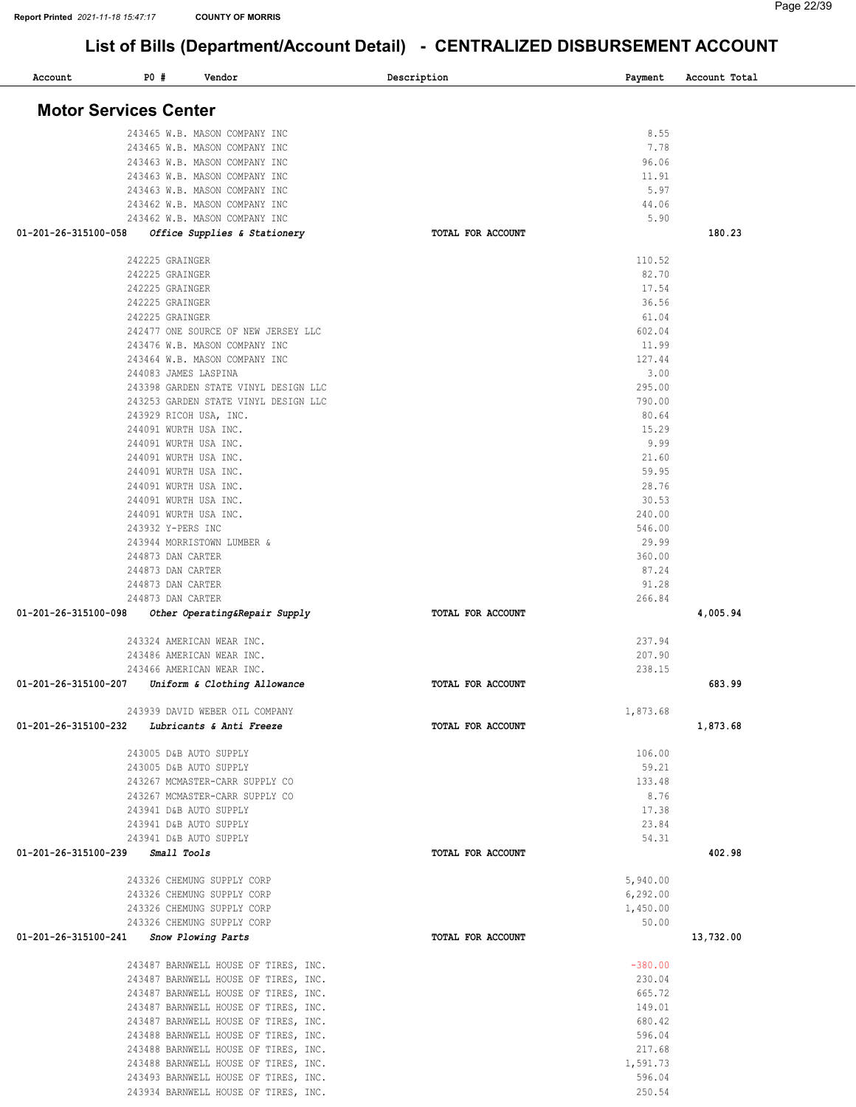| Account                                       | P0#                    | Vendor                                                                       | Description       | Payment          | Account Total |
|-----------------------------------------------|------------------------|------------------------------------------------------------------------------|-------------------|------------------|---------------|
|                                               |                        |                                                                              |                   |                  |               |
| <b>Motor Services Center</b>                  |                        |                                                                              |                   |                  |               |
|                                               |                        |                                                                              |                   |                  |               |
|                                               |                        | 243465 W.B. MASON COMPANY INC                                                |                   | 8.55             |               |
|                                               |                        | 243465 W.B. MASON COMPANY INC                                                |                   | 7.78             |               |
|                                               |                        | 243463 W.B. MASON COMPANY INC                                                |                   | 96.06            |               |
|                                               |                        | 243463 W.B. MASON COMPANY INC                                                |                   | 11.91            |               |
|                                               |                        | 243463 W.B. MASON COMPANY INC                                                |                   | 5.97             |               |
|                                               |                        | 243462 W.B. MASON COMPANY INC                                                |                   | 44.06            |               |
|                                               |                        | 243462 W.B. MASON COMPANY INC                                                |                   | 5.90             |               |
| 01-201-26-315100-058                          |                        | Office Supplies & Stationery                                                 | TOTAL FOR ACCOUNT |                  | 180.23        |
|                                               |                        |                                                                              |                   |                  |               |
|                                               | 242225 GRAINGER        |                                                                              |                   | 110.52           |               |
|                                               | 242225 GRAINGER        |                                                                              |                   | 82.70            |               |
|                                               | 242225 GRAINGER        |                                                                              |                   | 17.54            |               |
|                                               | 242225 GRAINGER        |                                                                              |                   | 36.56            |               |
|                                               | 242225 GRAINGER        |                                                                              |                   | 61.04            |               |
|                                               |                        | 242477 ONE SOURCE OF NEW JERSEY LLC                                          |                   | 602.04           |               |
|                                               |                        | 243476 W.B. MASON COMPANY INC                                                |                   | 11.99            |               |
|                                               |                        | 243464 W.B. MASON COMPANY INC                                                |                   | 127.44           |               |
|                                               | 244083 JAMES LASPINA   |                                                                              |                   | 3.00             |               |
|                                               |                        | 243398 GARDEN STATE VINYL DESIGN LLC                                         |                   | 295.00           |               |
|                                               |                        | 243253 GARDEN STATE VINYL DESIGN LLC                                         |                   | 790.00           |               |
|                                               | 243929 RICOH USA, INC. |                                                                              |                   | 80.64            |               |
|                                               | 244091 WURTH USA INC.  |                                                                              |                   | 15.29            |               |
|                                               | 244091 WURTH USA INC.  |                                                                              |                   | 9.99             |               |
|                                               | 244091 WURTH USA INC.  |                                                                              |                   | 21.60            |               |
|                                               | 244091 WURTH USA INC.  |                                                                              |                   | 59.95            |               |
|                                               | 244091 WURTH USA INC.  |                                                                              |                   | 28.76            |               |
|                                               | 244091 WURTH USA INC.  |                                                                              |                   | 30.53            |               |
|                                               | 244091 WURTH USA INC.  |                                                                              |                   | 240.00           |               |
|                                               | 243932 Y-PERS INC      |                                                                              |                   | 546.00           |               |
|                                               |                        | 243944 MORRISTOWN LUMBER &                                                   |                   | 29.99            |               |
|                                               | 244873 DAN CARTER      |                                                                              |                   | 360.00           |               |
|                                               | 244873 DAN CARTER      |                                                                              |                   | 87.24            |               |
|                                               | 244873 DAN CARTER      |                                                                              |                   | 91.28            |               |
|                                               | 244873 DAN CARTER      |                                                                              |                   | 266.84           |               |
| 01-201-26-315100-098                          |                        | Other Operating&Repair Supply                                                | TOTAL FOR ACCOUNT |                  | 4,005.94      |
|                                               |                        |                                                                              |                   |                  |               |
|                                               |                        | 243324 AMERICAN WEAR INC.                                                    |                   | 237.94           |               |
|                                               |                        | 243486 AMERICAN WEAR INC.                                                    |                   | 207.90           |               |
|                                               |                        | 243466 AMERICAN WEAR INC.                                                    |                   | 238.15           |               |
| 01-201-26-315100-207                          |                        |                                                                              | TOTAL FOR ACCOUNT |                  | 683.99        |
|                                               |                        | Uniform & Clothing Allowance                                                 |                   |                  |               |
|                                               |                        | 243939 DAVID WEBER OIL COMPANY                                               |                   | 1,873.68         |               |
| 01-201-26-315100-232 Lubricants & Anti Freeze |                        |                                                                              | TOTAL FOR ACCOUNT |                  | 1,873.68      |
|                                               |                        |                                                                              |                   |                  |               |
|                                               | 243005 D&B AUTO SUPPLY |                                                                              |                   | 106.00           |               |
|                                               | 243005 D&B AUTO SUPPLY |                                                                              |                   | 59.21            |               |
|                                               |                        | 243267 MCMASTER-CARR SUPPLY CO                                               |                   | 133.48           |               |
|                                               |                        | 243267 MCMASTER-CARR SUPPLY CO                                               |                   | 8.76             |               |
|                                               | 243941 D&B AUTO SUPPLY |                                                                              |                   | 17.38            |               |
|                                               | 243941 D&B AUTO SUPPLY |                                                                              |                   | 23.84            |               |
|                                               | 243941 D&B AUTO SUPPLY |                                                                              |                   | 54.31            |               |
| 01-201-26-315100-239 Small Tools              |                        |                                                                              | TOTAL FOR ACCOUNT |                  | 402.98        |
|                                               |                        |                                                                              |                   |                  |               |
|                                               |                        | 243326 CHEMUNG SUPPLY CORP                                                   |                   | 5,940.00         |               |
|                                               |                        | 243326 CHEMUNG SUPPLY CORP                                                   |                   | 6, 292.00        |               |
|                                               |                        | 243326 CHEMUNG SUPPLY CORP                                                   |                   | 1,450.00         |               |
|                                               |                        | 243326 CHEMUNG SUPPLY CORP                                                   |                   | 50.00            |               |
|                                               |                        |                                                                              |                   |                  |               |
| 01-201-26-315100-241 Snow Plowing Parts       |                        |                                                                              | TOTAL FOR ACCOUNT |                  | 13,732.00     |
|                                               |                        | 243487 BARNWELL HOUSE OF TIRES, INC.                                         |                   | $-380.00$        |               |
|                                               |                        | 243487 BARNWELL HOUSE OF TIRES, INC.                                         |                   | 230.04           |               |
|                                               |                        |                                                                              |                   | 665.72           |               |
|                                               |                        | 243487 BARNWELL HOUSE OF TIRES, INC.                                         |                   | 149.01           |               |
|                                               |                        | 243487 BARNWELL HOUSE OF TIRES, INC.<br>243487 BARNWELL HOUSE OF TIRES, INC. |                   | 680.42           |               |
|                                               |                        |                                                                              |                   | 596.04           |               |
|                                               |                        | 243488 BARNWELL HOUSE OF TIRES, INC.                                         |                   |                  |               |
|                                               |                        | 243488 BARNWELL HOUSE OF TIRES, INC.                                         |                   | 217.68           |               |
|                                               |                        | 243488 BARNWELL HOUSE OF TIRES, INC.                                         |                   | 1,591.73         |               |
|                                               |                        | 243493 BARNWELL HOUSE OF TIRES, INC.                                         |                   | 596.04<br>250.54 |               |
|                                               |                        | 243934 BARNWELL HOUSE OF TIRES, INC.                                         |                   |                  |               |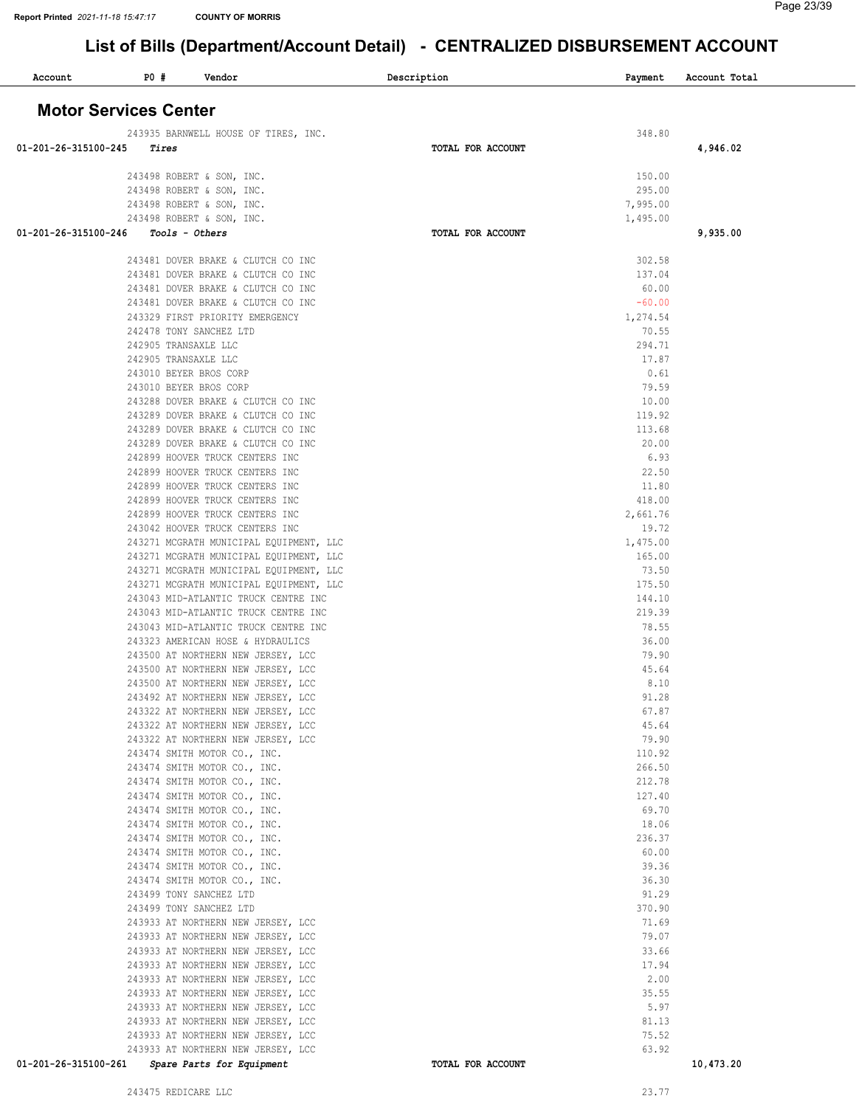| Account                      | P0# | Vendor                                                             |                                                                                 | Description |                   | Payment              | Account Total |  |
|------------------------------|-----|--------------------------------------------------------------------|---------------------------------------------------------------------------------|-------------|-------------------|----------------------|---------------|--|
| <b>Motor Services Center</b> |     |                                                                    |                                                                                 |             |                   |                      |               |  |
|                              |     |                                                                    | 243935 BARNWELL HOUSE OF TIRES, INC.                                            |             |                   | 348.80               |               |  |
| 01-201-26-315100-245         |     | Tires                                                              |                                                                                 |             | TOTAL FOR ACCOUNT |                      | 4,946.02      |  |
|                              |     | 243498 ROBERT & SON, INC.                                          |                                                                                 |             |                   | 150.00               |               |  |
|                              |     | 243498 ROBERT & SON, INC.                                          |                                                                                 |             |                   | 295.00               |               |  |
|                              |     | 243498 ROBERT & SON, INC.<br>243498 ROBERT & SON, INC.             |                                                                                 |             |                   | 7,995.00<br>1,495.00 |               |  |
| 01-201-26-315100-246         |     | Tools - Others                                                     |                                                                                 |             | TOTAL FOR ACCOUNT |                      | 9,935.00      |  |
|                              |     |                                                                    | 243481 DOVER BRAKE & CLUTCH CO INC                                              |             |                   | 302.58               |               |  |
|                              |     |                                                                    | 243481 DOVER BRAKE & CLUTCH CO INC                                              |             |                   | 137.04               |               |  |
|                              |     |                                                                    | 243481 DOVER BRAKE & CLUTCH CO INC                                              |             |                   | 60.00                |               |  |
|                              |     |                                                                    | 243481 DOVER BRAKE & CLUTCH CO INC                                              |             |                   | $-60.00$             |               |  |
|                              |     | 243329 FIRST PRIORITY EMERGENCY<br>242478 TONY SANCHEZ LTD         |                                                                                 |             |                   | 1,274.54<br>70.55    |               |  |
|                              |     | 242905 TRANSAXLE LLC                                               |                                                                                 |             |                   | 294.71               |               |  |
|                              |     | 242905 TRANSAXLE LLC                                               |                                                                                 |             |                   | 17.87                |               |  |
|                              |     | 243010 BEYER BROS CORP                                             |                                                                                 |             |                   | 0.61<br>79.59        |               |  |
|                              |     | 243010 BEYER BROS CORP                                             | 243288 DOVER BRAKE & CLUTCH CO INC                                              |             |                   | 10.00                |               |  |
|                              |     |                                                                    | 243289 DOVER BRAKE & CLUTCH CO INC                                              |             |                   | 119.92               |               |  |
|                              |     |                                                                    | 243289 DOVER BRAKE & CLUTCH CO INC                                              |             |                   | 113.68               |               |  |
|                              |     | 242899 HOOVER TRUCK CENTERS INC                                    | 243289 DOVER BRAKE & CLUTCH CO INC                                              |             |                   | 20.00<br>6.93        |               |  |
|                              |     | 242899 HOOVER TRUCK CENTERS INC                                    |                                                                                 |             |                   | 22.50                |               |  |
|                              |     | 242899 HOOVER TRUCK CENTERS INC                                    |                                                                                 |             |                   | 11.80                |               |  |
|                              |     | 242899 HOOVER TRUCK CENTERS INC                                    |                                                                                 |             |                   | 418.00               |               |  |
|                              |     | 242899 HOOVER TRUCK CENTERS INC<br>243042 HOOVER TRUCK CENTERS INC |                                                                                 |             |                   | 2,661.76<br>19.72    |               |  |
|                              |     |                                                                    | 243271 MCGRATH MUNICIPAL EQUIPMENT, LLC                                         |             |                   | 1,475.00             |               |  |
|                              |     |                                                                    | 243271 MCGRATH MUNICIPAL EQUIPMENT, LLC                                         |             |                   | 165.00               |               |  |
|                              |     |                                                                    | 243271 MCGRATH MUNICIPAL EQUIPMENT, LLC                                         |             |                   | 73.50<br>175.50      |               |  |
|                              |     |                                                                    | 243271 MCGRATH MUNICIPAL EQUIPMENT, LLC<br>243043 MID-ATLANTIC TRUCK CENTRE INC |             |                   | 144.10               |               |  |
|                              |     |                                                                    | 243043 MID-ATLANTIC TRUCK CENTRE INC                                            |             |                   | 219.39               |               |  |
|                              |     |                                                                    | 243043 MID-ATLANTIC TRUCK CENTRE INC                                            |             |                   | 78.55                |               |  |
|                              |     |                                                                    | 243323 AMERICAN HOSE & HYDRAULICS<br>243500 AT NORTHERN NEW JERSEY, LCC         |             |                   | 36.00<br>79.90       |               |  |
|                              |     |                                                                    | 243500 AT NORTHERN NEW JERSEY, LCC                                              |             |                   | 45.64                |               |  |
|                              |     |                                                                    | 243500 AT NORTHERN NEW JERSEY, LCC                                              |             |                   | 8.10                 |               |  |
|                              |     |                                                                    | 243492 AT NORTHERN NEW JERSEY, LCC                                              |             |                   | 91.28                |               |  |
|                              |     |                                                                    | 243322 AT NORTHERN NEW JERSEY, LCC<br>243322 AT NORTHERN NEW JERSEY, LCC        |             |                   | 67.87<br>45.64       |               |  |
|                              |     |                                                                    | 243322 AT NORTHERN NEW JERSEY, LCC                                              |             |                   | 79.90                |               |  |
|                              |     | 243474 SMITH MOTOR CO., INC.                                       |                                                                                 |             |                   | 110.92               |               |  |
|                              |     | 243474 SMITH MOTOR CO., INC.<br>243474 SMITH MOTOR CO., INC.       |                                                                                 |             |                   | 266.50<br>212.78     |               |  |
|                              |     | 243474 SMITH MOTOR CO., INC.                                       |                                                                                 |             |                   | 127.40               |               |  |
|                              |     | 243474 SMITH MOTOR CO., INC.                                       |                                                                                 |             |                   | 69.70                |               |  |
|                              |     | 243474 SMITH MOTOR CO., INC.                                       |                                                                                 |             |                   | 18.06                |               |  |
|                              |     | 243474 SMITH MOTOR CO., INC.<br>243474 SMITH MOTOR CO., INC.       |                                                                                 |             |                   | 236.37<br>60.00      |               |  |
|                              |     | 243474 SMITH MOTOR CO., INC.                                       |                                                                                 |             |                   | 39.36                |               |  |
|                              |     | 243474 SMITH MOTOR CO., INC.                                       |                                                                                 |             |                   | 36.30                |               |  |
|                              |     | 243499 TONY SANCHEZ LTD                                            |                                                                                 |             |                   | 91.29                |               |  |
|                              |     | 243499 TONY SANCHEZ LTD                                            | 243933 AT NORTHERN NEW JERSEY, LCC                                              |             |                   | 370.90<br>71.69      |               |  |
|                              |     |                                                                    | 243933 AT NORTHERN NEW JERSEY, LCC                                              |             |                   | 79.07                |               |  |
|                              |     |                                                                    | 243933 AT NORTHERN NEW JERSEY, LCC                                              |             |                   | 33.66                |               |  |
|                              |     |                                                                    | 243933 AT NORTHERN NEW JERSEY, LCC<br>243933 AT NORTHERN NEW JERSEY, LCC        |             |                   | 17.94<br>2.00        |               |  |
|                              |     |                                                                    | 243933 AT NORTHERN NEW JERSEY, LCC                                              |             |                   | 35.55                |               |  |
|                              |     |                                                                    | 243933 AT NORTHERN NEW JERSEY, LCC                                              |             |                   | 5.97                 |               |  |
|                              |     |                                                                    | 243933 AT NORTHERN NEW JERSEY, LCC                                              |             |                   | 81.13                |               |  |
|                              |     |                                                                    | 243933 AT NORTHERN NEW JERSEY, LCC<br>243933 AT NORTHERN NEW JERSEY, LCC        |             |                   | 75.52<br>63.92       |               |  |
| 01-201-26-315100-261         |     | Spare Parts for Equipment                                          |                                                                                 |             | TOTAL FOR ACCOUNT |                      | 10,473.20     |  |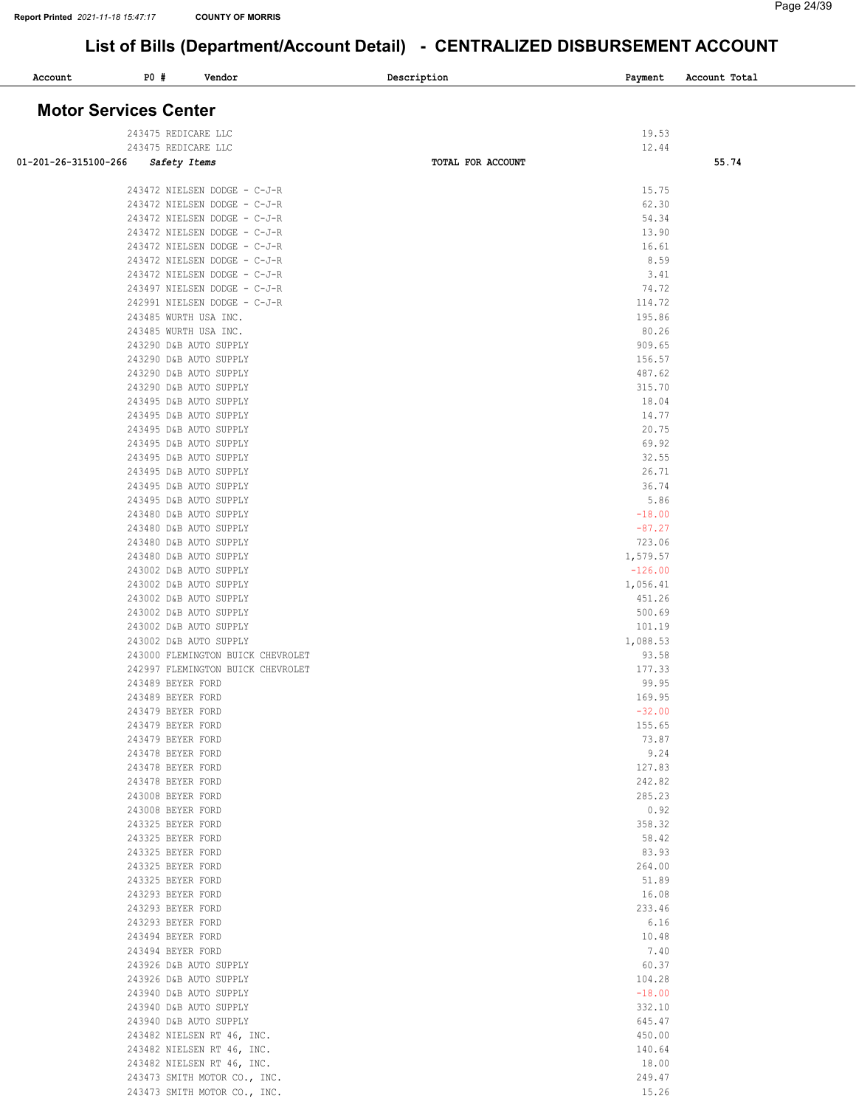| Account                      | P0 # | Vendor                                                       | Description       | Payment            | Account Total |
|------------------------------|------|--------------------------------------------------------------|-------------------|--------------------|---------------|
|                              |      |                                                              |                   |                    |               |
| <b>Motor Services Center</b> |      |                                                              |                   |                    |               |
|                              |      | 243475 REDICARE LLC                                          |                   | 19.53              |               |
| 01-201-26-315100-266         |      | 243475 REDICARE LLC<br>Safety Items                          | TOTAL FOR ACCOUNT | 12.44              | 55.74         |
|                              |      |                                                              |                   |                    |               |
|                              |      | 243472 NIELSEN DODGE - C-J-R<br>243472 NIELSEN DODGE - C-J-R |                   | 15.75<br>62.30     |               |
|                              |      | 243472 NIELSEN DODGE - C-J-R                                 |                   | 54.34              |               |
|                              |      | 243472 NIELSEN DODGE - C-J-R                                 |                   | 13.90              |               |
|                              |      | 243472 NIELSEN DODGE - C-J-R                                 |                   | 16.61              |               |
|                              |      | 243472 NIELSEN DODGE - C-J-R<br>243472 NIELSEN DODGE - C-J-R |                   | 8.59<br>3.41       |               |
|                              |      | 243497 NIELSEN DODGE - C-J-R                                 |                   | 74.72              |               |
|                              |      | 242991 NIELSEN DODGE - C-J-R                                 |                   | 114.72             |               |
|                              |      | 243485 WURTH USA INC.                                        |                   | 195.86             |               |
|                              |      | 243485 WURTH USA INC.<br>243290 D&B AUTO SUPPLY              |                   | 80.26<br>909.65    |               |
|                              |      | 243290 D&B AUTO SUPPLY                                       |                   | 156.57             |               |
|                              |      | 243290 D&B AUTO SUPPLY                                       |                   | 487.62             |               |
|                              |      | 243290 D&B AUTO SUPPLY                                       |                   | 315.70             |               |
|                              |      | 243495 D&B AUTO SUPPLY<br>243495 D&B AUTO SUPPLY             |                   | 18.04<br>14.77     |               |
|                              |      | 243495 D&B AUTO SUPPLY                                       |                   | 20.75              |               |
|                              |      | 243495 D&B AUTO SUPPLY                                       |                   | 69.92              |               |
|                              |      | 243495 D&B AUTO SUPPLY                                       |                   | 32.55              |               |
|                              |      | 243495 D&B AUTO SUPPLY<br>243495 D&B AUTO SUPPLY             |                   | 26.71<br>36.74     |               |
|                              |      | 243495 D&B AUTO SUPPLY                                       |                   | 5.86               |               |
|                              |      | 243480 D&B AUTO SUPPLY                                       |                   | $-18.00$           |               |
|                              |      | 243480 D&B AUTO SUPPLY                                       |                   | $-87.27$           |               |
|                              |      | 243480 D&B AUTO SUPPLY<br>243480 D&B AUTO SUPPLY             |                   | 723.06<br>1,579.57 |               |
|                              |      | 243002 D&B AUTO SUPPLY                                       |                   | $-126.00$          |               |
|                              |      | 243002 D&B AUTO SUPPLY                                       |                   | 1,056.41           |               |
|                              |      | 243002 D&B AUTO SUPPLY                                       |                   | 451.26             |               |
|                              |      | 243002 D&B AUTO SUPPLY<br>243002 D&B AUTO SUPPLY             |                   | 500.69<br>101.19   |               |
|                              |      | 243002 D&B AUTO SUPPLY                                       |                   | 1,088.53           |               |
|                              |      | 243000 FLEMINGTON BUICK CHEVROLET                            |                   | 93.58              |               |
|                              |      | 242997 FLEMINGTON BUICK CHEVROLET                            |                   | 177.33             |               |
|                              |      | 243489 BEYER FORD<br>243489 BEYER FORD                       |                   | 99.95<br>169.95    |               |
|                              |      | 243479 BEYER FORD                                            |                   | $-32.00$           |               |
|                              |      | 243479 BEYER FORD                                            |                   | 155.65             |               |
|                              |      | 243479 BEYER FORD                                            |                   | 73.87              |               |
|                              |      | 243478 BEYER FORD<br>243478 BEYER FORD                       |                   | 9.24<br>127.83     |               |
|                              |      | 243478 BEYER FORD                                            |                   | 242.82             |               |
|                              |      | 243008 BEYER FORD                                            |                   | 285.23             |               |
|                              |      | 243008 BEYER FORD<br>243325 BEYER FORD                       |                   | 0.92               |               |
|                              |      | 243325 BEYER FORD                                            |                   | 358.32<br>58.42    |               |
|                              |      | 243325 BEYER FORD                                            |                   | 83.93              |               |
|                              |      | 243325 BEYER FORD                                            |                   | 264.00             |               |
|                              |      | 243325 BEYER FORD                                            |                   | 51.89<br>16.08     |               |
|                              |      | 243293 BEYER FORD<br>243293 BEYER FORD                       |                   | 233.46             |               |
|                              |      | 243293 BEYER FORD                                            |                   | 6.16               |               |
|                              |      | 243494 BEYER FORD                                            |                   | 10.48              |               |
|                              |      | 243494 BEYER FORD<br>243926 D&B AUTO SUPPLY                  |                   | 7.40<br>60.37      |               |
|                              |      | 243926 D&B AUTO SUPPLY                                       |                   | 104.28             |               |
|                              |      | 243940 D&B AUTO SUPPLY                                       |                   | $-18.00$           |               |
|                              |      | 243940 D&B AUTO SUPPLY                                       |                   | 332.10             |               |
|                              |      | 243940 D&B AUTO SUPPLY<br>243482 NIELSEN RT 46, INC.         |                   | 645.47<br>450.00   |               |
|                              |      | 243482 NIELSEN RT 46, INC.                                   |                   | 140.64             |               |
|                              |      | 243482 NIELSEN RT 46, INC.                                   |                   | 18.00              |               |
|                              |      | 243473 SMITH MOTOR CO., INC.                                 |                   | 249.47             |               |
|                              |      | 243473 SMITH MOTOR CO., INC.                                 |                   | 15.26              |               |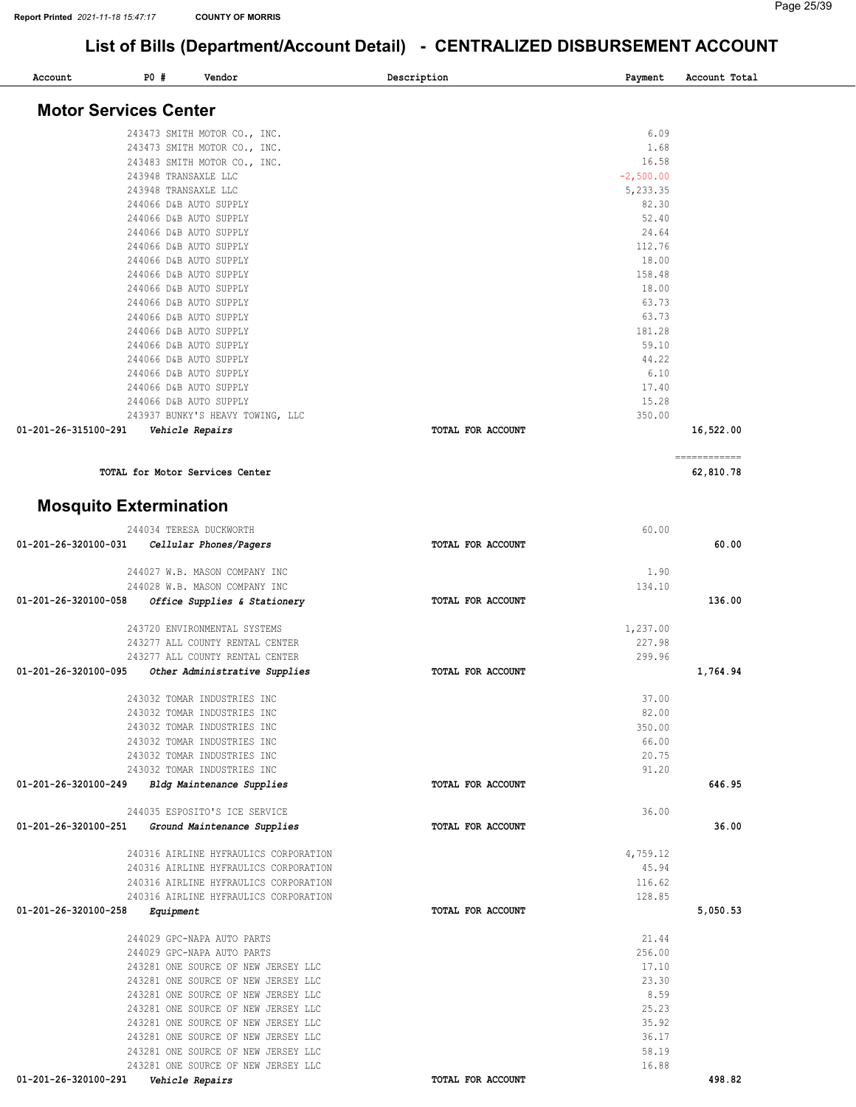| Account                       | P0# | Vendor                                | Description       | Payment     | Account Total |
|-------------------------------|-----|---------------------------------------|-------------------|-------------|---------------|
| <b>Motor Services Center</b>  |     |                                       |                   |             |               |
|                               |     | 243473 SMITH MOTOR CO., INC.          |                   | 6.09        |               |
|                               |     | 243473 SMITH MOTOR CO., INC.          |                   | 1.68        |               |
|                               |     | 243483 SMITH MOTOR CO., INC.          |                   | 16.58       |               |
|                               |     | 243948 TRANSAXLE LLC                  |                   | $-2,500.00$ |               |
|                               |     | 243948 TRANSAXLE LLC                  |                   | 5,233.35    |               |
|                               |     | 244066 D&B AUTO SUPPLY                |                   | 82.30       |               |
|                               |     |                                       |                   |             |               |
|                               |     | 244066 D&B AUTO SUPPLY                |                   | 52.40       |               |
|                               |     | 244066 D&B AUTO SUPPLY                |                   | 24.64       |               |
|                               |     | 244066 D&B AUTO SUPPLY                |                   | 112.76      |               |
|                               |     | 244066 D&B AUTO SUPPLY                |                   | 18.00       |               |
|                               |     | 244066 D&B AUTO SUPPLY                |                   | 158.48      |               |
|                               |     | 244066 D&B AUTO SUPPLY                |                   | 18.00       |               |
|                               |     | 244066 D&B AUTO SUPPLY                |                   | 63.73       |               |
|                               |     | 244066 D&B AUTO SUPPLY                |                   | 63.73       |               |
|                               |     | 244066 D&B AUTO SUPPLY                |                   | 181.28      |               |
|                               |     | 244066 D&B AUTO SUPPLY                |                   | 59.10       |               |
|                               |     | 244066 D&B AUTO SUPPLY                |                   | 44.22       |               |
|                               |     | 244066 D&B AUTO SUPPLY                |                   | 6.10        |               |
|                               |     | 244066 D&B AUTO SUPPLY                |                   | 17.40       |               |
|                               |     | 244066 D&B AUTO SUPPLY                |                   | 15.28       |               |
|                               |     | 243937 BUNKY'S HEAVY TOWING, LLC      |                   | 350.00      |               |
| 01-201-26-315100-291          |     | Vehicle Repairs                       | TOTAL FOR ACCOUNT |             | 16,522.00     |
|                               |     |                                       |                   |             | ------------  |
|                               |     | TOTAL for Motor Services Center       |                   |             | 62,810.78     |
| <b>Mosquito Extermination</b> |     |                                       |                   |             |               |
|                               |     |                                       |                   |             |               |
|                               |     | 244034 TERESA DUCKWORTH               |                   | 60.00       |               |
| 01-201-26-320100-031          |     | Cellular Phones/Pagers                | TOTAL FOR ACCOUNT |             | 60.00         |
|                               |     | 244027 W.B. MASON COMPANY INC         |                   | 1.90        |               |
|                               |     | 244028 W.B. MASON COMPANY INC         |                   | 134.10      |               |
| 01-201-26-320100-058          |     | Office Supplies & Stationery          | TOTAL FOR ACCOUNT |             | 136.00        |
|                               |     | 243720 ENVIRONMENTAL SYSTEMS          |                   | 1,237.00    |               |
|                               |     | 243277 ALL COUNTY RENTAL CENTER       |                   | 227.98      |               |
|                               |     | 243277 ALL COUNTY RENTAL CENTER       |                   | 299.96      |               |
| 01-201-26-320100-095          |     | Other Administrative Supplies         | TOTAL FOR ACCOUNT |             | 1,764.94      |
|                               |     | 243032 TOMAR INDUSTRIES INC           |                   | 37.00       |               |
|                               |     | 243032 TOMAR INDUSTRIES INC           |                   | 82.00       |               |
|                               |     | 243032 TOMAR INDUSTRIES INC           |                   |             |               |
|                               |     |                                       |                   | 350.00      |               |
|                               |     | 243032 TOMAR INDUSTRIES INC           |                   | 66.00       |               |
|                               |     | 243032 TOMAR INDUSTRIES INC           |                   | 20.75       |               |
|                               |     | 243032 TOMAR INDUSTRIES INC           |                   | 91.20       |               |
| 01-201-26-320100-249          |     | Bldg Maintenance Supplies             | TOTAL FOR ACCOUNT |             | 646.95        |
|                               |     | 244035 ESPOSITO'S ICE SERVICE         |                   | 36.00       |               |
| 01-201-26-320100-251          |     | Ground Maintenance Supplies           | TOTAL FOR ACCOUNT |             | 36.00         |
|                               |     | 240316 AIRLINE HYFRAULICS CORPORATION |                   | 4,759.12    |               |
|                               |     | 240316 AIRLINE HYFRAULICS CORPORATION |                   | 45.94       |               |
|                               |     | 240316 AIRLINE HYFRAULICS CORPORATION |                   | 116.62      |               |
|                               |     | 240316 AIRLINE HYFRAULICS CORPORATION |                   | 128.85      |               |
| 01-201-26-320100-258          |     | Equipment                             | TOTAL FOR ACCOUNT |             | 5,050.53      |
|                               |     |                                       |                   |             |               |
|                               |     | 244029 GPC-NAPA AUTO PARTS            |                   | 21.44       |               |
|                               |     | 244029 GPC-NAPA AUTO PARTS            |                   | 256.00      |               |
|                               |     | 243281 ONE SOURCE OF NEW JERSEY LLC   |                   | 17.10       |               |
|                               |     | 243281 ONE SOURCE OF NEW JERSEY LLC   |                   | 23.30       |               |
|                               |     | 243281 ONE SOURCE OF NEW JERSEY LLC   |                   | 8.59        |               |
|                               |     | 243281 ONE SOURCE OF NEW JERSEY LLC   |                   | 25.23       |               |
|                               |     | 243281 ONE SOURCE OF NEW JERSEY LLC   |                   | 35.92       |               |
|                               |     | 243281 ONE SOURCE OF NEW JERSEY LLC   |                   | 36.17       |               |
|                               |     | 243281 ONE SOURCE OF NEW JERSEY LLC   |                   | 58.19       |               |
|                               |     | 243281 ONE SOURCE OF NEW JERSEY LLC   |                   | 16.88       |               |
| 01-201-26-320100-291          |     | Vehicle Repairs                       | TOTAL FOR ACCOUNT |             | 498.82        |
|                               |     |                                       |                   |             |               |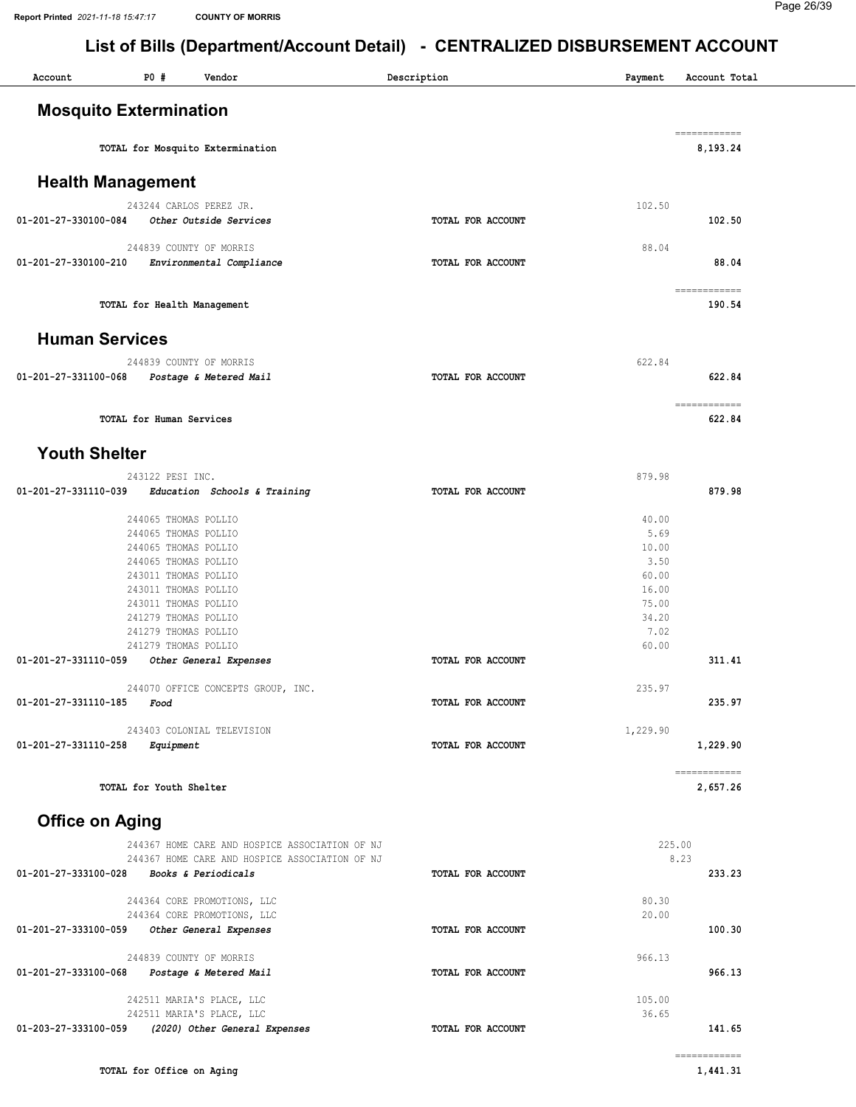| <b>PO #</b><br>Account<br>Vendor                                            | Description       | Payment        | Account Total                                                                                                                                                                                                                                                                                                                                                                                                                                                                                          |
|-----------------------------------------------------------------------------|-------------------|----------------|--------------------------------------------------------------------------------------------------------------------------------------------------------------------------------------------------------------------------------------------------------------------------------------------------------------------------------------------------------------------------------------------------------------------------------------------------------------------------------------------------------|
| <b>Mosquito Extermination</b>                                               |                   |                |                                                                                                                                                                                                                                                                                                                                                                                                                                                                                                        |
| TOTAL for Mosquito Extermination                                            |                   |                | ============<br>8,193.24                                                                                                                                                                                                                                                                                                                                                                                                                                                                               |
| <b>Health Management</b>                                                    |                   |                |                                                                                                                                                                                                                                                                                                                                                                                                                                                                                                        |
| 243244 CARLOS PEREZ JR.<br>01-201-27-330100-084<br>Other Outside Services   | TOTAL FOR ACCOUNT | 102.50         | 102.50                                                                                                                                                                                                                                                                                                                                                                                                                                                                                                 |
| 244839 COUNTY OF MORRIS<br>Environmental Compliance<br>01-201-27-330100-210 | TOTAL FOR ACCOUNT | 88.04          | 88.04                                                                                                                                                                                                                                                                                                                                                                                                                                                                                                  |
| TOTAL for Health Management                                                 |                   |                | ============<br>190.54                                                                                                                                                                                                                                                                                                                                                                                                                                                                                 |
| <b>Human Services</b>                                                       |                   |                |                                                                                                                                                                                                                                                                                                                                                                                                                                                                                                        |
| 244839 COUNTY OF MORRIS<br>01-201-27-331100-068 Postage & Metered Mail      | TOTAL FOR ACCOUNT | 622.84         | 622.84                                                                                                                                                                                                                                                                                                                                                                                                                                                                                                 |
| TOTAL for Human Services                                                    |                   |                | -------------<br>622.84                                                                                                                                                                                                                                                                                                                                                                                                                                                                                |
| <b>Youth Shelter</b>                                                        |                   |                |                                                                                                                                                                                                                                                                                                                                                                                                                                                                                                        |
| 243122 PESI INC.                                                            |                   | 879.98         |                                                                                                                                                                                                                                                                                                                                                                                                                                                                                                        |
| 01-201-27-331110-039<br>Education Schools & Training                        | TOTAL FOR ACCOUNT |                | 879.98                                                                                                                                                                                                                                                                                                                                                                                                                                                                                                 |
| 244065 THOMAS POLLIO                                                        |                   | 40.00          |                                                                                                                                                                                                                                                                                                                                                                                                                                                                                                        |
| 244065 THOMAS POLLIO                                                        |                   | 5.69           |                                                                                                                                                                                                                                                                                                                                                                                                                                                                                                        |
| 244065 THOMAS POLLIO                                                        |                   | 10.00          |                                                                                                                                                                                                                                                                                                                                                                                                                                                                                                        |
| 244065 THOMAS POLLIO                                                        |                   | 3.50           |                                                                                                                                                                                                                                                                                                                                                                                                                                                                                                        |
| 243011 THOMAS POLLIO                                                        |                   | 60.00          |                                                                                                                                                                                                                                                                                                                                                                                                                                                                                                        |
| 243011 THOMAS POLLIO                                                        |                   | 16.00          |                                                                                                                                                                                                                                                                                                                                                                                                                                                                                                        |
| 243011 THOMAS POLLIO                                                        |                   | 75.00          |                                                                                                                                                                                                                                                                                                                                                                                                                                                                                                        |
| 241279 THOMAS POLLIO                                                        |                   | 34.20          |                                                                                                                                                                                                                                                                                                                                                                                                                                                                                                        |
| 241279 THOMAS POLLIO                                                        |                   | 7.02           |                                                                                                                                                                                                                                                                                                                                                                                                                                                                                                        |
| 241279 THOMAS POLLIO<br>01-201-27-331110-059<br>Other General Expenses      | TOTAL FOR ACCOUNT | 60.00          | 311.41                                                                                                                                                                                                                                                                                                                                                                                                                                                                                                 |
|                                                                             |                   |                |                                                                                                                                                                                                                                                                                                                                                                                                                                                                                                        |
| 244070 OFFICE CONCEPTS GROUP, INC.<br>01-201-27-331110-185<br>Food          | TOTAL FOR ACCOUNT | 235.97         | 235.97                                                                                                                                                                                                                                                                                                                                                                                                                                                                                                 |
| 243403 COLONIAL TELEVISION                                                  |                   | 1,229.90       |                                                                                                                                                                                                                                                                                                                                                                                                                                                                                                        |
| 01-201-27-331110-258<br>Equipment                                           | TOTAL FOR ACCOUNT |                | 1,229.90                                                                                                                                                                                                                                                                                                                                                                                                                                                                                               |
| TOTAL for Youth Shelter                                                     |                   |                | $\begin{minipage}{0.9\linewidth} \begin{tabular}{l} \multicolumn{2}{l}{} & \multicolumn{2}{l}{} & \multicolumn{2}{l}{} \\ \multicolumn{2}{l}{} & \multicolumn{2}{l}{} & \multicolumn{2}{l}{} \\ \multicolumn{2}{l}{} & \multicolumn{2}{l}{} & \multicolumn{2}{l}{} \\ \multicolumn{2}{l}{} & \multicolumn{2}{l}{} & \multicolumn{2}{l}{} \\ \multicolumn{2}{l}{} & \multicolumn{2}{l}{} & \multicolumn{2}{l}{} \\ \multicolumn{2}{l}{} & \multicolumn{2}{l}{} & \multicolumn{2}{l}{} \\ \$<br>2,657.26 |
| <b>Office on Aging</b>                                                      |                   |                |                                                                                                                                                                                                                                                                                                                                                                                                                                                                                                        |
| 244367 HOME CARE AND HOSPICE ASSOCIATION OF NJ                              |                   | 225.00         |                                                                                                                                                                                                                                                                                                                                                                                                                                                                                                        |
| 244367 HOME CARE AND HOSPICE ASSOCIATION OF NJ                              |                   |                | 8.23                                                                                                                                                                                                                                                                                                                                                                                                                                                                                                   |
| 01-201-27-333100-028<br><i>Books &amp; Periodicals</i>                      | TOTAL FOR ACCOUNT |                | 233.23                                                                                                                                                                                                                                                                                                                                                                                                                                                                                                 |
| 244364 CORE PROMOTIONS, LLC<br>244364 CORE PROMOTIONS, LLC                  |                   | 80.30<br>20.00 |                                                                                                                                                                                                                                                                                                                                                                                                                                                                                                        |
| Other General Expenses<br>01-201-27-333100-059                              | TOTAL FOR ACCOUNT |                | 100.30                                                                                                                                                                                                                                                                                                                                                                                                                                                                                                 |
| 244839 COUNTY OF MORRIS                                                     |                   | 966.13         |                                                                                                                                                                                                                                                                                                                                                                                                                                                                                                        |
| 01-201-27-333100-068<br>Postage & Metered Mail                              | TOTAL FOR ACCOUNT |                | 966.13                                                                                                                                                                                                                                                                                                                                                                                                                                                                                                 |
| 242511 MARIA'S PLACE, LLC                                                   |                   | 105.00         |                                                                                                                                                                                                                                                                                                                                                                                                                                                                                                        |
| 242511 MARIA'S PLACE, LLC                                                   |                   | 36.65          |                                                                                                                                                                                                                                                                                                                                                                                                                                                                                                        |
| (2020) Other General Expenses<br>01-203-27-333100-059                       | TOTAL FOR ACCOUNT |                | 141.65                                                                                                                                                                                                                                                                                                                                                                                                                                                                                                 |
|                                                                             |                   |                | $\begin{array}{cccccccccc} \multicolumn{2}{c}{} & \multicolumn{2}{c}{} & \multicolumn{2}{c}{} & \multicolumn{2}{c}{} & \multicolumn{2}{c}{} & \multicolumn{2}{c}{} & \multicolumn{2}{c}{} & \multicolumn{2}{c}{} & \multicolumn{2}{c}{} & \multicolumn{2}{c}{} & \multicolumn{2}{c}{} & \multicolumn{2}{c}{} & \multicolumn{2}{c}{} & \multicolumn{2}{c}{} & \multicolumn{2}{c}{} & \multicolumn{2}{c}{} & \multicolumn{2}{c}{} & \multicolumn{2}{c}{} & \multicolumn{2}{c}{} & \mult$                 |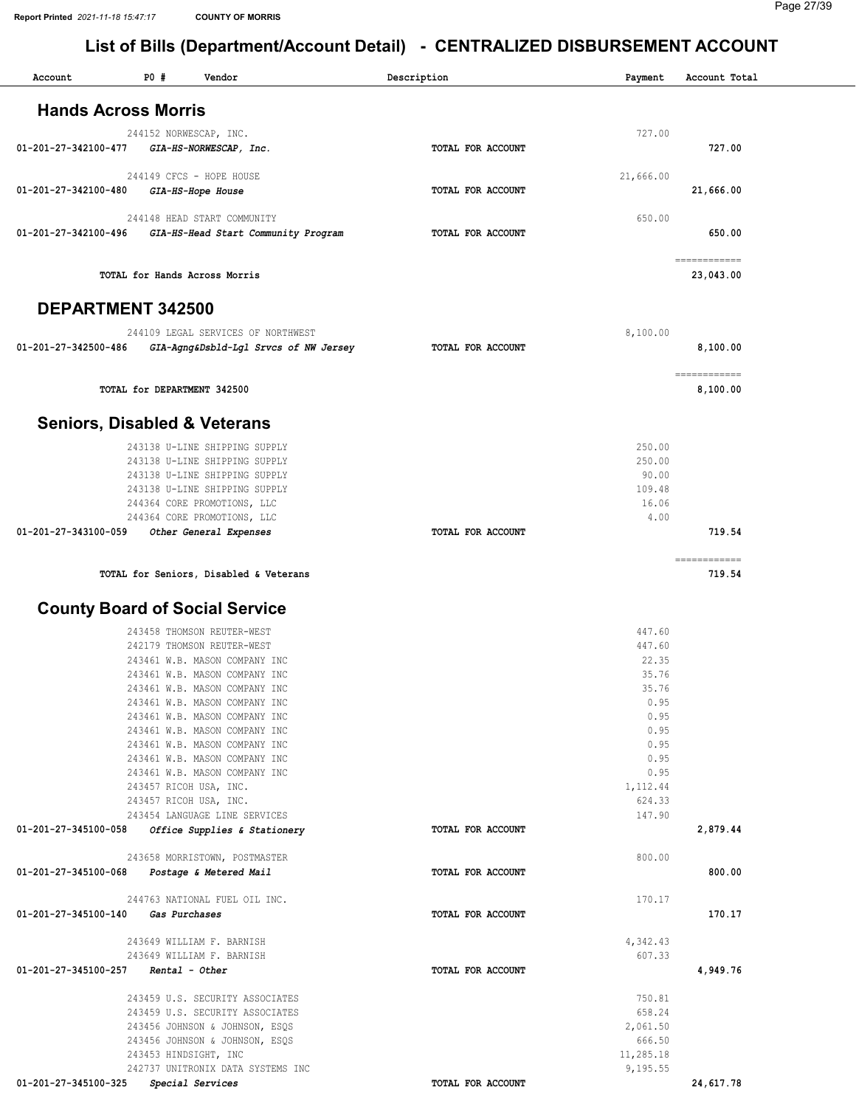| Account                               | <b>PO #</b><br>Vendor                                             | Description       | Payment            | Account Total             |
|---------------------------------------|-------------------------------------------------------------------|-------------------|--------------------|---------------------------|
| <b>Hands Across Morris</b>            |                                                                   |                   |                    |                           |
|                                       |                                                                   |                   | 727.00             |                           |
| 01-201-27-342100-477                  | 244152 NORWESCAP, INC.<br>GIA-HS-NORWESCAP, Inc.                  | TOTAL FOR ACCOUNT |                    | 727.00                    |
|                                       | 244149 CFCS - HOPE HOUSE                                          |                   | 21,666.00          |                           |
| 01-201-27-342100-480                  | GIA-HS-Hope House                                                 | TOTAL FOR ACCOUNT |                    | 21,666.00                 |
|                                       | 244148 HEAD START COMMUNITY                                       |                   | 650.00             |                           |
| 01-201-27-342100-496                  | GIA-HS-Head Start Community Program                               | TOTAL FOR ACCOUNT |                    | 650.00                    |
|                                       | TOTAL for Hands Across Morris                                     |                   |                    | ============<br>23,043.00 |
| <b>DEPARTMENT 342500</b>              |                                                                   |                   |                    |                           |
|                                       |                                                                   |                   |                    |                           |
|                                       | 244109 LEGAL SERVICES OF NORTHWEST                                |                   | 8,100.00           |                           |
| 01-201-27-342500-486                  | GIA-Agng&Dsbld-Lgl Srvcs of NW Jersey                             | TOTAL FOR ACCOUNT |                    | 8,100.00                  |
|                                       | TOTAL for DEPARTMENT 342500                                       |                   |                    | ============<br>8,100.00  |
|                                       |                                                                   |                   |                    |                           |
|                                       | <b>Seniors, Disabled &amp; Veterans</b>                           |                   |                    |                           |
|                                       | 243138 U-LINE SHIPPING SUPPLY                                     |                   | 250.00             |                           |
|                                       | 243138 U-LINE SHIPPING SUPPLY                                     |                   | 250.00             |                           |
|                                       | 243138 U-LINE SHIPPING SUPPLY                                     |                   | 90.00              |                           |
|                                       | 243138 U-LINE SHIPPING SUPPLY                                     |                   | 109.48<br>16.06    |                           |
|                                       | 244364 CORE PROMOTIONS, LLC<br>244364 CORE PROMOTIONS, LLC        |                   | 4.00               |                           |
| 01-201-27-343100-059                  | Other General Expenses                                            | TOTAL FOR ACCOUNT |                    | 719.54                    |
|                                       |                                                                   |                   |                    | ============              |
|                                       | TOTAL for Seniors, Disabled & Veterans                            |                   |                    | 719.54                    |
|                                       | <b>County Board of Social Service</b>                             |                   |                    |                           |
|                                       |                                                                   |                   |                    |                           |
|                                       | 243458 THOMSON REUTER-WEST<br>242179 THOMSON REUTER-WEST          |                   | 447.60<br>447.60   |                           |
|                                       | 243461 W.B. MASON COMPANY INC                                     |                   | 22.35              |                           |
|                                       | 243461 W.B. MASON COMPANY INC                                     |                   | 35.76              |                           |
|                                       | 243461 W.B. MASON COMPANY INC                                     |                   | 35.76              |                           |
|                                       | 243461 W.B. MASON COMPANY INC                                     |                   | 0.95               |                           |
|                                       | 243461 W.B. MASON COMPANY INC                                     |                   | 0.95               |                           |
|                                       | 243461 W.B. MASON COMPANY INC<br>243461 W.B. MASON COMPANY INC    |                   | 0.95<br>0.95       |                           |
|                                       | 243461 W.B. MASON COMPANY INC                                     |                   | 0.95               |                           |
|                                       | 243461 W.B. MASON COMPANY INC                                     |                   | 0.95               |                           |
|                                       | 243457 RICOH USA, INC.                                            |                   | 1,112.44           |                           |
|                                       | 243457 RICOH USA, INC.                                            |                   | 624.33             |                           |
| 01-201-27-345100-058                  | 243454 LANGUAGE LINE SERVICES<br>Office Supplies & Stationery     | TOTAL FOR ACCOUNT | 147.90             | 2,879.44                  |
|                                       |                                                                   |                   |                    |                           |
|                                       | 243658 MORRISTOWN, POSTMASTER                                     |                   | 800.00             |                           |
| 01-201-27-345100-068                  | Postage & Metered Mail                                            | TOTAL FOR ACCOUNT |                    | 800.00                    |
|                                       | 244763 NATIONAL FUEL OIL INC.                                     |                   | 170.17             |                           |
| 01-201-27-345100-140                  | Gas Purchases                                                     | TOTAL FOR ACCOUNT |                    | 170.17                    |
|                                       | 243649 WILLIAM F. BARNISH                                         |                   | 4,342.43           |                           |
| $01-201-27-345100-257$ Rental - Other | 243649 WILLIAM F. BARNISH                                         | TOTAL FOR ACCOUNT | 607.33             | 4,949.76                  |
|                                       |                                                                   |                   |                    |                           |
|                                       | 243459 U.S. SECURITY ASSOCIATES                                   |                   | 750.81             |                           |
|                                       | 243459 U.S. SECURITY ASSOCIATES<br>243456 JOHNSON & JOHNSON, ESQS |                   | 658.24<br>2,061.50 |                           |
|                                       | 243456 JOHNSON & JOHNSON, ESQS                                    |                   | 666.50             |                           |
|                                       | 243453 HINDSIGHT, INC                                             |                   | 11,285.18          |                           |
|                                       | 242737 UNITRONIX DATA SYSTEMS INC                                 |                   | 9,195.55           |                           |
| 01-201-27-345100-325                  | Special Services                                                  | TOTAL FOR ACCOUNT |                    | 24,617.78                 |
|                                       |                                                                   |                   |                    |                           |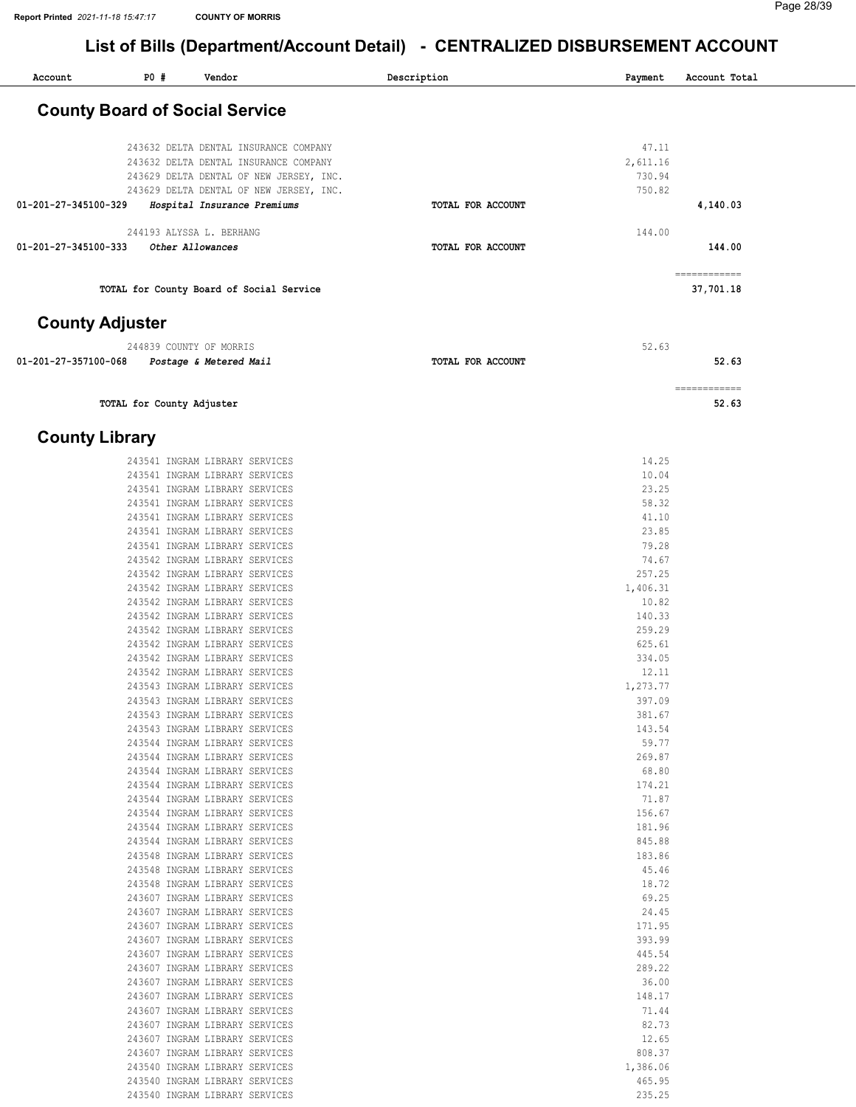| Account                | PO# | Vendor                                   | Description       | Payment  | Account Total            |
|------------------------|-----|------------------------------------------|-------------------|----------|--------------------------|
|                        |     | <b>County Board of Social Service</b>    |                   |          |                          |
|                        |     |                                          |                   |          |                          |
|                        |     | 243632 DELTA DENTAL INSURANCE COMPANY    |                   | 47.11    |                          |
|                        |     | 243632 DELTA DENTAL INSURANCE COMPANY    |                   | 2,611.16 |                          |
|                        |     | 243629 DELTA DENTAL OF NEW JERSEY, INC.  |                   | 730.94   |                          |
|                        |     | 243629 DELTA DENTAL OF NEW JERSEY, INC.  |                   | 750.82   |                          |
| 01-201-27-345100-329   |     | Hospital Insurance Premiums              | TOTAL FOR ACCOUNT |          | 4,140.03                 |
|                        |     | 244193 ALYSSA L. BERHANG                 |                   | 144.00   |                          |
| 01-201-27-345100-333   |     | Other Allowances                         | TOTAL FOR ACCOUNT |          | 144.00                   |
|                        |     | TOTAL for County Board of Social Service |                   |          | ===========<br>37,701.18 |
| <b>County Adjuster</b> |     |                                          |                   |          |                          |
|                        |     | 244839 COUNTY OF MORRIS                  |                   | 52.63    |                          |
| 01-201-27-357100-068   |     | Postage & Metered Mail                   | TOTAL FOR ACCOUNT |          | 52.63                    |

TOTAL for County Adjuster 52.63

#### County Library

| 243541 INGRAM LIBRARY SERVICES<br>14.25<br>10.04<br>243541 INGRAM LIBRARY SERVICES<br>243541 INGRAM LIBRARY SERVICES<br>23.25<br>243541 INGRAM LIBRARY SERVICES<br>58.32<br>243541 INGRAM LIBRARY SERVICES<br>41.10<br>243541 INGRAM LIBRARY SERVICES<br>23.85<br>79.28<br>243541 INGRAM LIBRARY SERVICES<br>243542 INGRAM LIBRARY SERVICES<br>74.67<br>257.25<br>243542 INGRAM LIBRARY SERVICES<br>243542 INGRAM LIBRARY SERVICES<br>1,406.31<br>10.82<br>243542 INGRAM LIBRARY SERVICES<br>243542 INGRAM LIBRARY SERVICES<br>140.33<br>243542 INGRAM LIBRARY SERVICES<br>259.29<br>243542 INGRAM LIBRARY SERVICES<br>625.61<br>243542 INGRAM LIBRARY SERVICES<br>334.05<br>12.11<br>243542 INGRAM LIBRARY SERVICES<br>243543 INGRAM LIBRARY SERVICES<br>1,273.77<br>243543 INGRAM LIBRARY SERVICES<br>397.09<br>243543 INGRAM LIBRARY SERVICES<br>381.67<br>243543 INGRAM LIBRARY SERVICES<br>143.54<br>243544 INGRAM LIBRARY SERVICES<br>59.77<br>243544 INGRAM LIBRARY SERVICES<br>269.87<br>243544 INGRAM LIBRARY SERVICES<br>68.80<br>243544 INGRAM LIBRARY SERVICES<br>174.21<br>243544 INGRAM LIBRARY SERVICES<br>71.87<br>156.67<br>243544 INGRAM LIBRARY SERVICES<br>243544 INGRAM LIBRARY SERVICES<br>181.96<br>243544 INGRAM LIBRARY SERVICES<br>845.88<br>243548 INGRAM LIBRARY SERVICES<br>183.86<br>243548 INGRAM LIBRARY SERVICES<br>45.46<br>18.72<br>243548 INGRAM LIBRARY SERVICES<br>243607 INGRAM LIBRARY SERVICES<br>69.25<br>243607 INGRAM LIBRARY SERVICES<br>24.45<br>243607 INGRAM LIBRARY SERVICES<br>171.95<br>243607 INGRAM LIBRARY SERVICES<br>393.99<br>243607 INGRAM LIBRARY SERVICES<br>445.54<br>243607 INGRAM LIBRARY SERVICES<br>289.22<br>243607 INGRAM LIBRARY SERVICES<br>36.00<br>243607 INGRAM LIBRARY SERVICES<br>148.17<br>243607 INGRAM LIBRARY SERVICES<br>71.44<br>243607 INGRAM LIBRARY SERVICES<br>82.73<br>243607 INGRAM LIBRARY SERVICES<br>12.65<br>243607 INGRAM LIBRARY SERVICES<br>808.37<br>243540 INGRAM LIBRARY SERVICES<br>1,386.06<br>243540 INGRAM LIBRARY SERVICES<br>465.95<br>243540 INGRAM LIBRARY SERVICES<br>235.25 |  |  |
|---------------------------------------------------------------------------------------------------------------------------------------------------------------------------------------------------------------------------------------------------------------------------------------------------------------------------------------------------------------------------------------------------------------------------------------------------------------------------------------------------------------------------------------------------------------------------------------------------------------------------------------------------------------------------------------------------------------------------------------------------------------------------------------------------------------------------------------------------------------------------------------------------------------------------------------------------------------------------------------------------------------------------------------------------------------------------------------------------------------------------------------------------------------------------------------------------------------------------------------------------------------------------------------------------------------------------------------------------------------------------------------------------------------------------------------------------------------------------------------------------------------------------------------------------------------------------------------------------------------------------------------------------------------------------------------------------------------------------------------------------------------------------------------------------------------------------------------------------------------------------------------------------------------------------------------------------------------------------------------------------------------------------------------------------------------------------------------|--|--|
|                                                                                                                                                                                                                                                                                                                                                                                                                                                                                                                                                                                                                                                                                                                                                                                                                                                                                                                                                                                                                                                                                                                                                                                                                                                                                                                                                                                                                                                                                                                                                                                                                                                                                                                                                                                                                                                                                                                                                                                                                                                                                       |  |  |
|                                                                                                                                                                                                                                                                                                                                                                                                                                                                                                                                                                                                                                                                                                                                                                                                                                                                                                                                                                                                                                                                                                                                                                                                                                                                                                                                                                                                                                                                                                                                                                                                                                                                                                                                                                                                                                                                                                                                                                                                                                                                                       |  |  |
|                                                                                                                                                                                                                                                                                                                                                                                                                                                                                                                                                                                                                                                                                                                                                                                                                                                                                                                                                                                                                                                                                                                                                                                                                                                                                                                                                                                                                                                                                                                                                                                                                                                                                                                                                                                                                                                                                                                                                                                                                                                                                       |  |  |
|                                                                                                                                                                                                                                                                                                                                                                                                                                                                                                                                                                                                                                                                                                                                                                                                                                                                                                                                                                                                                                                                                                                                                                                                                                                                                                                                                                                                                                                                                                                                                                                                                                                                                                                                                                                                                                                                                                                                                                                                                                                                                       |  |  |
|                                                                                                                                                                                                                                                                                                                                                                                                                                                                                                                                                                                                                                                                                                                                                                                                                                                                                                                                                                                                                                                                                                                                                                                                                                                                                                                                                                                                                                                                                                                                                                                                                                                                                                                                                                                                                                                                                                                                                                                                                                                                                       |  |  |
|                                                                                                                                                                                                                                                                                                                                                                                                                                                                                                                                                                                                                                                                                                                                                                                                                                                                                                                                                                                                                                                                                                                                                                                                                                                                                                                                                                                                                                                                                                                                                                                                                                                                                                                                                                                                                                                                                                                                                                                                                                                                                       |  |  |
|                                                                                                                                                                                                                                                                                                                                                                                                                                                                                                                                                                                                                                                                                                                                                                                                                                                                                                                                                                                                                                                                                                                                                                                                                                                                                                                                                                                                                                                                                                                                                                                                                                                                                                                                                                                                                                                                                                                                                                                                                                                                                       |  |  |
|                                                                                                                                                                                                                                                                                                                                                                                                                                                                                                                                                                                                                                                                                                                                                                                                                                                                                                                                                                                                                                                                                                                                                                                                                                                                                                                                                                                                                                                                                                                                                                                                                                                                                                                                                                                                                                                                                                                                                                                                                                                                                       |  |  |
|                                                                                                                                                                                                                                                                                                                                                                                                                                                                                                                                                                                                                                                                                                                                                                                                                                                                                                                                                                                                                                                                                                                                                                                                                                                                                                                                                                                                                                                                                                                                                                                                                                                                                                                                                                                                                                                                                                                                                                                                                                                                                       |  |  |
|                                                                                                                                                                                                                                                                                                                                                                                                                                                                                                                                                                                                                                                                                                                                                                                                                                                                                                                                                                                                                                                                                                                                                                                                                                                                                                                                                                                                                                                                                                                                                                                                                                                                                                                                                                                                                                                                                                                                                                                                                                                                                       |  |  |
|                                                                                                                                                                                                                                                                                                                                                                                                                                                                                                                                                                                                                                                                                                                                                                                                                                                                                                                                                                                                                                                                                                                                                                                                                                                                                                                                                                                                                                                                                                                                                                                                                                                                                                                                                                                                                                                                                                                                                                                                                                                                                       |  |  |
|                                                                                                                                                                                                                                                                                                                                                                                                                                                                                                                                                                                                                                                                                                                                                                                                                                                                                                                                                                                                                                                                                                                                                                                                                                                                                                                                                                                                                                                                                                                                                                                                                                                                                                                                                                                                                                                                                                                                                                                                                                                                                       |  |  |
|                                                                                                                                                                                                                                                                                                                                                                                                                                                                                                                                                                                                                                                                                                                                                                                                                                                                                                                                                                                                                                                                                                                                                                                                                                                                                                                                                                                                                                                                                                                                                                                                                                                                                                                                                                                                                                                                                                                                                                                                                                                                                       |  |  |
|                                                                                                                                                                                                                                                                                                                                                                                                                                                                                                                                                                                                                                                                                                                                                                                                                                                                                                                                                                                                                                                                                                                                                                                                                                                                                                                                                                                                                                                                                                                                                                                                                                                                                                                                                                                                                                                                                                                                                                                                                                                                                       |  |  |
|                                                                                                                                                                                                                                                                                                                                                                                                                                                                                                                                                                                                                                                                                                                                                                                                                                                                                                                                                                                                                                                                                                                                                                                                                                                                                                                                                                                                                                                                                                                                                                                                                                                                                                                                                                                                                                                                                                                                                                                                                                                                                       |  |  |
|                                                                                                                                                                                                                                                                                                                                                                                                                                                                                                                                                                                                                                                                                                                                                                                                                                                                                                                                                                                                                                                                                                                                                                                                                                                                                                                                                                                                                                                                                                                                                                                                                                                                                                                                                                                                                                                                                                                                                                                                                                                                                       |  |  |
|                                                                                                                                                                                                                                                                                                                                                                                                                                                                                                                                                                                                                                                                                                                                                                                                                                                                                                                                                                                                                                                                                                                                                                                                                                                                                                                                                                                                                                                                                                                                                                                                                                                                                                                                                                                                                                                                                                                                                                                                                                                                                       |  |  |
|                                                                                                                                                                                                                                                                                                                                                                                                                                                                                                                                                                                                                                                                                                                                                                                                                                                                                                                                                                                                                                                                                                                                                                                                                                                                                                                                                                                                                                                                                                                                                                                                                                                                                                                                                                                                                                                                                                                                                                                                                                                                                       |  |  |
|                                                                                                                                                                                                                                                                                                                                                                                                                                                                                                                                                                                                                                                                                                                                                                                                                                                                                                                                                                                                                                                                                                                                                                                                                                                                                                                                                                                                                                                                                                                                                                                                                                                                                                                                                                                                                                                                                                                                                                                                                                                                                       |  |  |
|                                                                                                                                                                                                                                                                                                                                                                                                                                                                                                                                                                                                                                                                                                                                                                                                                                                                                                                                                                                                                                                                                                                                                                                                                                                                                                                                                                                                                                                                                                                                                                                                                                                                                                                                                                                                                                                                                                                                                                                                                                                                                       |  |  |
|                                                                                                                                                                                                                                                                                                                                                                                                                                                                                                                                                                                                                                                                                                                                                                                                                                                                                                                                                                                                                                                                                                                                                                                                                                                                                                                                                                                                                                                                                                                                                                                                                                                                                                                                                                                                                                                                                                                                                                                                                                                                                       |  |  |
|                                                                                                                                                                                                                                                                                                                                                                                                                                                                                                                                                                                                                                                                                                                                                                                                                                                                                                                                                                                                                                                                                                                                                                                                                                                                                                                                                                                                                                                                                                                                                                                                                                                                                                                                                                                                                                                                                                                                                                                                                                                                                       |  |  |
|                                                                                                                                                                                                                                                                                                                                                                                                                                                                                                                                                                                                                                                                                                                                                                                                                                                                                                                                                                                                                                                                                                                                                                                                                                                                                                                                                                                                                                                                                                                                                                                                                                                                                                                                                                                                                                                                                                                                                                                                                                                                                       |  |  |
|                                                                                                                                                                                                                                                                                                                                                                                                                                                                                                                                                                                                                                                                                                                                                                                                                                                                                                                                                                                                                                                                                                                                                                                                                                                                                                                                                                                                                                                                                                                                                                                                                                                                                                                                                                                                                                                                                                                                                                                                                                                                                       |  |  |
|                                                                                                                                                                                                                                                                                                                                                                                                                                                                                                                                                                                                                                                                                                                                                                                                                                                                                                                                                                                                                                                                                                                                                                                                                                                                                                                                                                                                                                                                                                                                                                                                                                                                                                                                                                                                                                                                                                                                                                                                                                                                                       |  |  |
|                                                                                                                                                                                                                                                                                                                                                                                                                                                                                                                                                                                                                                                                                                                                                                                                                                                                                                                                                                                                                                                                                                                                                                                                                                                                                                                                                                                                                                                                                                                                                                                                                                                                                                                                                                                                                                                                                                                                                                                                                                                                                       |  |  |
|                                                                                                                                                                                                                                                                                                                                                                                                                                                                                                                                                                                                                                                                                                                                                                                                                                                                                                                                                                                                                                                                                                                                                                                                                                                                                                                                                                                                                                                                                                                                                                                                                                                                                                                                                                                                                                                                                                                                                                                                                                                                                       |  |  |
|                                                                                                                                                                                                                                                                                                                                                                                                                                                                                                                                                                                                                                                                                                                                                                                                                                                                                                                                                                                                                                                                                                                                                                                                                                                                                                                                                                                                                                                                                                                                                                                                                                                                                                                                                                                                                                                                                                                                                                                                                                                                                       |  |  |
|                                                                                                                                                                                                                                                                                                                                                                                                                                                                                                                                                                                                                                                                                                                                                                                                                                                                                                                                                                                                                                                                                                                                                                                                                                                                                                                                                                                                                                                                                                                                                                                                                                                                                                                                                                                                                                                                                                                                                                                                                                                                                       |  |  |
|                                                                                                                                                                                                                                                                                                                                                                                                                                                                                                                                                                                                                                                                                                                                                                                                                                                                                                                                                                                                                                                                                                                                                                                                                                                                                                                                                                                                                                                                                                                                                                                                                                                                                                                                                                                                                                                                                                                                                                                                                                                                                       |  |  |
|                                                                                                                                                                                                                                                                                                                                                                                                                                                                                                                                                                                                                                                                                                                                                                                                                                                                                                                                                                                                                                                                                                                                                                                                                                                                                                                                                                                                                                                                                                                                                                                                                                                                                                                                                                                                                                                                                                                                                                                                                                                                                       |  |  |
|                                                                                                                                                                                                                                                                                                                                                                                                                                                                                                                                                                                                                                                                                                                                                                                                                                                                                                                                                                                                                                                                                                                                                                                                                                                                                                                                                                                                                                                                                                                                                                                                                                                                                                                                                                                                                                                                                                                                                                                                                                                                                       |  |  |
|                                                                                                                                                                                                                                                                                                                                                                                                                                                                                                                                                                                                                                                                                                                                                                                                                                                                                                                                                                                                                                                                                                                                                                                                                                                                                                                                                                                                                                                                                                                                                                                                                                                                                                                                                                                                                                                                                                                                                                                                                                                                                       |  |  |
|                                                                                                                                                                                                                                                                                                                                                                                                                                                                                                                                                                                                                                                                                                                                                                                                                                                                                                                                                                                                                                                                                                                                                                                                                                                                                                                                                                                                                                                                                                                                                                                                                                                                                                                                                                                                                                                                                                                                                                                                                                                                                       |  |  |
|                                                                                                                                                                                                                                                                                                                                                                                                                                                                                                                                                                                                                                                                                                                                                                                                                                                                                                                                                                                                                                                                                                                                                                                                                                                                                                                                                                                                                                                                                                                                                                                                                                                                                                                                                                                                                                                                                                                                                                                                                                                                                       |  |  |
|                                                                                                                                                                                                                                                                                                                                                                                                                                                                                                                                                                                                                                                                                                                                                                                                                                                                                                                                                                                                                                                                                                                                                                                                                                                                                                                                                                                                                                                                                                                                                                                                                                                                                                                                                                                                                                                                                                                                                                                                                                                                                       |  |  |
|                                                                                                                                                                                                                                                                                                                                                                                                                                                                                                                                                                                                                                                                                                                                                                                                                                                                                                                                                                                                                                                                                                                                                                                                                                                                                                                                                                                                                                                                                                                                                                                                                                                                                                                                                                                                                                                                                                                                                                                                                                                                                       |  |  |
|                                                                                                                                                                                                                                                                                                                                                                                                                                                                                                                                                                                                                                                                                                                                                                                                                                                                                                                                                                                                                                                                                                                                                                                                                                                                                                                                                                                                                                                                                                                                                                                                                                                                                                                                                                                                                                                                                                                                                                                                                                                                                       |  |  |
|                                                                                                                                                                                                                                                                                                                                                                                                                                                                                                                                                                                                                                                                                                                                                                                                                                                                                                                                                                                                                                                                                                                                                                                                                                                                                                                                                                                                                                                                                                                                                                                                                                                                                                                                                                                                                                                                                                                                                                                                                                                                                       |  |  |
|                                                                                                                                                                                                                                                                                                                                                                                                                                                                                                                                                                                                                                                                                                                                                                                                                                                                                                                                                                                                                                                                                                                                                                                                                                                                                                                                                                                                                                                                                                                                                                                                                                                                                                                                                                                                                                                                                                                                                                                                                                                                                       |  |  |
|                                                                                                                                                                                                                                                                                                                                                                                                                                                                                                                                                                                                                                                                                                                                                                                                                                                                                                                                                                                                                                                                                                                                                                                                                                                                                                                                                                                                                                                                                                                                                                                                                                                                                                                                                                                                                                                                                                                                                                                                                                                                                       |  |  |
|                                                                                                                                                                                                                                                                                                                                                                                                                                                                                                                                                                                                                                                                                                                                                                                                                                                                                                                                                                                                                                                                                                                                                                                                                                                                                                                                                                                                                                                                                                                                                                                                                                                                                                                                                                                                                                                                                                                                                                                                                                                                                       |  |  |
|                                                                                                                                                                                                                                                                                                                                                                                                                                                                                                                                                                                                                                                                                                                                                                                                                                                                                                                                                                                                                                                                                                                                                                                                                                                                                                                                                                                                                                                                                                                                                                                                                                                                                                                                                                                                                                                                                                                                                                                                                                                                                       |  |  |
|                                                                                                                                                                                                                                                                                                                                                                                                                                                                                                                                                                                                                                                                                                                                                                                                                                                                                                                                                                                                                                                                                                                                                                                                                                                                                                                                                                                                                                                                                                                                                                                                                                                                                                                                                                                                                                                                                                                                                                                                                                                                                       |  |  |
|                                                                                                                                                                                                                                                                                                                                                                                                                                                                                                                                                                                                                                                                                                                                                                                                                                                                                                                                                                                                                                                                                                                                                                                                                                                                                                                                                                                                                                                                                                                                                                                                                                                                                                                                                                                                                                                                                                                                                                                                                                                                                       |  |  |
|                                                                                                                                                                                                                                                                                                                                                                                                                                                                                                                                                                                                                                                                                                                                                                                                                                                                                                                                                                                                                                                                                                                                                                                                                                                                                                                                                                                                                                                                                                                                                                                                                                                                                                                                                                                                                                                                                                                                                                                                                                                                                       |  |  |
|                                                                                                                                                                                                                                                                                                                                                                                                                                                                                                                                                                                                                                                                                                                                                                                                                                                                                                                                                                                                                                                                                                                                                                                                                                                                                                                                                                                                                                                                                                                                                                                                                                                                                                                                                                                                                                                                                                                                                                                                                                                                                       |  |  |

============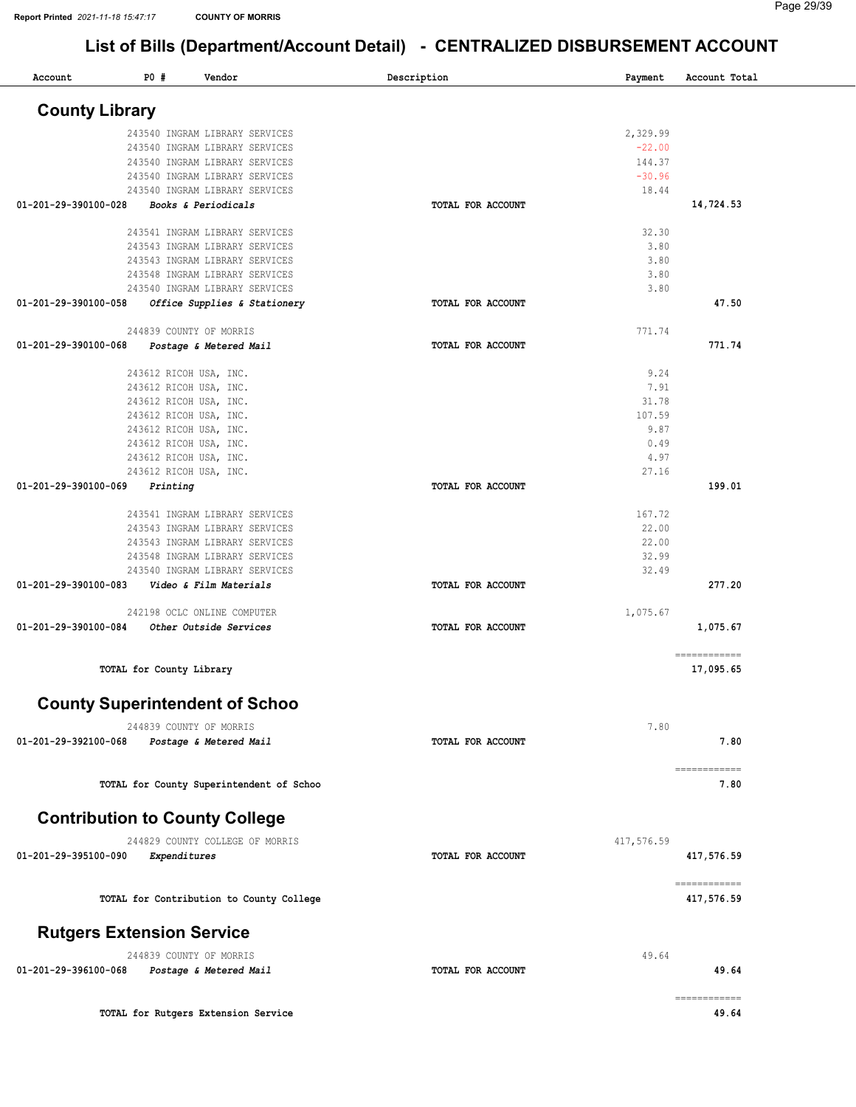| Account                               | P0#                      | Vendor                                   | Description       | Payment    | Account Total              |
|---------------------------------------|--------------------------|------------------------------------------|-------------------|------------|----------------------------|
| <b>County Library</b>                 |                          |                                          |                   |            |                            |
|                                       |                          | 243540 INGRAM LIBRARY SERVICES           |                   | 2,329.99   |                            |
|                                       |                          | 243540 INGRAM LIBRARY SERVICES           |                   | $-22.00$   |                            |
|                                       |                          | 243540 INGRAM LIBRARY SERVICES           |                   | 144.37     |                            |
|                                       |                          | 243540 INGRAM LIBRARY SERVICES           |                   | $-30.96$   |                            |
|                                       |                          | 243540 INGRAM LIBRARY SERVICES           |                   | 18.44      |                            |
| 01-201-29-390100-028                  |                          | Books & Periodicals                      | TOTAL FOR ACCOUNT |            | 14,724.53                  |
|                                       |                          | 243541 INGRAM LIBRARY SERVICES           |                   | 32.30      |                            |
|                                       |                          | 243543 INGRAM LIBRARY SERVICES           |                   | 3.80       |                            |
|                                       |                          | 243543 INGRAM LIBRARY SERVICES           |                   | 3.80       |                            |
|                                       |                          | 243548 INGRAM LIBRARY SERVICES           |                   | 3.80       |                            |
|                                       |                          | 243540 INGRAM LIBRARY SERVICES           |                   | 3.80       |                            |
| 01-201-29-390100-058                  |                          | Office Supplies & Stationery             | TOTAL FOR ACCOUNT |            | 47.50                      |
|                                       | 244839 COUNTY OF MORRIS  |                                          |                   | 771.74     |                            |
| 01-201-29-390100-068                  |                          | Postage & Metered Mail                   | TOTAL FOR ACCOUNT |            | 771.74                     |
|                                       | 243612 RICOH USA, INC.   |                                          |                   | 9.24       |                            |
|                                       | 243612 RICOH USA, INC.   |                                          |                   | 7.91       |                            |
|                                       | 243612 RICOH USA, INC.   |                                          |                   | 31.78      |                            |
|                                       | 243612 RICOH USA, INC.   |                                          |                   | 107.59     |                            |
|                                       | 243612 RICOH USA, INC.   |                                          |                   | 9.87       |                            |
|                                       | 243612 RICOH USA, INC.   |                                          |                   | 0.49       |                            |
|                                       | 243612 RICOH USA, INC.   |                                          |                   | 4.97       |                            |
|                                       | 243612 RICOH USA, INC.   |                                          |                   | 27.16      |                            |
| 01-201-29-390100-069                  | Printing                 |                                          | TOTAL FOR ACCOUNT |            | 199.01                     |
|                                       |                          | 243541 INGRAM LIBRARY SERVICES           |                   | 167.72     |                            |
|                                       |                          | 243543 INGRAM LIBRARY SERVICES           |                   | 22.00      |                            |
|                                       |                          | 243543 INGRAM LIBRARY SERVICES           |                   | 22.00      |                            |
|                                       |                          | 243548 INGRAM LIBRARY SERVICES           |                   | 32.99      |                            |
|                                       |                          | 243540 INGRAM LIBRARY SERVICES           |                   | 32.49      |                            |
| 01-201-29-390100-083                  |                          | Video & Film Materials                   | TOTAL FOR ACCOUNT |            | 277.20                     |
|                                       |                          | 242198 OCLC ONLINE COMPUTER              |                   | 1,075.67   |                            |
| 01-201-29-390100-084                  |                          | <i><b>Other Outside Services</b></i>     | TOTAL FOR ACCOUNT |            | 1,075.67                   |
|                                       | TOTAL for County Library |                                          |                   |            | ============<br>17,095.65  |
|                                       |                          |                                          |                   |            |                            |
|                                       |                          | <b>County Superintendent of Schoo</b>    |                   |            |                            |
|                                       | 244839 COUNTY OF MORRIS  |                                          | TOTAL FOR ACCOUNT | 7.80       | 7.80                       |
| 01-201-29-392100-068                  |                          | Postage & Metered Mail                   |                   |            |                            |
|                                       |                          | TOTAL for County Superintendent of Schoo |                   |            | ------------<br>7.80       |
| <b>Contribution to County College</b> |                          |                                          |                   |            |                            |
|                                       |                          | 244829 COUNTY COLLEGE OF MORRIS          |                   | 417,576.59 |                            |
|                                       |                          |                                          |                   |            |                            |
| 01-201-29-395100-090                  | <b>Expenditures</b>      |                                          | TOTAL FOR ACCOUNT |            | 417,576.59                 |
|                                       |                          | TOTAL for Contribution to County College |                   |            | ============<br>417,576.59 |
| <b>Rutgers Extension Service</b>      |                          |                                          |                   |            |                            |
|                                       |                          |                                          |                   | 49.64      |                            |
| 01-201-29-396100-068                  | 244839 COUNTY OF MORRIS  | Postage & Metered Mail                   | TOTAL FOR ACCOUNT |            | 49.64                      |
|                                       |                          |                                          |                   |            | ============               |
|                                       |                          | TOTAL for Rutgers Extension Service      |                   |            | 49.64                      |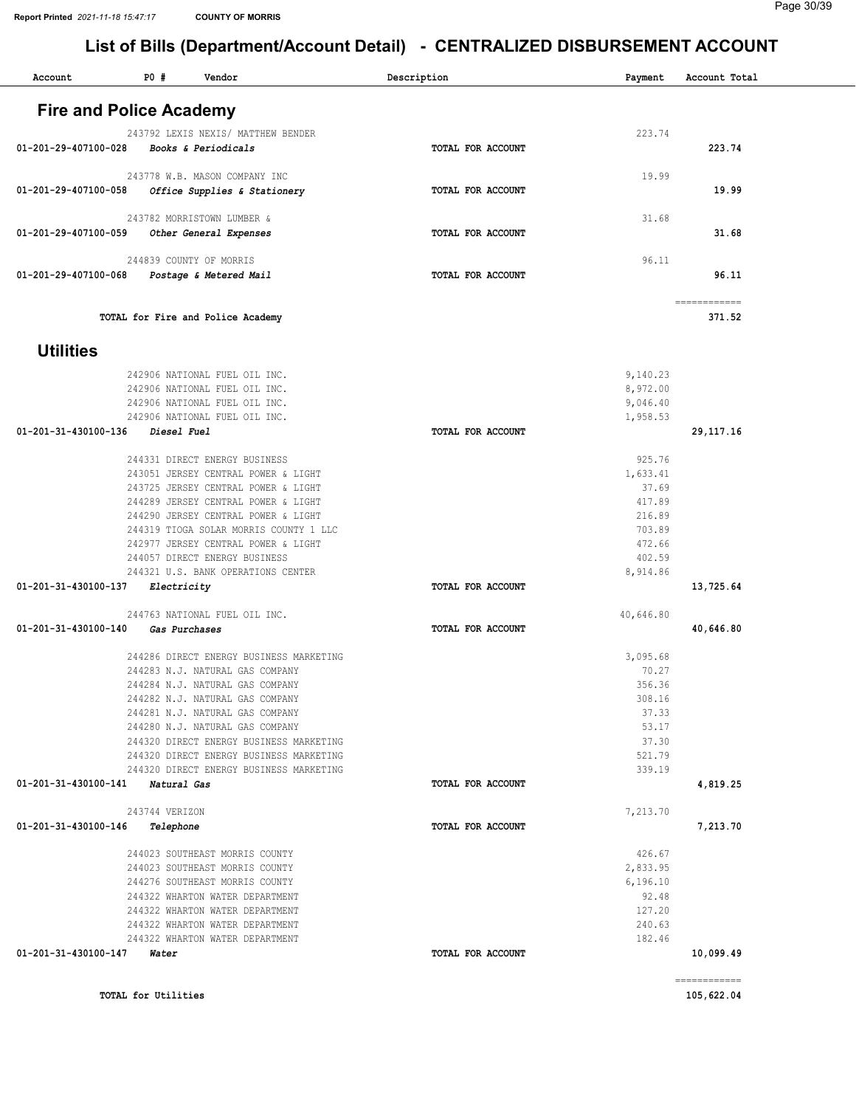#### Page 30/39

| Account                          | P0#                 | Vendor                                                                             | Description       | Payment               | Account Total              |
|----------------------------------|---------------------|------------------------------------------------------------------------------------|-------------------|-----------------------|----------------------------|
|                                  |                     |                                                                                    |                   |                       |                            |
| <b>Fire and Police Academy</b>   |                     |                                                                                    |                   |                       |                            |
|                                  |                     | 243792 LEXIS NEXIS/ MATTHEW BENDER                                                 |                   | 223.74                |                            |
| 01-201-29-407100-028             |                     | Books & Periodicals                                                                | TOTAL FOR ACCOUNT |                       | 223.74                     |
|                                  |                     | 243778 W.B. MASON COMPANY INC                                                      |                   | 19.99                 |                            |
| 01-201-29-407100-058             |                     | Office Supplies & Stationery                                                       | TOTAL FOR ACCOUNT |                       | 19.99                      |
|                                  |                     | 243782 MORRISTOWN LUMBER &                                                         |                   | 31.68                 |                            |
| 01-201-29-407100-059             |                     | Other General Expenses                                                             | TOTAL FOR ACCOUNT |                       | 31.68                      |
|                                  |                     | 244839 COUNTY OF MORRIS                                                            |                   | 96.11                 |                            |
| 01-201-29-407100-068             |                     | Postage & Metered Mail                                                             | TOTAL FOR ACCOUNT |                       | 96.11                      |
|                                  |                     |                                                                                    |                   |                       |                            |
|                                  |                     | TOTAL for Fire and Police Academy                                                  |                   |                       | ============<br>371.52     |
|                                  |                     |                                                                                    |                   |                       |                            |
| <b>Utilities</b>                 |                     |                                                                                    |                   |                       |                            |
|                                  |                     | 242906 NATIONAL FUEL OIL INC.                                                      |                   | 9,140.23              |                            |
|                                  |                     | 242906 NATIONAL FUEL OIL INC.                                                      |                   | 8,972.00              |                            |
|                                  |                     | 242906 NATIONAL FUEL OIL INC.<br>242906 NATIONAL FUEL OIL INC.                     |                   | 9,046.40<br>1,958.53  |                            |
| 01-201-31-430100-136             | Diesel Fuel         |                                                                                    | TOTAL FOR ACCOUNT |                       | 29, 117. 16                |
|                                  |                     |                                                                                    |                   |                       |                            |
|                                  |                     | 244331 DIRECT ENERGY BUSINESS<br>243051 JERSEY CENTRAL POWER & LIGHT               |                   | 925.76<br>1,633.41    |                            |
|                                  |                     | 243725 JERSEY CENTRAL POWER & LIGHT                                                |                   | 37.69                 |                            |
|                                  |                     | 244289 JERSEY CENTRAL POWER & LIGHT                                                |                   | 417.89                |                            |
|                                  |                     | 244290 JERSEY CENTRAL POWER & LIGHT<br>244319 TIOGA SOLAR MORRIS COUNTY 1 LLC      |                   | 216.89<br>703.89      |                            |
|                                  |                     | 242977 JERSEY CENTRAL POWER & LIGHT                                                |                   | 472.66                |                            |
|                                  |                     | 244057 DIRECT ENERGY BUSINESS                                                      |                   | 402.59                |                            |
|                                  |                     | 244321 U.S. BANK OPERATIONS CENTER                                                 |                   | 8,914.86              |                            |
| 01-201-31-430100-137             | Electricity         |                                                                                    | TOTAL FOR ACCOUNT |                       | 13,725.64                  |
|                                  |                     | 244763 NATIONAL FUEL OIL INC.                                                      |                   | 40,646.80             |                            |
| 01-201-31-430100-140             | Gas Purchases       |                                                                                    | TOTAL FOR ACCOUNT |                       | 40,646.80                  |
|                                  |                     | 244286 DIRECT ENERGY BUSINESS MARKETING                                            |                   | 3,095.68              |                            |
|                                  |                     | 244283 N.J. NATURAL GAS COMPANY                                                    |                   | 70.27                 |                            |
|                                  |                     | 244284 N.J. NATURAL GAS COMPANY                                                    |                   | 356.36                |                            |
|                                  |                     | 244282 N.J. NATURAL GAS COMPANY<br>244281 N.J. NATURAL GAS COMPANY                 |                   | 308.16<br>37.33       |                            |
|                                  |                     | 244280 N.J. NATURAL GAS COMPANY                                                    |                   | 53.17                 |                            |
|                                  |                     | 244320 DIRECT ENERGY BUSINESS MARKETING                                            |                   | 37.30                 |                            |
|                                  |                     | 244320 DIRECT ENERGY BUSINESS MARKETING<br>244320 DIRECT ENERGY BUSINESS MARKETING |                   | 521.79<br>339.19      |                            |
| 01-201-31-430100-141 Natural Gas |                     |                                                                                    | TOTAL FOR ACCOUNT |                       | 4,819.25                   |
|                                  |                     |                                                                                    |                   |                       |                            |
| 01-201-31-430100-146 Telephone   | 243744 VERIZON      |                                                                                    | TOTAL FOR ACCOUNT | 7,213.70              | 7,213.70                   |
|                                  |                     |                                                                                    |                   |                       |                            |
|                                  |                     | 244023 SOUTHEAST MORRIS COUNTY                                                     |                   | 426.67                |                            |
|                                  |                     | 244023 SOUTHEAST MORRIS COUNTY<br>244276 SOUTHEAST MORRIS COUNTY                   |                   | 2,833.95<br>6, 196.10 |                            |
|                                  |                     | 244322 WHARTON WATER DEPARTMENT                                                    |                   | 92.48                 |                            |
|                                  |                     | 244322 WHARTON WATER DEPARTMENT                                                    |                   | 127.20                |                            |
|                                  |                     | 244322 WHARTON WATER DEPARTMENT<br>244322 WHARTON WATER DEPARTMENT                 |                   | 240.63<br>182.46      |                            |
| 01-201-31-430100-147 Water       |                     |                                                                                    | TOTAL FOR ACCOUNT |                       | 10,099.49                  |
|                                  |                     |                                                                                    |                   |                       |                            |
|                                  | TOTAL for Utilities |                                                                                    |                   |                       | ============<br>105,622.04 |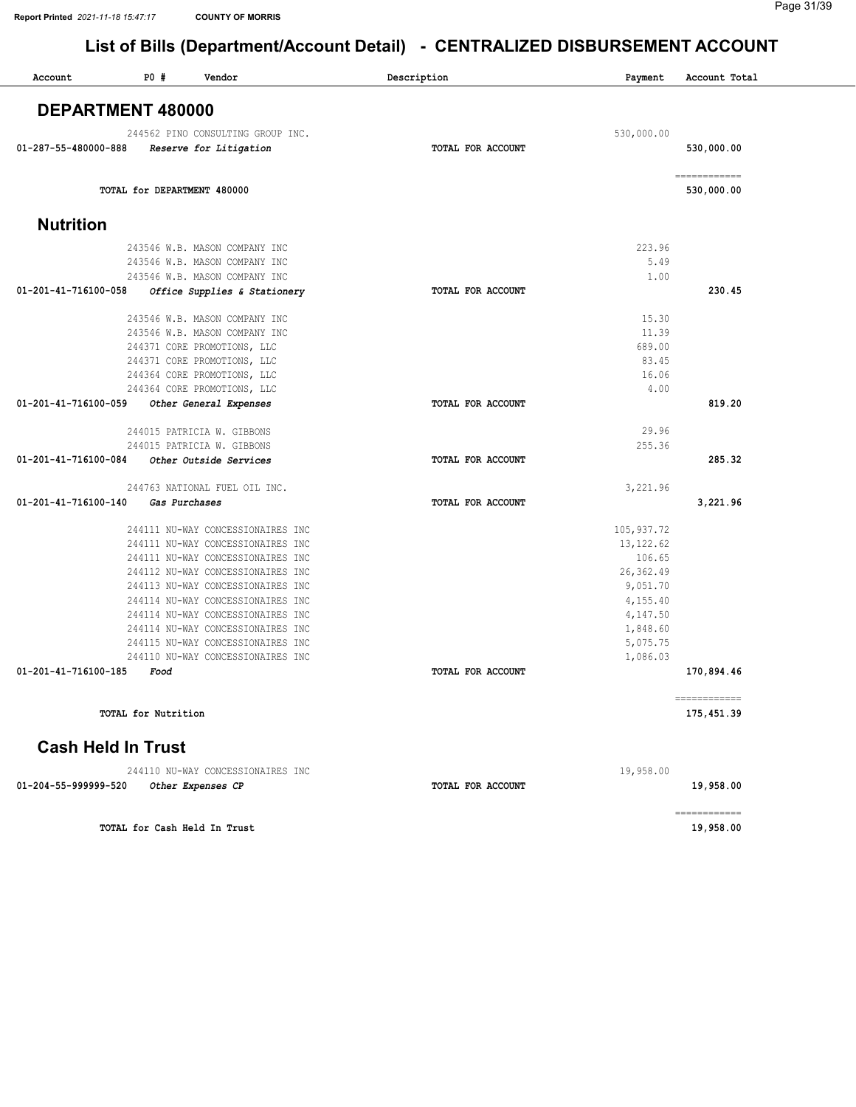| Account                   | P0 #                              | Vendor                       | Description              | Payment     | Account Total              |
|---------------------------|-----------------------------------|------------------------------|--------------------------|-------------|----------------------------|
|                           | DEPARTMENT 480000                 |                              |                          |             |                            |
|                           |                                   |                              |                          |             |                            |
| 01-287-55-480000-888      | 244562 PINO CONSULTING GROUP INC. |                              |                          | 530,000.00  |                            |
|                           | Reserve for Litigation            |                              | TOTAL FOR ACCOUNT        |             | 530,000.00                 |
|                           | TOTAL for DEPARTMENT 480000       |                              |                          |             | ------------<br>530,000.00 |
| <b>Nutrition</b>          |                                   |                              |                          |             |                            |
|                           | 243546 W.B. MASON COMPANY INC     |                              |                          | 223.96      |                            |
|                           | 243546 W.B. MASON COMPANY INC     |                              |                          | 5.49        |                            |
|                           | 243546 W.B. MASON COMPANY INC     |                              |                          | 1.00        |                            |
| 01-201-41-716100-058      |                                   | Office Supplies & Stationery | TOTAL FOR ACCOUNT        |             | 230.45                     |
|                           | 243546 W.B. MASON COMPANY INC     |                              |                          | 15.30       |                            |
|                           | 243546 W.B. MASON COMPANY INC     |                              |                          | 11.39       |                            |
|                           | 244371 CORE PROMOTIONS, LLC       |                              |                          | 689.00      |                            |
|                           | 244371 CORE PROMOTIONS, LLC       |                              |                          | 83.45       |                            |
|                           | 244364 CORE PROMOTIONS, LLC       |                              |                          | 16.06       |                            |
|                           | 244364 CORE PROMOTIONS, LLC       |                              |                          | 4.00        |                            |
| 01-201-41-716100-059      | Other General Expenses            |                              | TOTAL FOR ACCOUNT        |             | 819.20                     |
|                           | 244015 PATRICIA W. GIBBONS        |                              |                          | 29.96       |                            |
|                           | 244015 PATRICIA W. GIBBONS        |                              |                          | 255.36      |                            |
| 01-201-41-716100-084      | Other Outside Services            |                              | <b>TOTAL FOR ACCOUNT</b> |             | 285.32                     |
|                           | 244763 NATIONAL FUEL OIL INC.     |                              |                          | 3,221.96    |                            |
| 01-201-41-716100-140      | Gas Purchases                     |                              | TOTAL FOR ACCOUNT        |             | 3,221.96                   |
|                           | 244111 NU-WAY CONCESSIONAIRES INC |                              |                          | 105, 937.72 |                            |
|                           | 244111 NU-WAY CONCESSIONAIRES INC |                              |                          | 13, 122.62  |                            |
|                           | 244111 NU-WAY CONCESSIONAIRES INC |                              |                          | 106.65      |                            |
|                           | 244112 NU-WAY CONCESSIONAIRES INC |                              |                          | 26, 362.49  |                            |
|                           | 244113 NU-WAY CONCESSIONAIRES INC |                              |                          | 9,051.70    |                            |
|                           | 244114 NU-WAY CONCESSIONAIRES INC |                              |                          | 4,155.40    |                            |
|                           | 244114 NU-WAY CONCESSIONAIRES INC |                              |                          | 4,147.50    |                            |
|                           | 244114 NU-WAY CONCESSIONAIRES INC |                              |                          | 1,848.60    |                            |
|                           | 244115 NU-WAY CONCESSIONAIRES INC |                              |                          | 5,075.75    |                            |
|                           | 244110 NU-WAY CONCESSIONAIRES INC |                              |                          | 1,086.03    |                            |
| 01-201-41-716100-185      | Food                              |                              | TOTAL FOR ACCOUNT        |             | 170,894.46                 |
|                           | TOTAL for Nutrition               |                              |                          |             | ============<br>175,451.39 |
| <b>Cash Held In Trust</b> |                                   |                              |                          |             |                            |
|                           | 244110 NU-WAY CONCESSIONAIRES INC |                              |                          | 19,958.00   |                            |
| 01-204-55-999999-520      | Other Expenses CP                 |                              | TOTAL FOR ACCOUNT        |             | 19,958.00                  |

TOTAL for Cash Held In Trust 19,958.00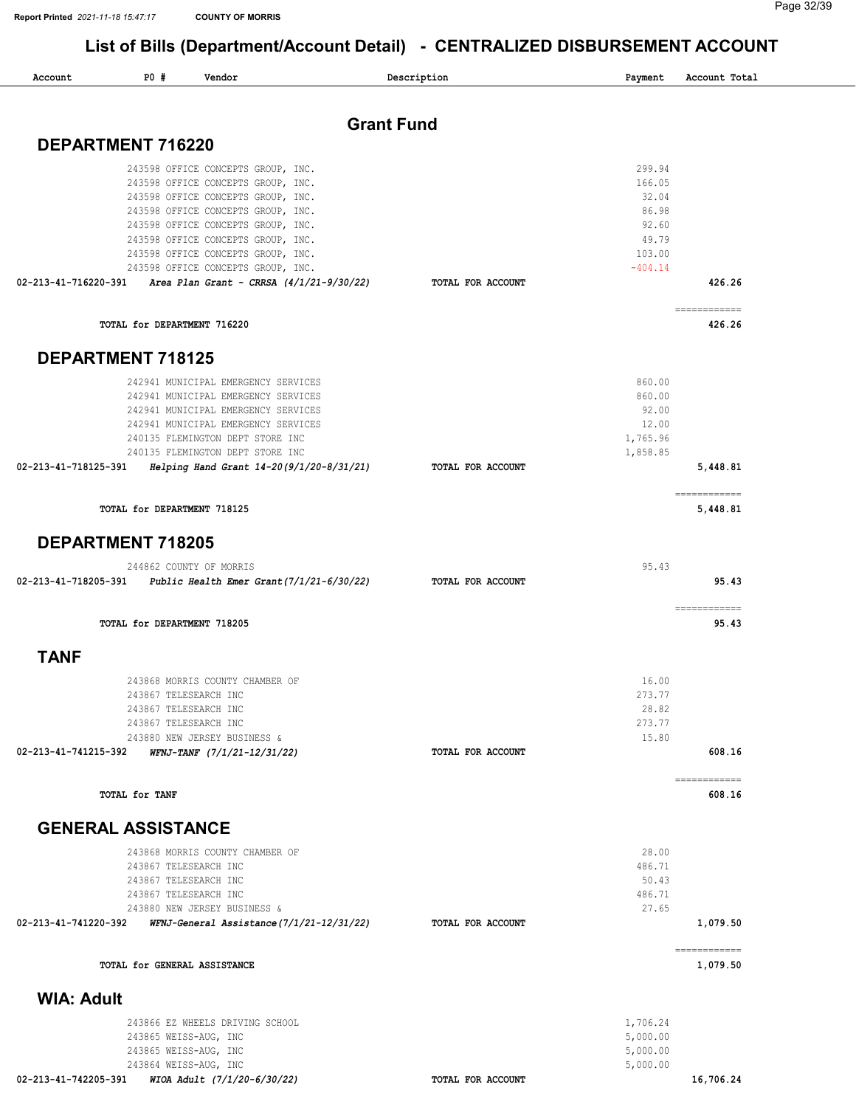| Account              | P0#                                                                     | Vendor                                                                                                                                                                                                                                                                       |                   | Description       | Payment                                                    | Account Total                                                                                                                                                                                                                                                                                                                                                                                                                                                                                      |
|----------------------|-------------------------------------------------------------------------|------------------------------------------------------------------------------------------------------------------------------------------------------------------------------------------------------------------------------------------------------------------------------|-------------------|-------------------|------------------------------------------------------------|----------------------------------------------------------------------------------------------------------------------------------------------------------------------------------------------------------------------------------------------------------------------------------------------------------------------------------------------------------------------------------------------------------------------------------------------------------------------------------------------------|
|                      |                                                                         |                                                                                                                                                                                                                                                                              | <b>Grant Fund</b> |                   |                                                            |                                                                                                                                                                                                                                                                                                                                                                                                                                                                                                    |
|                      | DEPARTMENT 716220                                                       |                                                                                                                                                                                                                                                                              |                   |                   |                                                            |                                                                                                                                                                                                                                                                                                                                                                                                                                                                                                    |
|                      |                                                                         | 243598 OFFICE CONCEPTS GROUP, INC.<br>243598 OFFICE CONCEPTS GROUP, INC.<br>243598 OFFICE CONCEPTS GROUP, INC.<br>243598 OFFICE CONCEPTS GROUP, INC.<br>243598 OFFICE CONCEPTS GROUP, INC.<br>243598 OFFICE CONCEPTS GROUP, INC.                                             |                   |                   | 299.94<br>166.05<br>32.04<br>86.98<br>92.60<br>49.79       |                                                                                                                                                                                                                                                                                                                                                                                                                                                                                                    |
|                      |                                                                         | 243598 OFFICE CONCEPTS GROUP, INC.<br>243598 OFFICE CONCEPTS GROUP, INC.                                                                                                                                                                                                     |                   |                   | 103.00<br>$-404.14$                                        |                                                                                                                                                                                                                                                                                                                                                                                                                                                                                                    |
| 02-213-41-716220-391 |                                                                         | Area Plan Grant - CRRSA $(4/1/21-9/30/22)$                                                                                                                                                                                                                                   |                   | TOTAL FOR ACCOUNT |                                                            | 426.26                                                                                                                                                                                                                                                                                                                                                                                                                                                                                             |
|                      | TOTAL for DEPARTMENT 716220                                             |                                                                                                                                                                                                                                                                              |                   |                   |                                                            | $\begin{array}{cccccccccc} \multicolumn{2}{c}{} & \multicolumn{2}{c}{} & \multicolumn{2}{c}{} & \multicolumn{2}{c}{} & \multicolumn{2}{c}{} & \multicolumn{2}{c}{} & \multicolumn{2}{c}{} & \multicolumn{2}{c}{} & \multicolumn{2}{c}{} & \multicolumn{2}{c}{} & \multicolumn{2}{c}{} & \multicolumn{2}{c}{} & \multicolumn{2}{c}{} & \multicolumn{2}{c}{} & \multicolumn{2}{c}{} & \multicolumn{2}{c}{} & \multicolumn{2}{c}{} & \multicolumn{2}{c}{} & \multicolumn{2}{c}{} & \mult$<br>426.26   |
|                      | <b>DEPARTMENT 718125</b>                                                |                                                                                                                                                                                                                                                                              |                   |                   |                                                            |                                                                                                                                                                                                                                                                                                                                                                                                                                                                                                    |
| 02-213-41-718125-391 |                                                                         | 242941 MUNICIPAL EMERGENCY SERVICES<br>242941 MUNICIPAL EMERGENCY SERVICES<br>242941 MUNICIPAL EMERGENCY SERVICES<br>242941 MUNICIPAL EMERGENCY SERVICES<br>240135 FLEMINGTON DEPT STORE INC<br>240135 FLEMINGTON DEPT STORE INC<br>Helping Hand Grant 14-20(9/1/20-8/31/21) |                   | TOTAL FOR ACCOUNT | 860.00<br>860.00<br>92.00<br>12.00<br>1,765.96<br>1,858.85 | 5,448.81                                                                                                                                                                                                                                                                                                                                                                                                                                                                                           |
|                      | TOTAL for DEPARTMENT 718125                                             |                                                                                                                                                                                                                                                                              |                   |                   |                                                            | $\begin{array}{cccccccccc} \multicolumn{2}{c}{} & \multicolumn{2}{c}{} & \multicolumn{2}{c}{} & \multicolumn{2}{c}{} & \multicolumn{2}{c}{} & \multicolumn{2}{c}{} & \multicolumn{2}{c}{} & \multicolumn{2}{c}{} & \multicolumn{2}{c}{} & \multicolumn{2}{c}{} & \multicolumn{2}{c}{} & \multicolumn{2}{c}{} & \multicolumn{2}{c}{} & \multicolumn{2}{c}{} & \multicolumn{2}{c}{} & \multicolumn{2}{c}{} & \multicolumn{2}{c}{} & \multicolumn{2}{c}{} & \multicolumn{2}{c}{} & \mult$<br>5,448.81 |
|                      | <b>DEPARTMENT 718205</b>                                                |                                                                                                                                                                                                                                                                              |                   |                   |                                                            |                                                                                                                                                                                                                                                                                                                                                                                                                                                                                                    |
| 02-213-41-718205-391 |                                                                         | 244862 COUNTY OF MORRIS<br>Public Health Emer Grant (7/1/21-6/30/22)                                                                                                                                                                                                         |                   | TOTAL FOR ACCOUNT | 95.43                                                      | 95.43                                                                                                                                                                                                                                                                                                                                                                                                                                                                                              |
|                      | TOTAL for DEPARTMENT 718205                                             |                                                                                                                                                                                                                                                                              |                   |                   |                                                            | ecceccecece<br>95.43                                                                                                                                                                                                                                                                                                                                                                                                                                                                               |
| <b>TANF</b>          |                                                                         |                                                                                                                                                                                                                                                                              |                   |                   |                                                            |                                                                                                                                                                                                                                                                                                                                                                                                                                                                                                    |
| 02-213-41-741215-392 |                                                                         | 243868 MORRIS COUNTY CHAMBER OF<br>243867 TELESEARCH INC<br>243867 TELESEARCH INC<br>243867 TELESEARCH INC<br>243880 NEW JERSEY BUSINESS &<br>WFNJ-TANF (7/1/21-12/31/22)                                                                                                    |                   | TOTAL FOR ACCOUNT | 16.00<br>273.77<br>28.82<br>273.77<br>15.80                | 608.16                                                                                                                                                                                                                                                                                                                                                                                                                                                                                             |
|                      | TOTAL for TANF                                                          |                                                                                                                                                                                                                                                                              |                   |                   |                                                            | ============<br>608.16                                                                                                                                                                                                                                                                                                                                                                                                                                                                             |
|                      | <b>GENERAL ASSISTANCE</b>                                               |                                                                                                                                                                                                                                                                              |                   |                   |                                                            |                                                                                                                                                                                                                                                                                                                                                                                                                                                                                                    |
| 02-213-41-741220-392 | 243867 TELESEARCH INC<br>243867 TELESEARCH INC<br>243867 TELESEARCH INC | 243868 MORRIS COUNTY CHAMBER OF<br>243880 NEW JERSEY BUSINESS &<br>WFNJ-General Assistance (7/1/21-12/31/22)                                                                                                                                                                 |                   | TOTAL FOR ACCOUNT | 28.00<br>486.71<br>50.43<br>486.71<br>27.65                | 1,079.50                                                                                                                                                                                                                                                                                                                                                                                                                                                                                           |
|                      | TOTAL for GENERAL ASSISTANCE                                            |                                                                                                                                                                                                                                                                              |                   |                   |                                                            | ============<br>1,079.50                                                                                                                                                                                                                                                                                                                                                                                                                                                                           |
| <b>WIA: Adult</b>    |                                                                         |                                                                                                                                                                                                                                                                              |                   |                   |                                                            |                                                                                                                                                                                                                                                                                                                                                                                                                                                                                                    |
|                      |                                                                         | 243866 EZ WHEELS DRIVING SCHOOL<br>243865 WEISS-AUG, INC<br>243865 WEISS-AUG, INC<br>243864 WEISS-AUG, INC                                                                                                                                                                   |                   |                   | 1,706.24<br>5,000.00<br>5,000.00<br>5,000.00               |                                                                                                                                                                                                                                                                                                                                                                                                                                                                                                    |
| 02-213-41-742205-391 |                                                                         | WIOA Adult (7/1/20-6/30/22)                                                                                                                                                                                                                                                  |                   | TOTAL FOR ACCOUNT |                                                            | 16,706.24                                                                                                                                                                                                                                                                                                                                                                                                                                                                                          |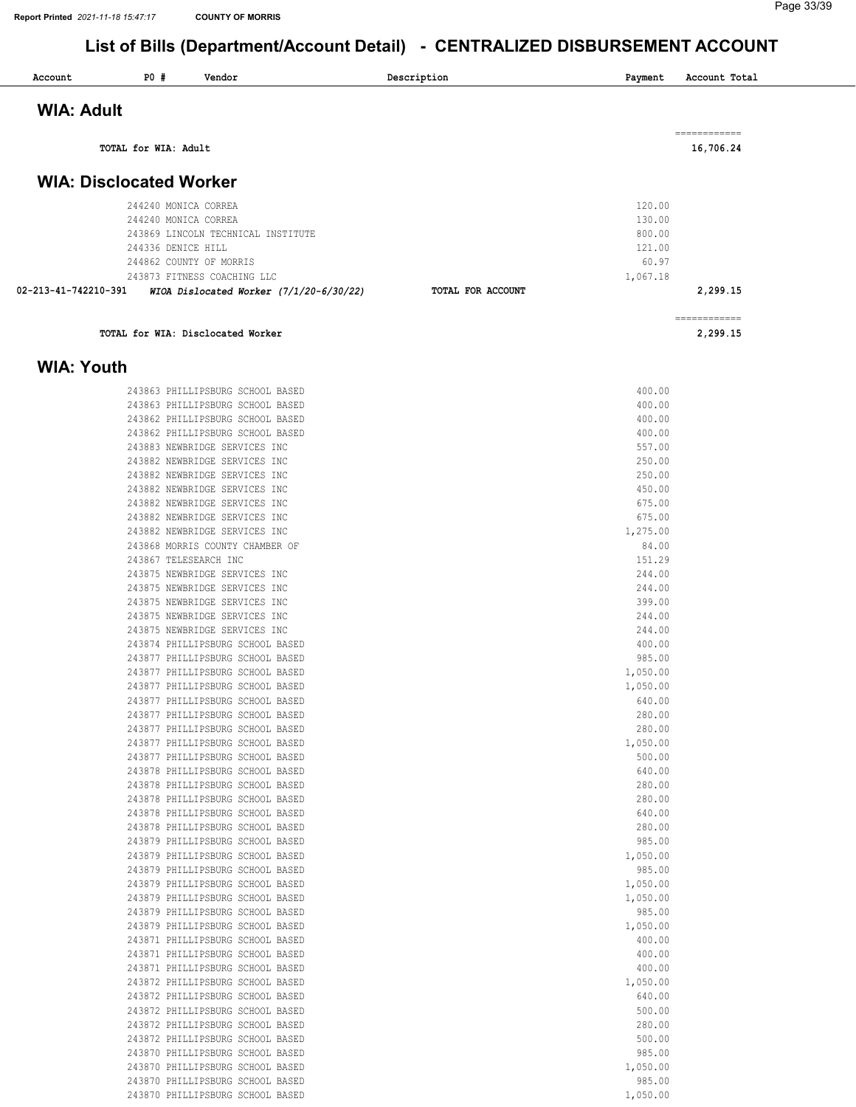| Account                        | <b>PO #</b>          | Vendor                                                           | Description       | Payment           | Account Total             |
|--------------------------------|----------------------|------------------------------------------------------------------|-------------------|-------------------|---------------------------|
| <b>WIA: Adult</b>              |                      |                                                                  |                   |                   |                           |
|                                |                      |                                                                  |                   |                   |                           |
|                                | TOTAL for WIA: Adult |                                                                  |                   |                   | ------------<br>16,706.24 |
| <b>WIA: Disclocated Worker</b> |                      |                                                                  |                   |                   |                           |
|                                |                      |                                                                  |                   |                   |                           |
|                                |                      | 244240 MONICA CORREA                                             |                   | 120.00            |                           |
|                                |                      | 244240 MONICA CORREA                                             |                   | 130.00            |                           |
|                                |                      | 243869 LINCOLN TECHNICAL INSTITUTE                               |                   | 800.00            |                           |
|                                | 244336 DENICE HILL   |                                                                  |                   | 121.00            |                           |
|                                |                      | 244862 COUNTY OF MORRIS                                          |                   | 60.97             |                           |
|                                |                      | 243873 FITNESS COACHING LLC                                      |                   | 1,067.18          |                           |
| 02-213-41-742210-391           |                      | WIOA Dislocated Worker $(7/1/20-6/30/22)$                        | TOTAL FOR ACCOUNT |                   | 2,299.15                  |
|                                |                      | TOTAL for WIA: Disclocated Worker                                |                   |                   | ------------<br>2,299.15  |
|                                |                      |                                                                  |                   |                   |                           |
| <b>WIA: Youth</b>              |                      |                                                                  |                   |                   |                           |
|                                |                      | 243863 PHILLIPSBURG SCHOOL BASED                                 |                   | 400.00            |                           |
|                                |                      | 243863 PHILLIPSBURG SCHOOL BASED                                 |                   | 400.00            |                           |
|                                |                      | 243862 PHILLIPSBURG SCHOOL BASED                                 |                   | 400.00            |                           |
|                                |                      | 243862 PHILLIPSBURG SCHOOL BASED                                 |                   | 400.00            |                           |
|                                |                      | 243883 NEWBRIDGE SERVICES INC                                    |                   | 557.00            |                           |
|                                |                      | 243882 NEWBRIDGE SERVICES INC                                    |                   | 250.00            |                           |
|                                |                      | 243882 NEWBRIDGE SERVICES INC                                    |                   | 250.00            |                           |
|                                |                      | 243882 NEWBRIDGE SERVICES INC                                    |                   | 450.00            |                           |
|                                |                      | 243882 NEWBRIDGE SERVICES INC                                    |                   | 675.00            |                           |
|                                |                      | 243882 NEWBRIDGE SERVICES INC                                    |                   | 675.00            |                           |
|                                |                      | 243882 NEWBRIDGE SERVICES INC<br>243868 MORRIS COUNTY CHAMBER OF |                   | 1,275.00<br>84.00 |                           |
|                                |                      | 243867 TELESEARCH INC                                            |                   | 151.29            |                           |
|                                |                      | 243875 NEWBRIDGE SERVICES INC                                    |                   | 244.00            |                           |
|                                |                      | 243875 NEWBRIDGE SERVICES INC                                    |                   | 244.00            |                           |
|                                |                      | 243875 NEWBRIDGE SERVICES INC                                    |                   | 399.00            |                           |
|                                |                      | 243875 NEWBRIDGE SERVICES INC                                    |                   | 244.00            |                           |
|                                |                      | 243875 NEWBRIDGE SERVICES INC                                    |                   | 244.00            |                           |
|                                |                      | 243874 PHILLIPSBURG SCHOOL BASED                                 |                   | 400.00            |                           |
|                                |                      | 243877 PHILLIPSBURG SCHOOL BASED                                 |                   | 985.00            |                           |
|                                |                      | 243877 PHILLIPSBURG SCHOOL BASED                                 |                   | 1,050.00          |                           |
|                                |                      | 243877 PHILLIPSBURG SCHOOL BASED                                 |                   | 1,050.00          |                           |
|                                |                      | 243877 PHILLIPSBURG SCHOOL BASED                                 |                   | 640.00            |                           |
|                                |                      | 243877 PHILLIPSBURG SCHOOL BASED                                 |                   | 280.00            |                           |
|                                |                      | 243877 PHILLIPSBURG SCHOOL BASED                                 |                   | 280.00            |                           |
|                                |                      | 243877 PHILLIPSBURG SCHOOL BASED                                 |                   | 1,050.00          |                           |
|                                |                      | 243877 PHILLIPSBURG SCHOOL BASED                                 |                   | 500.00            |                           |
|                                |                      | 243878 PHILLIPSBURG SCHOOL BASED                                 |                   | 640.00            |                           |
|                                |                      | 243878 PHILLIPSBURG SCHOOL BASED                                 |                   | 280.00            |                           |
|                                |                      | 243878 PHILLIPSBURG SCHOOL BASED                                 |                   | 280.00            |                           |
|                                |                      | 243878 PHILLIPSBURG SCHOOL BASED                                 |                   | 640.00            |                           |

PHILLIPSBURG SCHOOL BASED 1,050.00

PHILLIPSBURG SCHOOL BASED 985.00

PHILLIPSBURG SCHOOL BASED 1,050.00

243879 PHILLIPSBURG SCHOOL BASED

 PHILLIPSBURG SCHOOL BASED 280.00 PHILLIPSBURG SCHOOL BASED 985.00

PHILLIPSBURG SCHOOL BASED 985.00

 PHILLIPSBURG SCHOOL BASED 1,050.00 PHILLIPSBURG SCHOOL BASED 400.00 PHILLIPSBURG SCHOOL BASED 400.00 PHILLIPSBURG SCHOOL BASED 400.00

PHILLIPSBURG SCHOOL BASED 1,050.00

 PHILLIPSBURG SCHOOL BASED 640.00 PHILLIPSBURG SCHOOL BASED 500.00 PHILLIPSBURG SCHOOL BASED 280.00 PHILLIPSBURG SCHOOL BASED 500.00 PHILLIPSBURG SCHOOL BASED 985.00

PHILLIPSBURG SCHOOL BASED 1,050.00

 PHILLIPSBURG SCHOOL BASED 985.00 PHILLIPSBURG SCHOOL BASED 1,050.00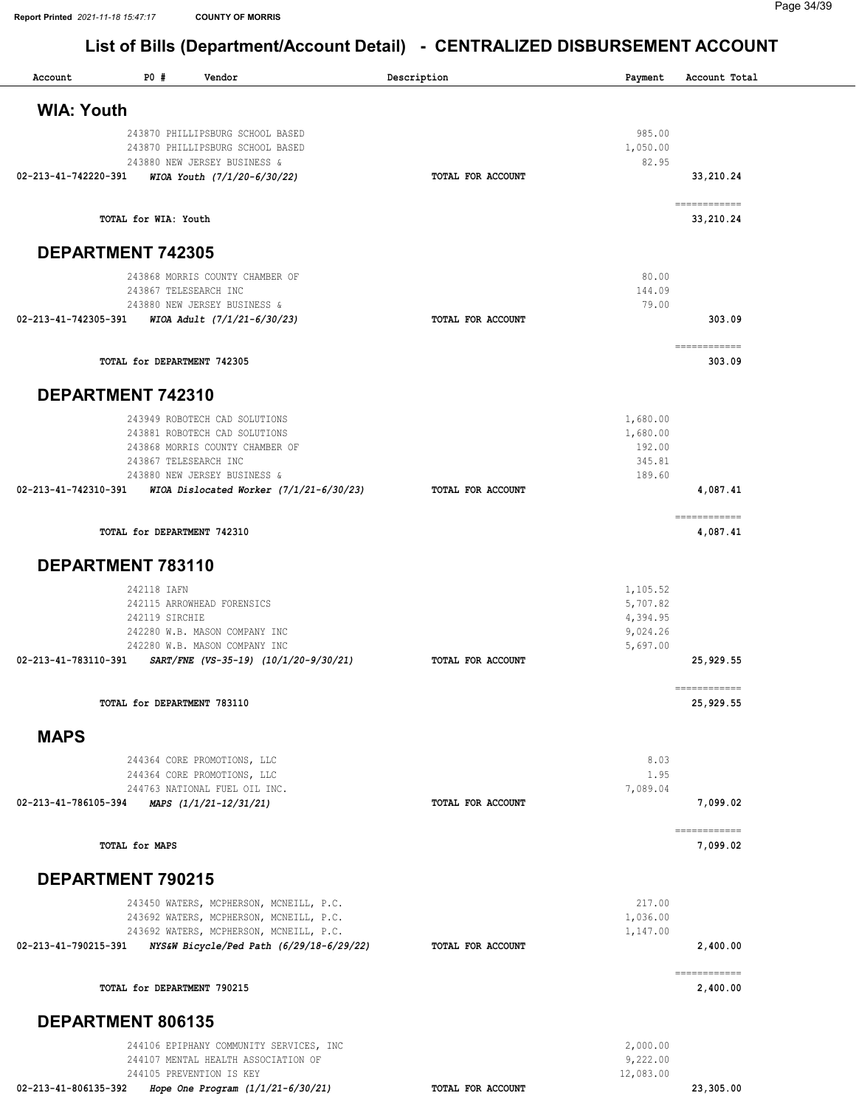| Account              | PO#                           | Vendor                                                                                                                                                                                                                     | Description       | Payment                                                  | Account Total             |
|----------------------|-------------------------------|----------------------------------------------------------------------------------------------------------------------------------------------------------------------------------------------------------------------------|-------------------|----------------------------------------------------------|---------------------------|
| <b>WIA: Youth</b>    |                               |                                                                                                                                                                                                                            |                   |                                                          |                           |
| 02-213-41-742220-391 |                               | 243870 PHILLIPSBURG SCHOOL BASED<br>243870 PHILLIPSBURG SCHOOL BASED<br>243880 NEW JERSEY BUSINESS &<br>WIOA Youth (7/1/20-6/30/22)                                                                                        | TOTAL FOR ACCOUNT | 985.00<br>1,050.00<br>82.95                              | 33,210.24                 |
|                      | TOTAL for WIA: Youth          |                                                                                                                                                                                                                            |                   |                                                          | ------------<br>33,210.24 |
|                      | <b>DEPARTMENT 742305</b>      |                                                                                                                                                                                                                            |                   |                                                          |                           |
| 02-213-41-742305-391 |                               | 243868 MORRIS COUNTY CHAMBER OF<br>243867 TELESEARCH INC<br>243880 NEW JERSEY BUSINESS &<br>WIOA Adult (7/1/21-6/30/23)                                                                                                    | TOTAL FOR ACCOUNT | 80.00<br>144.09<br>79.00                                 | 303.09                    |
|                      | TOTAL for DEPARTMENT 742305   |                                                                                                                                                                                                                            |                   |                                                          | ------------<br>303.09    |
|                      | DEPARTMENT 742310             |                                                                                                                                                                                                                            |                   |                                                          |                           |
|                      |                               | 243949 ROBOTECH CAD SOLUTIONS<br>243881 ROBOTECH CAD SOLUTIONS<br>243868 MORRIS COUNTY CHAMBER OF<br>243867 TELESEARCH INC<br>243880 NEW JERSEY BUSINESS &<br>02-213-41-742310-391 WIOA Dislocated Worker (7/1/21-6/30/23) | TOTAL FOR ACCOUNT | 1,680.00<br>1,680.00<br>192.00<br>345.81<br>189.60       | 4,087.41                  |
|                      | TOTAL for DEPARTMENT 742310   |                                                                                                                                                                                                                            |                   |                                                          | ============<br>4,087.41  |
|                      | DEPARTMENT 783110             |                                                                                                                                                                                                                            |                   |                                                          |                           |
| 02-213-41-783110-391 | 242118 IAFN<br>242119 SIRCHIE | 242115 ARROWHEAD FORENSICS<br>242280 W.B. MASON COMPANY INC<br>242280 W.B. MASON COMPANY INC<br>SART/FNE (VS-35-19) (10/1/20-9/30/21)                                                                                      | TOTAL FOR ACCOUNT | 1,105.52<br>5,707.82<br>4,394.95<br>9,024.26<br>5,697.00 | 25,929.55                 |
|                      | TOTAL for DEPARTMENT 783110   |                                                                                                                                                                                                                            |                   |                                                          | ------------<br>25,929.55 |
| <b>MAPS</b>          |                               |                                                                                                                                                                                                                            |                   |                                                          |                           |
| 02-213-41-786105-394 |                               | 244364 CORE PROMOTIONS, LLC<br>244364 CORE PROMOTIONS, LLC<br>244763 NATIONAL FUEL OIL INC.<br>MAPS (1/1/21-12/31/21)                                                                                                      | TOTAL FOR ACCOUNT | 8.03<br>1.95<br>7,089.04                                 | 7,099.02                  |
|                      | <b>TOTAL for MAPS</b>         |                                                                                                                                                                                                                            |                   |                                                          | ------------<br>7,099.02  |
|                      | <b>DEPARTMENT 790215</b>      |                                                                                                                                                                                                                            |                   |                                                          |                           |
| 02-213-41-790215-391 |                               | 243450 WATERS, MCPHERSON, MCNEILL, P.C.<br>243692 WATERS, MCPHERSON, MCNEILL, P.C.<br>243692 WATERS, MCPHERSON, MCNEILL, P.C.<br>NYS&W Bicycle/Ped Path (6/29/18-6/29/22)                                                  | TOTAL FOR ACCOUNT | 217.00<br>1,036.00<br>1,147.00                           | 2,400.00<br>------------  |
|                      | TOTAL for DEPARTMENT 790215   |                                                                                                                                                                                                                            |                   |                                                          | 2,400.00                  |
|                      | DEPARTMENT 806135             |                                                                                                                                                                                                                            |                   |                                                          |                           |
|                      |                               | 244106 EPIPHANY COMMUNITY SERVICES, INC<br>244107 MENTAL HEALTH ASSOCIATION OF<br>244105 PREVENTION IS KEY                                                                                                                 |                   | 2,000.00<br>9,222.00<br>12,083.00                        |                           |
| 02-213-41-806135-392 |                               | Hope One Program $(1/1/21-6/30/21)$                                                                                                                                                                                        | TOTAL FOR ACCOUNT |                                                          | 23,305.00                 |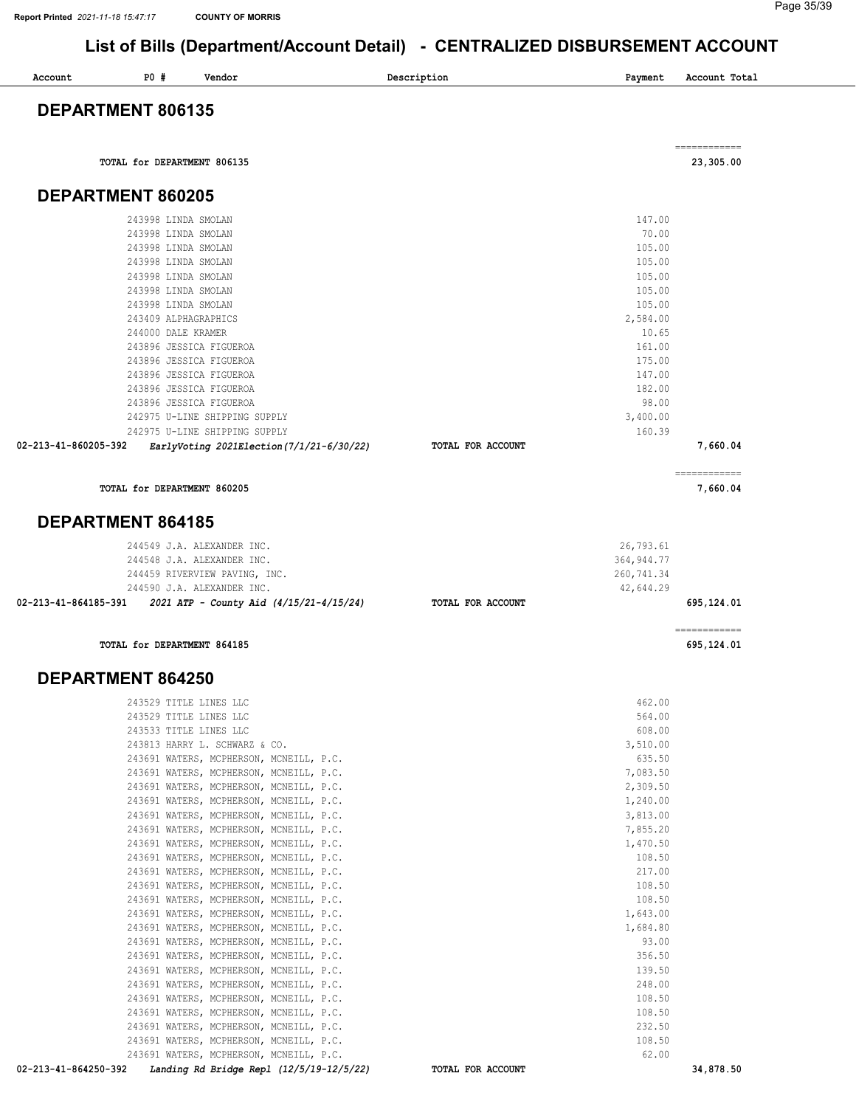| Account              | <b>PO #</b>                                | Vendor                                                                             | Description       | Payment                  | Account Total              |
|----------------------|--------------------------------------------|------------------------------------------------------------------------------------|-------------------|--------------------------|----------------------------|
|                      | DEPARTMENT 806135                          |                                                                                    |                   |                          |                            |
|                      | TOTAL for DEPARTMENT 806135                |                                                                                    |                   |                          | ============<br>23,305.00  |
|                      | DEPARTMENT 860205                          |                                                                                    |                   |                          |                            |
|                      | 243998 LINDA SMOLAN                        |                                                                                    |                   | 147.00                   |                            |
|                      | 243998 LINDA SMOLAN                        |                                                                                    |                   | 70.00                    |                            |
|                      | 243998 LINDA SMOLAN                        |                                                                                    |                   | 105.00                   |                            |
|                      | 243998 LINDA SMOLAN                        |                                                                                    |                   | 105.00                   |                            |
|                      | 243998 LINDA SMOLAN<br>243998 LINDA SMOLAN |                                                                                    |                   | 105.00<br>105.00         |                            |
|                      | 243998 LINDA SMOLAN                        |                                                                                    |                   | 105.00                   |                            |
|                      | 243409 ALPHAGRAPHICS                       |                                                                                    |                   | 2,584.00                 |                            |
|                      | 244000 DALE KRAMER                         | 243896 JESSICA FIGUEROA                                                            |                   | 10.65<br>161.00          |                            |
|                      |                                            | 243896 JESSICA FIGUEROA                                                            |                   | 175.00                   |                            |
|                      |                                            | 243896 JESSICA FIGUEROA                                                            |                   | 147.00                   |                            |
|                      |                                            | 243896 JESSICA FIGUEROA                                                            |                   | 182.00                   |                            |
|                      |                                            | 243896 JESSICA FIGUEROA<br>242975 U-LINE SHIPPING SUPPLY                           |                   | 98.00<br>3,400.00        |                            |
|                      |                                            | 242975 U-LINE SHIPPING SUPPLY                                                      |                   | 160.39                   |                            |
| 02-213-41-860205-392 |                                            | EarlyVoting 2021Election (7/1/21-6/30/22)                                          | TOTAL FOR ACCOUNT |                          | 7,660.04                   |
|                      | TOTAL for DEPARTMENT 860205                |                                                                                    |                   |                          | ------------<br>7,660.04   |
|                      | <b>DEPARTMENT 864185</b>                   |                                                                                    |                   |                          |                            |
|                      |                                            |                                                                                    |                   |                          |                            |
|                      |                                            | 244549 J.A. ALEXANDER INC.<br>244548 J.A. ALEXANDER INC.                           |                   | 26,793.61<br>364, 944.77 |                            |
|                      |                                            | 244459 RIVERVIEW PAVING, INC.                                                      |                   | 260,741.34               |                            |
|                      |                                            | 244590 J.A. ALEXANDER INC.                                                         |                   | 42,644.29                |                            |
| 02-213-41-864185-391 |                                            | 2021 ATP - County Aid (4/15/21-4/15/24)                                            | TOTAL FOR ACCOUNT |                          | 695,124.01                 |
|                      | TOTAL for DEPARTMENT 864185                |                                                                                    |                   |                          | ============<br>695,124.01 |
|                      | <b>DEPARTMENT 864250</b>                   |                                                                                    |                   |                          |                            |
|                      | 243529 TITLE LINES LLC                     |                                                                                    |                   | 462.00                   |                            |
|                      |                                            | 243529 TITLE LINES LLC                                                             |                   | 564.00                   |                            |
|                      |                                            | 243533 TITLE LINES LLC<br>243813 HARRY L. SCHWARZ & CO.                            |                   | 608.00<br>3,510.00       |                            |
|                      |                                            | 243691 WATERS, MCPHERSON, MCNEILL, P.C.                                            |                   | 635.50                   |                            |
|                      |                                            | 243691 WATERS, MCPHERSON, MCNEILL, P.C.                                            |                   | 7,083.50                 |                            |
|                      |                                            | 243691 WATERS, MCPHERSON, MCNEILL, P.C.                                            |                   | 2,309.50                 |                            |
|                      |                                            | 243691 WATERS, MCPHERSON, MCNEILL, P.C.<br>243691 WATERS, MCPHERSON, MCNEILL, P.C. |                   | 1,240.00<br>3,813.00     |                            |
|                      |                                            | 243691 WATERS, MCPHERSON, MCNEILL, P.C.                                            |                   | 7,855.20                 |                            |
|                      |                                            | 243691 WATERS, MCPHERSON, MCNEILL, P.C.                                            |                   | 1,470.50                 |                            |
|                      |                                            | 243691 WATERS, MCPHERSON, MCNEILL, P.C.<br>243691 WATERS, MCPHERSON, MCNEILL, P.C. |                   | 108.50<br>217.00         |                            |
|                      |                                            | 243691 WATERS, MCPHERSON, MCNEILL, P.C.                                            |                   | 108.50                   |                            |
|                      |                                            | 243691 WATERS, MCPHERSON, MCNEILL, P.C.                                            |                   | 108.50                   |                            |
|                      |                                            | 243691 WATERS, MCPHERSON, MCNEILL, P.C.                                            |                   | 1,643.00                 |                            |
|                      |                                            | 243691 WATERS, MCPHERSON, MCNEILL, P.C.<br>243691 WATERS, MCPHERSON, MCNEILL, P.C. |                   | 1,684.80<br>93.00        |                            |
|                      |                                            | 243691 WATERS, MCPHERSON, MCNEILL, P.C.                                            |                   | 356.50                   |                            |
|                      |                                            | 243691 WATERS, MCPHERSON, MCNEILL, P.C.                                            |                   | 139.50                   |                            |
|                      |                                            | 243691 WATERS, MCPHERSON, MCNEILL, P.C.<br>243691 WATERS, MCPHERSON, MCNEILL, P.C. |                   | 248.00<br>108.50         |                            |
|                      |                                            | 243691 WATERS, MCPHERSON, MCNEILL, P.C.                                            |                   | 108.50                   |                            |
|                      |                                            | 243691 WATERS, MCPHERSON, MCNEILL, P.C.                                            |                   | 232.50                   |                            |
|                      |                                            | 243691 WATERS, MCPHERSON, MCNEILL, P.C.                                            |                   | 108.50                   |                            |
|                      |                                            | 243691 WATERS, MCPHERSON, MCNEILL, P.C.                                            |                   | 62.00                    |                            |

02-213-41-864250-392 Landing Rd Bridge Repl (12/5/19-12/5/22) TOTAL FOR ACCOUNT 34,878.50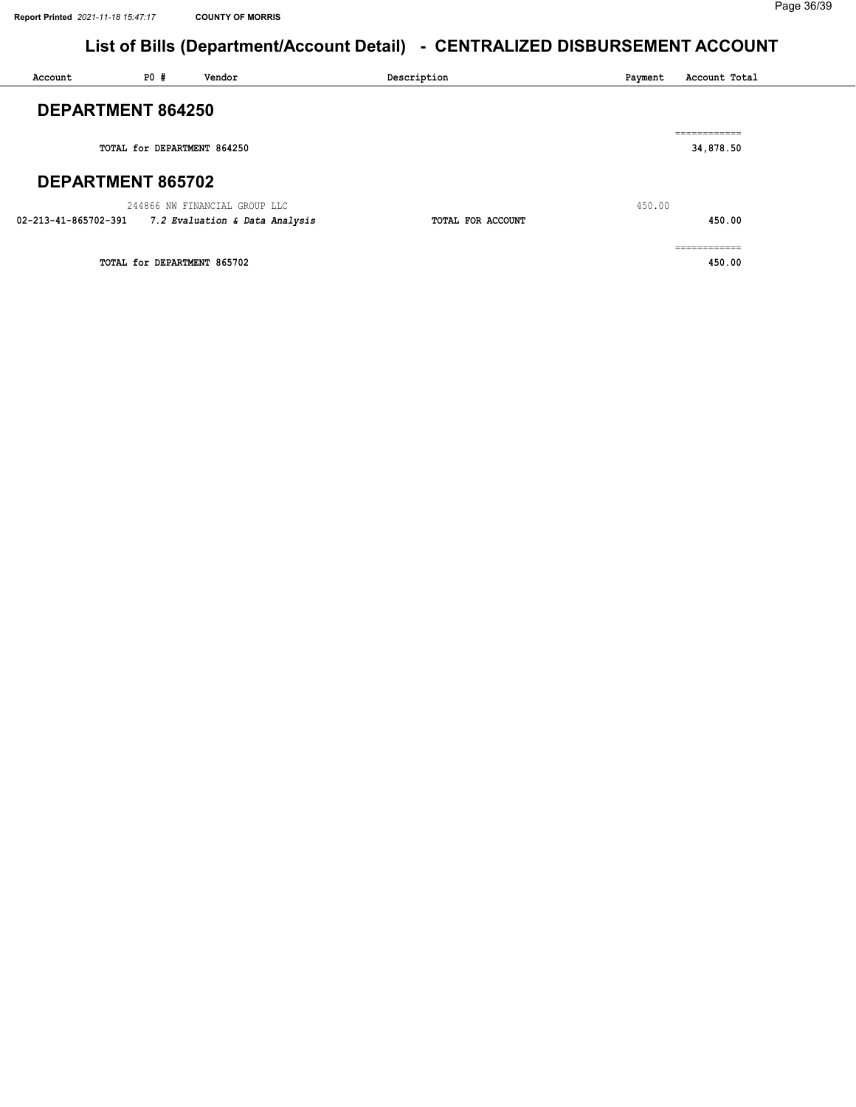| Account              | PO#                         | Vendor                         | Description       | Payment | Account Total              |  |
|----------------------|-----------------------------|--------------------------------|-------------------|---------|----------------------------|--|
| DEPARTMENT 864250    |                             |                                |                   |         | ------------<br>---------- |  |
|                      | TOTAL for DEPARTMENT 864250 |                                |                   |         | 34,878.50                  |  |
| DEPARTMENT 865702    |                             |                                |                   |         |                            |  |
|                      |                             | 244866 NW FINANCIAL GROUP LLC  |                   | 450.00  |                            |  |
| 02-213-41-865702-391 |                             | 7.2 Evaluation & Data Analysis | TOTAL FOR ACCOUNT |         | 450.00                     |  |
|                      |                             |                                |                   |         | ===========                |  |
|                      | TOTAL for DEPARTMENT 865702 |                                |                   |         | 450.00                     |  |
|                      |                             |                                |                   |         |                            |  |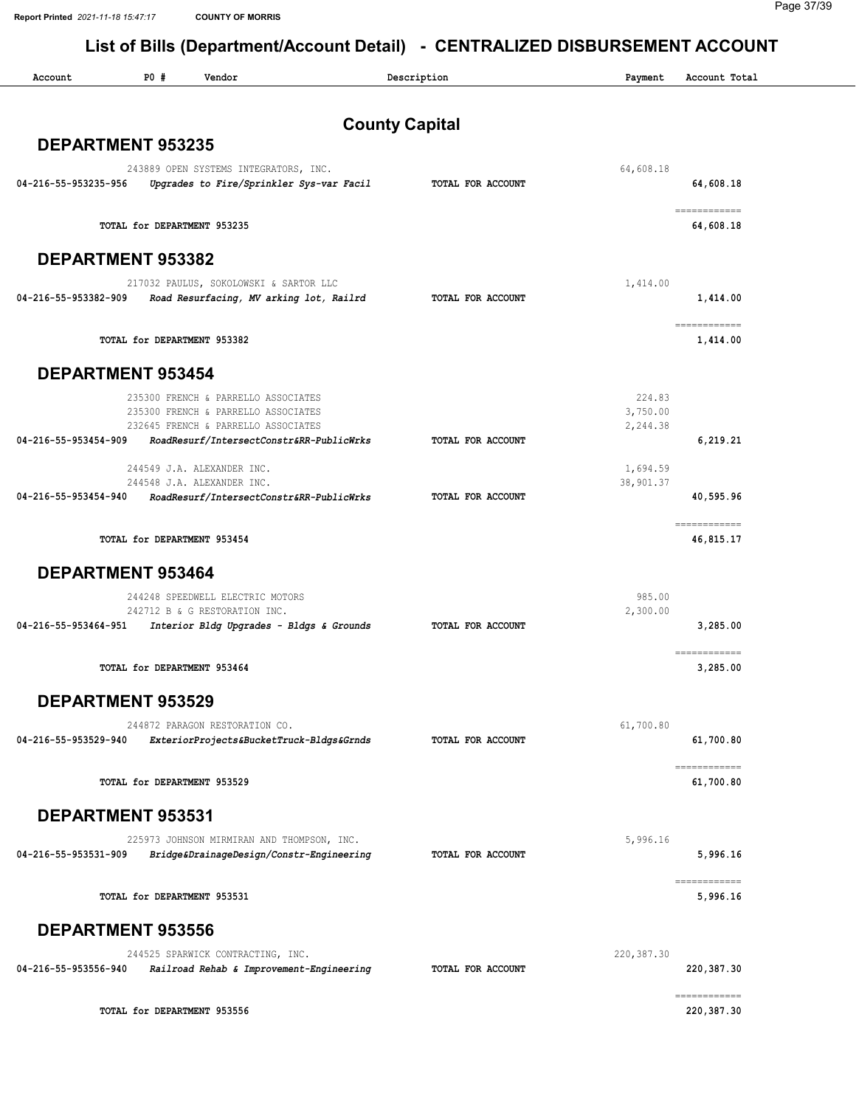| Account                  | P0#                         | Vendor                                                                                                            |                       | Description       | Payment                        | Account Total                                                                                                                                                                                                                                                                                                                                                                                                                                                                                      |
|--------------------------|-----------------------------|-------------------------------------------------------------------------------------------------------------------|-----------------------|-------------------|--------------------------------|----------------------------------------------------------------------------------------------------------------------------------------------------------------------------------------------------------------------------------------------------------------------------------------------------------------------------------------------------------------------------------------------------------------------------------------------------------------------------------------------------|
|                          |                             |                                                                                                                   | <b>County Capital</b> |                   |                                |                                                                                                                                                                                                                                                                                                                                                                                                                                                                                                    |
| DEPARTMENT 953235        |                             |                                                                                                                   |                       |                   |                                |                                                                                                                                                                                                                                                                                                                                                                                                                                                                                                    |
| 04-216-55-953235-956     |                             | 243889 OPEN SYSTEMS INTEGRATORS, INC.<br>Upgrades to Fire/Sprinkler Sys-var Facil                                 |                       | TOTAL FOR ACCOUNT | 64,608.18                      | 64,608.18                                                                                                                                                                                                                                                                                                                                                                                                                                                                                          |
|                          |                             | TOTAL for DEPARTMENT 953235                                                                                       |                       |                   |                                | ------------<br>64,608.18                                                                                                                                                                                                                                                                                                                                                                                                                                                                          |
| DEPARTMENT 953382        |                             |                                                                                                                   |                       |                   |                                |                                                                                                                                                                                                                                                                                                                                                                                                                                                                                                    |
| 04-216-55-953382-909     |                             | 217032 PAULUS, SOKOLOWSKI & SARTOR LLC<br>Road Resurfacing, MV arking lot, Railrd                                 |                       | TOTAL FOR ACCOUNT | 1,414.00                       | 1,414.00                                                                                                                                                                                                                                                                                                                                                                                                                                                                                           |
|                          |                             | TOTAL for DEPARTMENT 953382                                                                                       |                       |                   |                                | ============<br>1,414.00                                                                                                                                                                                                                                                                                                                                                                                                                                                                           |
| <b>DEPARTMENT 953454</b> |                             |                                                                                                                   |                       |                   |                                |                                                                                                                                                                                                                                                                                                                                                                                                                                                                                                    |
|                          |                             | 235300 FRENCH & PARRELLO ASSOCIATES<br>235300 FRENCH & PARRELLO ASSOCIATES<br>232645 FRENCH & PARRELLO ASSOCIATES |                       |                   | 224.83<br>3,750.00<br>2,244.38 |                                                                                                                                                                                                                                                                                                                                                                                                                                                                                                    |
| 04-216-55-953454-909     |                             | RoadResurf/IntersectConstr&RR-PublicWrks                                                                          |                       | TOTAL FOR ACCOUNT |                                | 6,219.21                                                                                                                                                                                                                                                                                                                                                                                                                                                                                           |
| 04-216-55-953454-940     |                             | 244549 J.A. ALEXANDER INC.<br>244548 J.A. ALEXANDER INC.<br>RoadResurf/IntersectConstr&RR-PublicWrks              |                       | TOTAL FOR ACCOUNT | 1,694.59<br>38,901.37          | 40,595.96                                                                                                                                                                                                                                                                                                                                                                                                                                                                                          |
|                          |                             |                                                                                                                   |                       |                   |                                |                                                                                                                                                                                                                                                                                                                                                                                                                                                                                                    |
|                          |                             | TOTAL for DEPARTMENT 953454                                                                                       |                       |                   |                                | ------------<br>46,815.17                                                                                                                                                                                                                                                                                                                                                                                                                                                                          |
| <b>DEPARTMENT 953464</b> |                             |                                                                                                                   |                       |                   |                                |                                                                                                                                                                                                                                                                                                                                                                                                                                                                                                    |
| 04-216-55-953464-951     |                             | 244248 SPEEDWELL ELECTRIC MOTORS<br>242712 B & G RESTORATION INC.<br>Interior Bldg Upgrades - Bldgs & Grounds     |                       | TOTAL FOR ACCOUNT | 985.00<br>2,300.00             | 3,285.00                                                                                                                                                                                                                                                                                                                                                                                                                                                                                           |
|                          |                             |                                                                                                                   |                       |                   |                                | ============                                                                                                                                                                                                                                                                                                                                                                                                                                                                                       |
|                          | TOTAL for DEPARTMENT 953464 |                                                                                                                   |                       |                   |                                | 3,285.00                                                                                                                                                                                                                                                                                                                                                                                                                                                                                           |
| <b>DEPARTMENT 953529</b> |                             |                                                                                                                   |                       |                   |                                |                                                                                                                                                                                                                                                                                                                                                                                                                                                                                                    |
| 04-216-55-953529-940     |                             | 244872 PARAGON RESTORATION CO.<br>ExteriorProjects&BucketTruck-Bldgs&Grnds                                        |                       | TOTAL FOR ACCOUNT | 61,700.80                      | 61,700.80                                                                                                                                                                                                                                                                                                                                                                                                                                                                                          |
|                          |                             | TOTAL for DEPARTMENT 953529                                                                                       |                       |                   |                                | ============<br>61,700.80                                                                                                                                                                                                                                                                                                                                                                                                                                                                          |
| <b>DEPARTMENT 953531</b> |                             |                                                                                                                   |                       |                   |                                |                                                                                                                                                                                                                                                                                                                                                                                                                                                                                                    |
| 04-216-55-953531-909     |                             | 225973 JOHNSON MIRMIRAN AND THOMPSON, INC.<br>Bridge&DrainageDesign/Constr-Engineering                            |                       | TOTAL FOR ACCOUNT | 5,996.16                       | 5,996.16                                                                                                                                                                                                                                                                                                                                                                                                                                                                                           |
|                          |                             | TOTAL for DEPARTMENT 953531                                                                                       |                       |                   |                                | $\begin{array}{cccccccccc} \multicolumn{2}{c}{} & \multicolumn{2}{c}{} & \multicolumn{2}{c}{} & \multicolumn{2}{c}{} & \multicolumn{2}{c}{} & \multicolumn{2}{c}{} & \multicolumn{2}{c}{} & \multicolumn{2}{c}{} & \multicolumn{2}{c}{} & \multicolumn{2}{c}{} & \multicolumn{2}{c}{} & \multicolumn{2}{c}{} & \multicolumn{2}{c}{} & \multicolumn{2}{c}{} & \multicolumn{2}{c}{} & \multicolumn{2}{c}{} & \multicolumn{2}{c}{} & \multicolumn{2}{c}{} & \multicolumn{2}{c}{} & \mult$<br>5,996.16 |
| <b>DEPARTMENT 953556</b> |                             |                                                                                                                   |                       |                   |                                |                                                                                                                                                                                                                                                                                                                                                                                                                                                                                                    |
| 04-216-55-953556-940     |                             | 244525 SPARWICK CONTRACTING, INC.<br>Railroad Rehab & Improvement-Engineering                                     |                       | TOTAL FOR ACCOUNT | 220, 387.30                    | 220, 387.30                                                                                                                                                                                                                                                                                                                                                                                                                                                                                        |
|                          |                             | TOTAL for DEPARTMENT 953556                                                                                       |                       |                   |                                | ============<br>220,387.30                                                                                                                                                                                                                                                                                                                                                                                                                                                                         |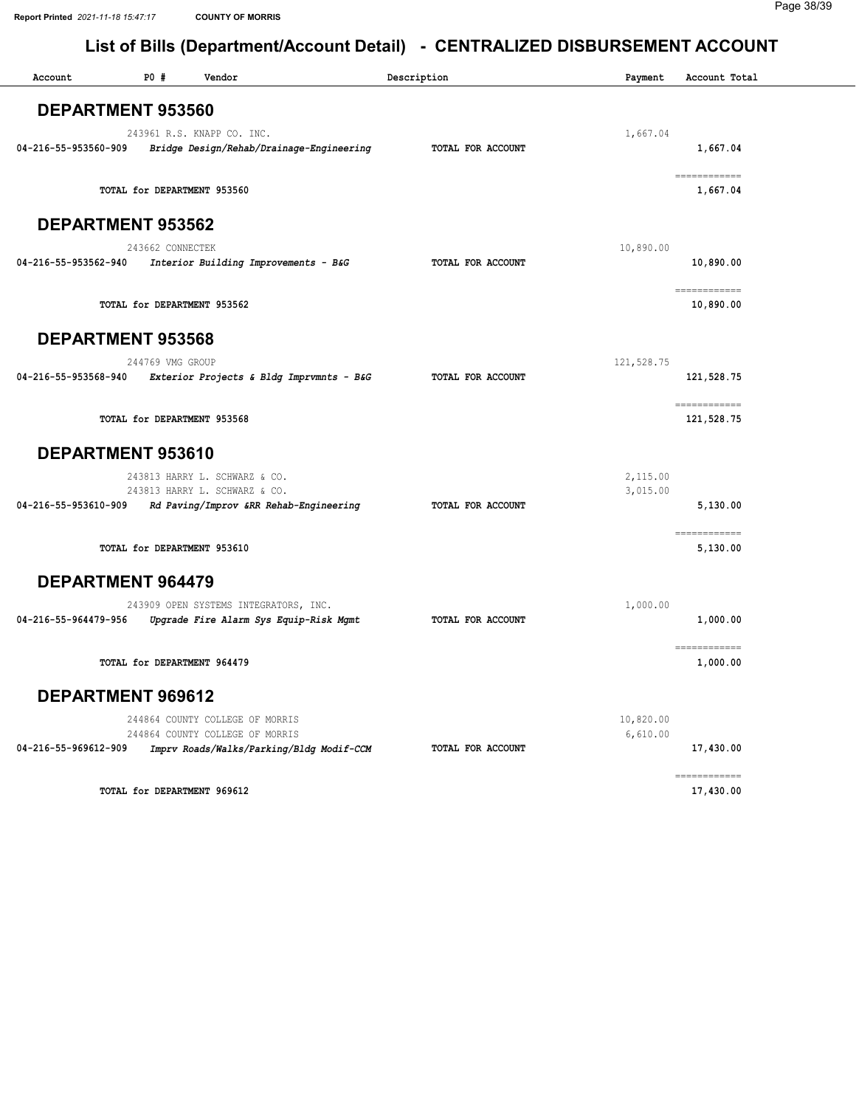| Account                  | P0 #             | Vendor                                                                                                         | Description       | Payment               | Account Total                                                                                                                                                                                                                                                                                                                                                                                                                                                                                        |
|--------------------------|------------------|----------------------------------------------------------------------------------------------------------------|-------------------|-----------------------|------------------------------------------------------------------------------------------------------------------------------------------------------------------------------------------------------------------------------------------------------------------------------------------------------------------------------------------------------------------------------------------------------------------------------------------------------------------------------------------------------|
| <b>DEPARTMENT 953560</b> |                  |                                                                                                                |                   |                       |                                                                                                                                                                                                                                                                                                                                                                                                                                                                                                      |
| 04-216-55-953560-909     |                  | 243961 R.S. KNAPP CO. INC.<br>Bridge Design/Rehab/Drainage-Engineering                                         | TOTAL FOR ACCOUNT | 1,667.04              | 1,667.04                                                                                                                                                                                                                                                                                                                                                                                                                                                                                             |
|                          |                  | TOTAL for DEPARTMENT 953560                                                                                    |                   |                       | $\begin{array}{cccccccccc} \multicolumn{2}{c}{} & \multicolumn{2}{c}{} & \multicolumn{2}{c}{} & \multicolumn{2}{c}{} & \multicolumn{2}{c}{} & \multicolumn{2}{c}{} & \multicolumn{2}{c}{} & \multicolumn{2}{c}{} & \multicolumn{2}{c}{} & \multicolumn{2}{c}{} & \multicolumn{2}{c}{} & \multicolumn{2}{c}{} & \multicolumn{2}{c}{} & \multicolumn{2}{c}{} & \multicolumn{2}{c}{} & \multicolumn{2}{c}{} & \multicolumn{2}{c}{} & \multicolumn{2}{c}{} & \multicolumn{2}{c}{} & \mult$<br>1,667.04   |
| DEPARTMENT 953562        |                  |                                                                                                                |                   |                       |                                                                                                                                                                                                                                                                                                                                                                                                                                                                                                      |
| 04-216-55-953562-940     | 243662 CONNECTEK | Interior Building Improvements - B&G                                                                           | TOTAL FOR ACCOUNT | 10,890.00             | 10,890.00                                                                                                                                                                                                                                                                                                                                                                                                                                                                                            |
|                          |                  | TOTAL for DEPARTMENT 953562                                                                                    |                   |                       | ============<br>10,890.00                                                                                                                                                                                                                                                                                                                                                                                                                                                                            |
| <b>DEPARTMENT 953568</b> |                  |                                                                                                                |                   |                       |                                                                                                                                                                                                                                                                                                                                                                                                                                                                                                      |
| 04-216-55-953568-940     | 244769 VMG GROUP | Exterior Projects & Bldg Imprvmnts - B&G                                                                       | TOTAL FOR ACCOUNT | 121,528.75            | 121,528.75                                                                                                                                                                                                                                                                                                                                                                                                                                                                                           |
|                          |                  | TOTAL for DEPARTMENT 953568                                                                                    |                   |                       | $\begin{array}{cccccccccc} \multicolumn{2}{c}{} & \multicolumn{2}{c}{} & \multicolumn{2}{c}{} & \multicolumn{2}{c}{} & \multicolumn{2}{c}{} & \multicolumn{2}{c}{} & \multicolumn{2}{c}{} & \multicolumn{2}{c}{} & \multicolumn{2}{c}{} & \multicolumn{2}{c}{} & \multicolumn{2}{c}{} & \multicolumn{2}{c}{} & \multicolumn{2}{c}{} & \multicolumn{2}{c}{} & \multicolumn{2}{c}{} & \multicolumn{2}{c}{} & \multicolumn{2}{c}{} & \multicolumn{2}{c}{} & \multicolumn{2}{c}{} & \mult$<br>121,528.75 |
| DEPARTMENT 953610        |                  |                                                                                                                |                   |                       |                                                                                                                                                                                                                                                                                                                                                                                                                                                                                                      |
| 04-216-55-953610-909     |                  | 243813 HARRY L. SCHWARZ & CO.<br>243813 HARRY L. SCHWARZ & CO.<br>Rd Paving/Improv &RR Rehab-Engineering       | TOTAL FOR ACCOUNT | 2,115.00<br>3,015.00  | 5,130.00                                                                                                                                                                                                                                                                                                                                                                                                                                                                                             |
|                          |                  | TOTAL for DEPARTMENT 953610                                                                                    |                   |                       | ============<br>5,130.00                                                                                                                                                                                                                                                                                                                                                                                                                                                                             |
| <b>DEPARTMENT 964479</b> |                  |                                                                                                                |                   |                       |                                                                                                                                                                                                                                                                                                                                                                                                                                                                                                      |
| 04-216-55-964479-956     |                  | 243909 OPEN SYSTEMS INTEGRATORS, INC.<br>Upgrade Fire Alarm Sys Equip-Risk Mgmt                                | TOTAL FOR ACCOUNT | 1,000.00              | 1,000.00                                                                                                                                                                                                                                                                                                                                                                                                                                                                                             |
|                          |                  | TOTAL for DEPARTMENT 964479                                                                                    |                   |                       | ============<br>1,000.00                                                                                                                                                                                                                                                                                                                                                                                                                                                                             |
| DEPARTMENT 969612        |                  |                                                                                                                |                   |                       |                                                                                                                                                                                                                                                                                                                                                                                                                                                                                                      |
| 04-216-55-969612-909     |                  | 244864 COUNTY COLLEGE OF MORRIS<br>244864 COUNTY COLLEGE OF MORRIS<br>Imprv Roads/Walks/Parking/Bldg Modif-CCM | TOTAL FOR ACCOUNT | 10,820.00<br>6,610.00 | 17,430.00                                                                                                                                                                                                                                                                                                                                                                                                                                                                                            |
|                          |                  | TOTAL for DEPARTMENT 969612                                                                                    |                   |                       | ============<br>17,430.00                                                                                                                                                                                                                                                                                                                                                                                                                                                                            |